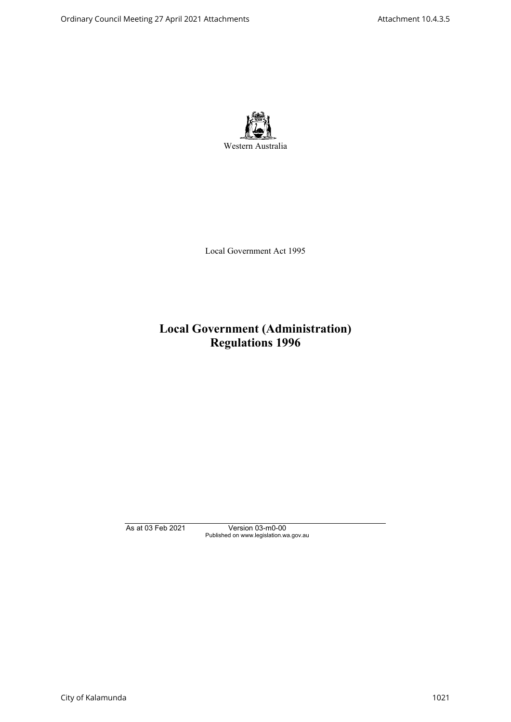

Local Government Act 1995

# **Local Government (Administration) Regulations 1996**

As at 03 Feb 2021 Version 03-m0-00 Published on www.legislation.wa.gov.au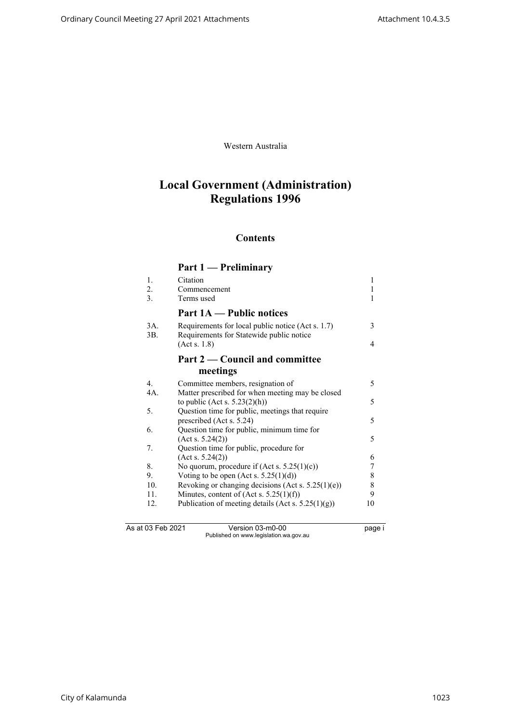Western Australia

# **Local Government (Administration) Regulations 1996**

## **Contents**

## **Part 1 — Preliminary**

| 1.             | Citation                                                                                      | 1  |
|----------------|-----------------------------------------------------------------------------------------------|----|
| 2.             | Commencement                                                                                  | 1  |
| 3.             | Terms used                                                                                    | 1  |
|                | <b>Part 1A — Public notices</b>                                                               |    |
| 3A.<br>3B.     | Requirements for local public notice (Act s. 1.7)<br>Requirements for Statewide public notice | 3  |
|                | (Act s. 1.8)                                                                                  | 4  |
|                | Part 2 — Council and committee                                                                |    |
|                | meetings                                                                                      |    |
| $\mathbf{4}$ . | Committee members, resignation of                                                             | 5  |
| 4A.            | Matter prescribed for when meeting may be closed                                              |    |
|                | to public (Act s. $5.23(2)(h)$ )                                                              | 5  |
| 5.             | Question time for public, meetings that require                                               |    |
|                | prescribed (Act s. 5.24)                                                                      | 5  |
| 6.             | Question time for public, minimum time for                                                    |    |
|                | (Acts. 5.24(2))                                                                               | 5  |
| 7.             | Question time for public, procedure for                                                       |    |
|                | (Acts. 5.24(2))                                                                               | 6  |
| 8.             | No quorum, procedure if $(Act s. 5.25(1)(c))$                                                 | 7  |
| 9.             | Voting to be open (Act s. $5.25(1)(d)$ )                                                      | 8  |
| 10.            | Revoking or changing decisions (Act s. $5.25(1)(e)$ )                                         | 8  |
| 11.            | Minutes, content of $(Act s. 5.25(1)(f))$                                                     | 9  |
| 12.            | Publication of meeting details (Act s. $5.25(1)(g)$ )                                         | 10 |
|                |                                                                                               |    |
|                |                                                                                               |    |

As at 03 Feb 2021 Version 03-m0-00 page i Published on www.legislation.wa.gov.au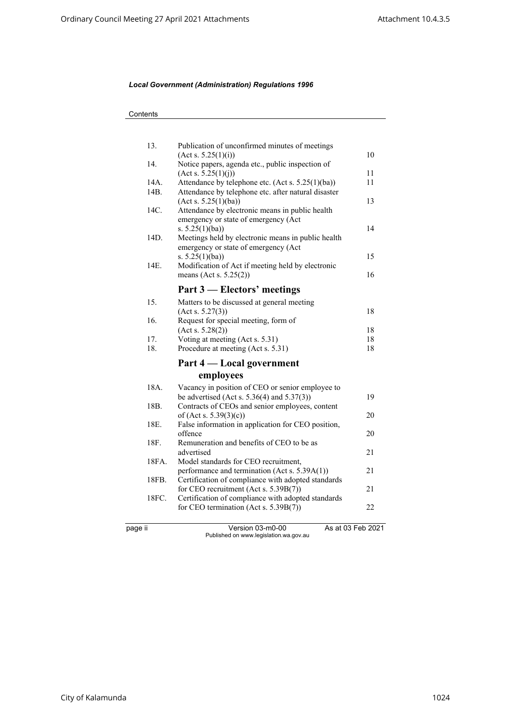| 13.               | Publication of unconfirmed minutes of meetings                                    |                   |
|-------------------|-----------------------------------------------------------------------------------|-------------------|
| 14.               | (Act s. 5.25(1)(i))                                                               | 10                |
|                   | Notice papers, agenda etc., public inspection of<br>$(\text{Act } s. 5.25(1)(j))$ | 11                |
| 14A.              | Attendance by telephone etc. (Act s. 5.25(1)(ba))                                 | 11                |
| 14B.              | Attendance by telephone etc. after natural disaster                               |                   |
|                   | (Act s. 5.25(1)(ba))                                                              | 13                |
| 14C.              | Attendance by electronic means in public health                                   |                   |
|                   | emergency or state of emergency (Act                                              |                   |
|                   | s. $5.25(1)(ba)$                                                                  | 14                |
| 14D.              | Meetings held by electronic means in public health                                |                   |
|                   | emergency or state of emergency (Act                                              |                   |
|                   | s. $5.25(1)(ba)$                                                                  | 15                |
| 14E.              | Modification of Act if meeting held by electronic                                 |                   |
|                   | means (Act s. $5.25(2)$ )                                                         | 16                |
|                   | Part 3 – Electors' meetings                                                       |                   |
| 15.               | Matters to be discussed at general meeting                                        |                   |
|                   | (Acts. 5.27(3))                                                                   | 18                |
| 16.               | Request for special meeting, form of                                              |                   |
|                   | (Acts. 5.28(2))                                                                   | 18                |
| 17.               | Voting at meeting (Act s. 5.31)                                                   | 18                |
| 18.               | Procedure at meeting (Act s. 5.31)                                                | 18                |
|                   | Part 4 — Local government                                                         |                   |
|                   | employees                                                                         |                   |
| 18A.              | Vacancy in position of CEO or senior employee to                                  |                   |
|                   | be advertised (Act s. $5.36(4)$ and $5.37(3)$ )                                   | 19                |
| 18 <sub>B</sub> . | Contracts of CEOs and senior employees, content                                   |                   |
|                   | of (Act s. $5.39(3)(c)$ )                                                         | 20                |
| 18E.              | False information in application for CEO position,                                |                   |
|                   | offence                                                                           | 20                |
| 18F.              | Remuneration and benefits of CEO to be as                                         |                   |
|                   | advertised                                                                        | 21                |
| 18FA.             | Model standards for CEO recruitment,                                              |                   |
|                   | performance and termination (Act s. 5.39A(1))                                     | 21                |
| 18FB.             | Certification of compliance with adopted standards                                |                   |
|                   | for CEO recruitment (Act s. 5.39B(7))                                             | 21                |
| 18FC.             | Certification of compliance with adopted standards                                | 22                |
|                   | for CEO termination (Act s. 5.39B(7))                                             |                   |
| page ii           | Version 03-m0-00                                                                  | As at 03 Feb 2021 |
|                   | Published on www.legislation.wa.gov.au                                            |                   |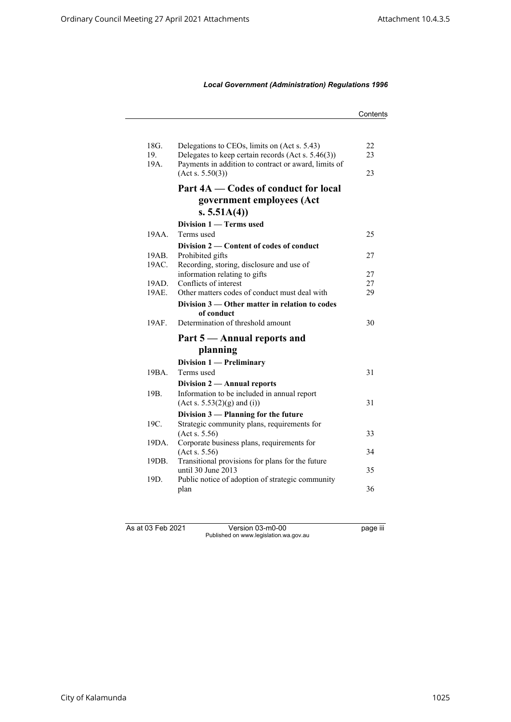|                 |                                                                        | Contents |
|-----------------|------------------------------------------------------------------------|----------|
|                 |                                                                        |          |
| 18G.            | Delegations to CEOs, limits on (Act s. 5.43)                           | 22       |
| 19.             | Delegates to keep certain records (Act s. 5.46(3))                     | 23       |
| 19A.            | Payments in addition to contract or award, limits of                   |          |
|                 | (Act s. 5.50(3))                                                       | 23       |
|                 | Part 4A — Codes of conduct for local                                   |          |
|                 | government employees (Act                                              |          |
|                 | s. $5.51A(4)$                                                          |          |
|                 | Division 1 – Terms used                                                |          |
| 19AA.           | Terms used                                                             | 25       |
|                 | Division 2 — Content of codes of conduct                               |          |
| 19AB.           | Prohibited gifts                                                       | 27       |
| 19AC.           | Recording, storing, disclosure and use of                              |          |
|                 | information relating to gifts                                          | 27       |
| 19AD.           | Conflicts of interest                                                  | 27       |
| 19AE.           | Other matters codes of conduct must deal with                          | 29       |
|                 | Division 3 — Other matter in relation to codes                         |          |
|                 | of conduct                                                             |          |
| 19AF.           | Determination of threshold amount                                      | 30       |
|                 | Part 5 — Annual reports and                                            |          |
|                 | planning                                                               |          |
|                 | Division 1 - Preliminary                                               |          |
| 19BA.           | Terms used                                                             | 31       |
|                 | Division 2 - Annual reports                                            |          |
| 19 <sub>B</sub> | Information to be included in annual report                            |          |
|                 | (Act s. 5.53(2)(g) and (i))                                            | 31       |
|                 | Division 3 - Planning for the future                                   |          |
| 19C.            | Strategic community plans, requirements for                            |          |
|                 | (Acts. 5.56)                                                           | 33       |
| 19DA.           | Corporate business plans, requirements for                             |          |
|                 | (Act s. 5.56)                                                          | 34       |
| 19DB.           | Transitional provisions for plans for the future<br>until 30 June 2013 | 35       |
| 19D.            | Public notice of adoption of strategic community                       |          |
|                 | plan                                                                   | 36       |
|                 |                                                                        |          |
|                 |                                                                        |          |

As at 03 Feb 2021 Version 03-m0-00 page iii Published on www.legislation.wa.gov.au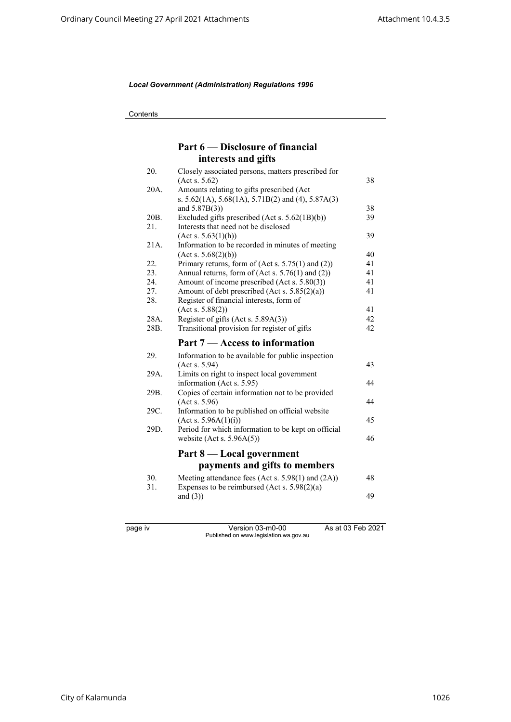**Contents** 

## **Part 6 — Disclosure of financial interests and gifts**

| 20.  | Closely associated persons, matters prescribed for          |    |
|------|-------------------------------------------------------------|----|
|      | (Acts. 5.62)                                                | 38 |
| 20A. | Amounts relating to gifts prescribed (Act                   |    |
|      | s. $5.62(1A)$ , $5.68(1A)$ , $5.71B(2)$ and (4), $5.87A(3)$ |    |
|      | and $5.87B(3)$ )                                            | 38 |
| 20B. | Excluded gifts prescribed (Act s. 5.62(1B)(b))              | 39 |
| 21.  | Interests that need not be disclosed                        |    |
|      | (Acts. 5.63(1)(h))                                          | 39 |
| 21A. | Information to be recorded in minutes of meeting            |    |
|      | (Act s. 5.68(2)(b))                                         | 40 |
| 22.  | Primary returns, form of $(Act s. 5.75(1)$ and $(2))$       | 41 |
| 23.  | Annual returns, form of (Act s. 5.76(1) and (2))            | 41 |
| 24.  | Amount of income prescribed (Act s. 5.80(3))                | 41 |
| 27.  | Amount of debt prescribed (Act s. 5.85(2)(a))               | 41 |
| 28.  | Register of financial interests, form of                    |    |
|      | (Act s. 5.88(2))                                            | 41 |
| 28A. | Register of gifts (Act s. 5.89A(3))                         | 42 |
| 28B. | Transitional provision for register of gifts                | 42 |
|      | Part 7 – Access to information                              |    |
| 29.  | Information to be available for public inspection           |    |
|      | (Acts. 5.94)                                                | 43 |
| 29A. | Limits on right to inspect local government                 |    |
|      | information (Act s. 5.95)                                   | 44 |
| 29B. | Copies of certain information not to be provided            |    |
|      | (Acts. 5.96)                                                | 44 |
| 29C. | Information to be published on official website             |    |
|      | (Act s. 5.96A(1)(i))                                        | 45 |
| 29D. | Period for which information to be kept on official         |    |
|      | website (Act s. $5.96A(5)$ )                                | 46 |
|      |                                                             |    |
|      | Part 8 — Local government                                   |    |
|      | payments and gifts to members                               |    |
| 30.  | Meeting attendance fees (Act s. 5.98(1) and (2A))           | 48 |
| 31.  | Expenses to be reimbursed (Act s. $5.98(2)(a)$ )            |    |
|      | and $(3)$ )                                                 | 49 |
|      |                                                             |    |
|      |                                                             |    |
|      |                                                             |    |

page iv Version 03-m0-00 As at 03 Feb 2021 Published on www.legislation.wa.gov.au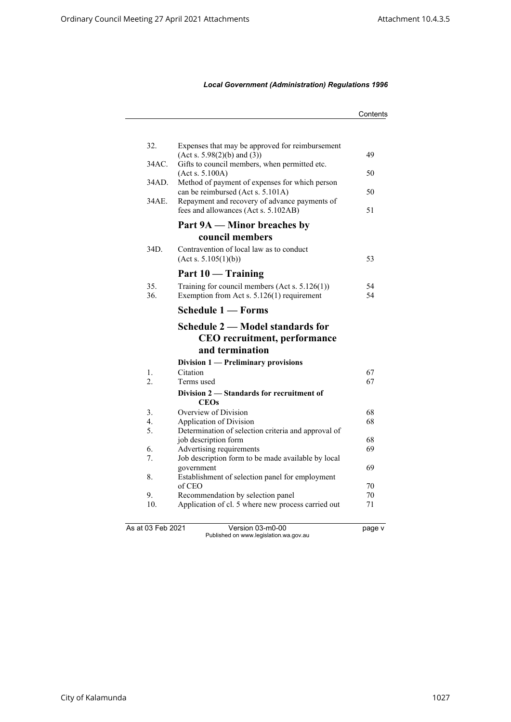|                   |                                                                                       | Contents |
|-------------------|---------------------------------------------------------------------------------------|----------|
|                   |                                                                                       |          |
| 32.               | Expenses that may be approved for reimbursement<br>(Act s. 5.98(2)(b) and (3))        | 49       |
| 34AC.             | Gifts to council members, when permitted etc.<br>(Act s. 5.100A)                      | 50       |
| 34AD.             | Method of payment of expenses for which person<br>can be reimbursed (Act s. 5.101A)   | 50       |
| 34AE.             | Repayment and recovery of advance payments of<br>fees and allowances (Act s. 5.102AB) | 51       |
|                   | Part 9A — Minor breaches by                                                           |          |
|                   | council members                                                                       |          |
| 34D.              | Contravention of local law as to conduct<br>(Act s. 5.105(1)(b))                      | 53       |
|                   | Part 10 — Training                                                                    |          |
| 35.               | Training for council members (Act s. $5.126(1)$ )                                     | 54       |
| 36.               | Exemption from Act s. 5.126(1) requirement                                            | 54       |
|                   | Schedule 1 - Forms                                                                    |          |
|                   | Schedule 2 – Model standards for                                                      |          |
|                   | CEO recruitment, performance                                                          |          |
|                   | and termination                                                                       |          |
|                   | Division 1 — Preliminary provisions                                                   |          |
| 1.<br>2.          | Citation<br>Terms used                                                                | 67<br>67 |
|                   | Division 2 – Standards for recruitment of<br><b>CEOs</b>                              |          |
| 3.                | Overview of Division                                                                  | 68       |
| 4.                | Application of Division                                                               | 68       |
| 5.                | Determination of selection criteria and approval of                                   |          |
|                   | job description form                                                                  | 68       |
| 6.<br>7.          | Advertising requirements<br>Job description form to be made available by local        | 69       |
|                   | government                                                                            | 69       |
| 8.                | Establishment of selection panel for employment                                       |          |
|                   | of CEO                                                                                | 70       |
| 9.                | Recommendation by selection panel                                                     | 70       |
| 10.               | Application of cl. 5 where new process carried out                                    | 71       |
| As at 03 Feb 2021 | Version 03-m0-00                                                                      | page v   |
|                   | Published on www.legislation.wa.gov.au                                                |          |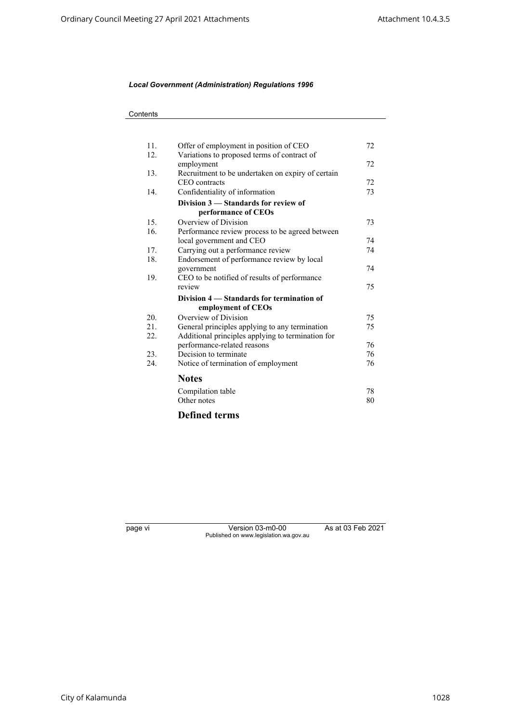| 11. | Offer of employment in position of CEO            | 72 |
|-----|---------------------------------------------------|----|
| 12. | Variations to proposed terms of contract of       |    |
|     | employment                                        | 72 |
| 13. | Recruitment to be undertaken on expiry of certain |    |
|     | CEO contracts                                     | 72 |
| 14. | Confidentiality of information                    | 73 |
|     | Division 3 – Standards for review of              |    |
|     | performance of CEOs                               |    |
| 15. | Overview of Division                              | 73 |
| 16. | Performance review process to be agreed between   |    |
|     | local government and CEO                          | 74 |
| 17. | Carrying out a performance review                 | 74 |
| 18. | Endorsement of performance review by local        |    |
|     | government                                        | 74 |
| 19. | CEO to be notified of results of performance      |    |
|     | review                                            | 75 |
|     | Division 4 – Standards for termination of         |    |
|     | employment of CEOs                                |    |
| 20. | Overview of Division                              | 75 |
| 21. | General principles applying to any termination    | 75 |
| 22. | Additional principles applying to termination for |    |
|     | performance-related reasons                       | 76 |
| 23. | Decision to terminate                             | 76 |
| 24. | Notice of termination of employment               | 76 |
|     |                                                   |    |
|     | <b>Notes</b>                                      |    |
|     | Compilation table                                 | 78 |
|     | Other notes                                       | 80 |
|     |                                                   |    |
|     | <b>Defined terms</b>                              |    |

page vi Version 03-m0-00 As at 03 Feb 2021 Published on www.legislation.wa.gov.au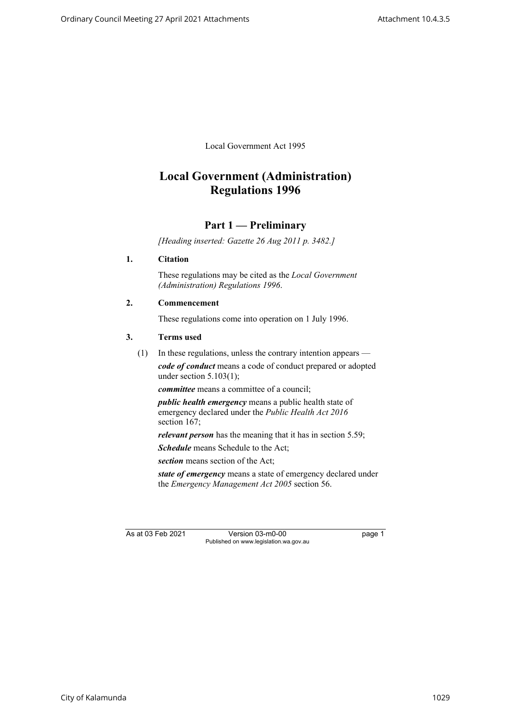Local Government Act 1995

# **Local Government (Administration) Regulations 1996**

## **Part 1 — Preliminary**

*[Heading inserted: Gazette 26 Aug 2011 p. 3482.]*

#### <span id="page-8-0"></span>**1. Citation**

These regulations may be cited as the *Local Government (Administration) Regulations 1996*.

#### <span id="page-8-1"></span>**2. Commencement**

These regulations come into operation on 1 July 1996.

#### <span id="page-8-2"></span>**3. Terms used**

(1) In these regulations, unless the contrary intention appears *code of conduct* means a code of conduct prepared or adopted under section  $5.103(1)$ ;

*committee* means a committee of a council;

*public health emergency* means a public health state of emergency declared under the *Public Health Act 2016* section 167;

*relevant person* has the meaning that it has in section 5.59;

*Schedule* means Schedule to the Act:

*section* means section of the Act;

*state of emergency* means a state of emergency declared under the *Emergency Management Act 2005* section 56.

As at 03 Feb 2021 Version 03-m0-00 page 1 Published on www.legislation.wa.gov.au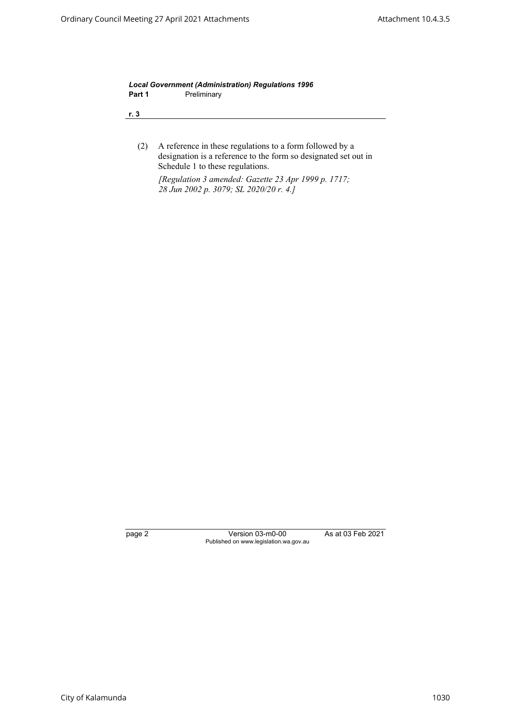*Local Government (Administration) Regulations 1996* Part 1 **Preliminary** 

**r. 3**

(2) A reference in these regulations to a form followed by a designation is a reference to the form so designated set out in Schedule 1 to these regulations.

*[Regulation 3 amended: Gazette 23 Apr 1999 p. 1717; 28 Jun 2002 p. 3079; SL 2020/20 r. 4.]*

page 2 Version 03-m0-00 As at 03 Feb 2021 Published on www.legislation.wa.gov.au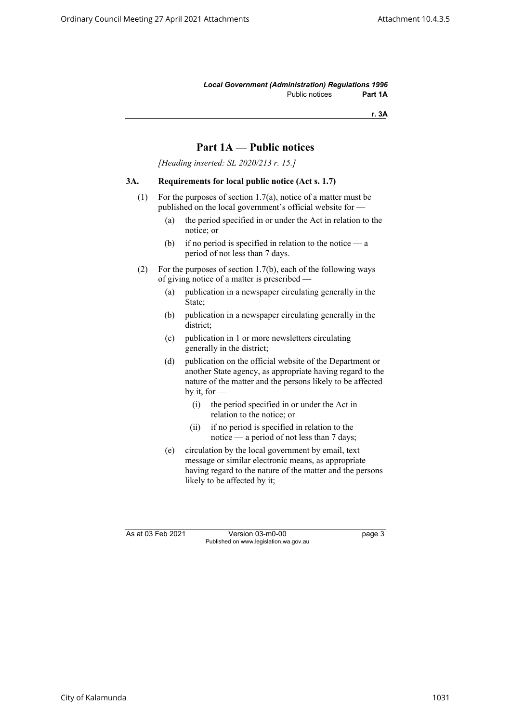*Local Government (Administration) Regulations 1996* Public notices **Part 1A**

**r. 3A**

## **Part 1A — Public notices**

*[Heading inserted: SL 2020/213 r. 15.]*

## <span id="page-10-0"></span>**3A. Requirements for local public notice (Act s. 1.7)**

- (1) For the purposes of section 1.7(a), notice of a matter must be published on the local government's official website for —
	- (a) the period specified in or under the Act in relation to the notice; or
	- (b) if no period is specified in relation to the notice  $-\alpha$ period of not less than 7 days.
- (2) For the purposes of section 1.7(b), each of the following ways of giving notice of a matter is prescribed —
	- (a) publication in a newspaper circulating generally in the State;
	- (b) publication in a newspaper circulating generally in the district;
	- (c) publication in 1 or more newsletters circulating generally in the district;
	- (d) publication on the official website of the Department or another State agency, as appropriate having regard to the nature of the matter and the persons likely to be affected by it, for —
		- (i) the period specified in or under the Act in relation to the notice; or
		- (ii) if no period is specified in relation to the notice — a period of not less than 7 days;
	- (e) circulation by the local government by email, text message or similar electronic means, as appropriate having regard to the nature of the matter and the persons likely to be affected by it;

As at 03 Feb 2021 Version 03-m0-00 page 3 Published on www.legislation.wa.gov.au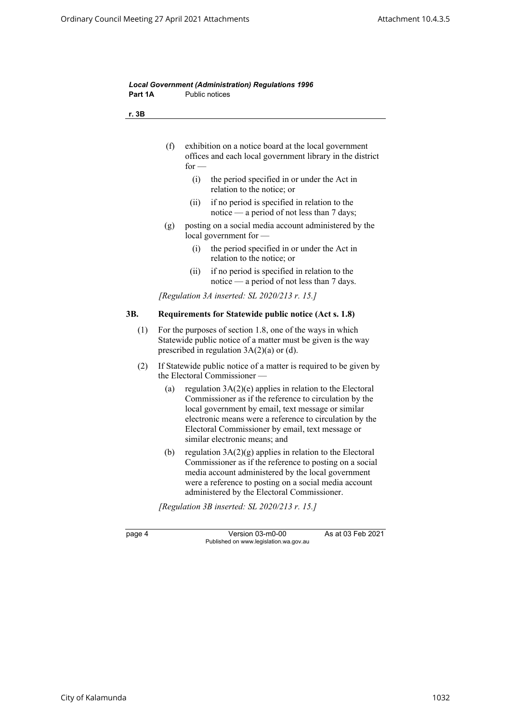<span id="page-11-0"></span>

| Part 1A |     | <b>Public notices</b>                                                                                                                                                                                                                                                                                                      |
|---------|-----|----------------------------------------------------------------------------------------------------------------------------------------------------------------------------------------------------------------------------------------------------------------------------------------------------------------------------|
| r. 3B   |     |                                                                                                                                                                                                                                                                                                                            |
|         | (f) | exhibition on a notice board at the local government<br>offices and each local government library in the district<br>for $-$                                                                                                                                                                                               |
|         |     | (i)<br>the period specified in or under the Act in<br>relation to the notice; or                                                                                                                                                                                                                                           |
|         |     | if no period is specified in relation to the<br>(ii)<br>notice — a period of not less than 7 days;                                                                                                                                                                                                                         |
|         | (g) | posting on a social media account administered by the<br>local government for                                                                                                                                                                                                                                              |
|         |     | the period specified in or under the Act in<br>(i)<br>relation to the notice; or                                                                                                                                                                                                                                           |
|         |     | if no period is specified in relation to the<br>(ii)<br>notice — a period of not less than 7 days.                                                                                                                                                                                                                         |
|         |     | [Regulation 3A inserted: SL 2020/213 $r$ . 15.]                                                                                                                                                                                                                                                                            |
| 3B.     |     | Requirements for Statewide public notice (Act s. 1.8)                                                                                                                                                                                                                                                                      |
| (1)     |     | For the purposes of section 1.8, one of the ways in which<br>Statewide public notice of a matter must be given is the way<br>prescribed in regulation $3A(2)(a)$ or (d).                                                                                                                                                   |
| (2)     |     | If Statewide public notice of a matter is required to be given by<br>the Electoral Commissioner -                                                                                                                                                                                                                          |
|         | (a) | regulation $3A(2)(e)$ applies in relation to the Electoral<br>Commissioner as if the reference to circulation by the<br>local government by email, text message or similar<br>electronic means were a reference to circulation by the<br>Electoral Commissioner by email, text message or<br>similar electronic means; and |
|         | (b) | regulation $3A(2)(g)$ applies in relation to the Electoral<br>Commissioner as if the reference to posting on a social<br>media account administered by the local government<br>were a reference to posting on a social media account<br>administered by the Electoral Commissioner.                                        |
|         |     | [Regulation 3B inserted: SL 2020/213 $r$ . 15.]                                                                                                                                                                                                                                                                            |
|         |     |                                                                                                                                                                                                                                                                                                                            |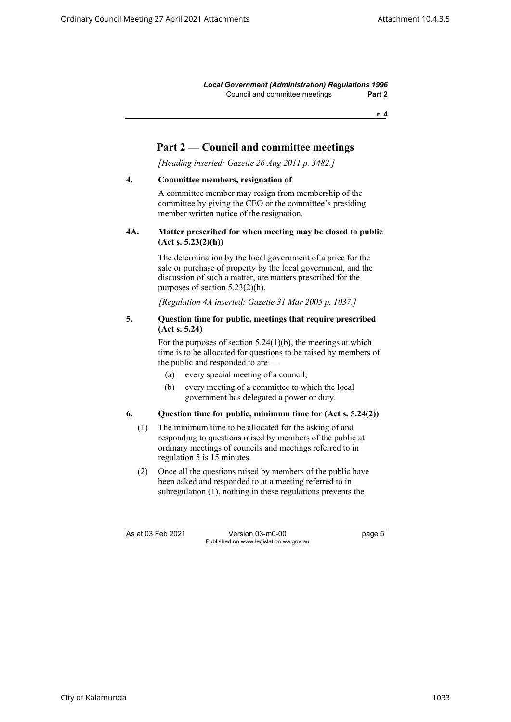*Local Government (Administration) Regulations 1996* Council and committee meetings **Part 2**

**r. 4**

## **Part 2 — Council and committee meetings**

*[Heading inserted: Gazette 26 Aug 2011 p. 3482.]*

#### <span id="page-12-1"></span><span id="page-12-0"></span>**4. Committee members, resignation of**

A committee member may resign from membership of the committee by giving the CEO or the committee's presiding member written notice of the resignation.

## **4A. Matter prescribed for when meeting may be closed to public (Act s. 5.23(2)(h))**

The determination by the local government of a price for the sale or purchase of property by the local government, and the discussion of such a matter, are matters prescribed for the purposes of section 5.23(2)(h).

*[Regulation 4A inserted: Gazette 31 Mar 2005 p. 1037.]*

#### <span id="page-12-2"></span>**5. Question time for public, meetings that require prescribed (Act s. 5.24)**

For the purposes of section  $5.24(1)(b)$ , the meetings at which time is to be allocated for questions to be raised by members of the public and responded to are —

- (a) every special meeting of a council;
- (b) every meeting of a committee to which the local government has delegated a power or duty.

#### <span id="page-12-3"></span>**6. Question time for public, minimum time for (Act s. 5.24(2))**

- (1) The minimum time to be allocated for the asking of and responding to questions raised by members of the public at ordinary meetings of councils and meetings referred to in regulation 5 is 15 minutes.
- (2) Once all the questions raised by members of the public have been asked and responded to at a meeting referred to in subregulation (1), nothing in these regulations prevents the

As at 03 Feb 2021 Version 03-m0-00 page 5 Published on www.legislation.wa.gov.au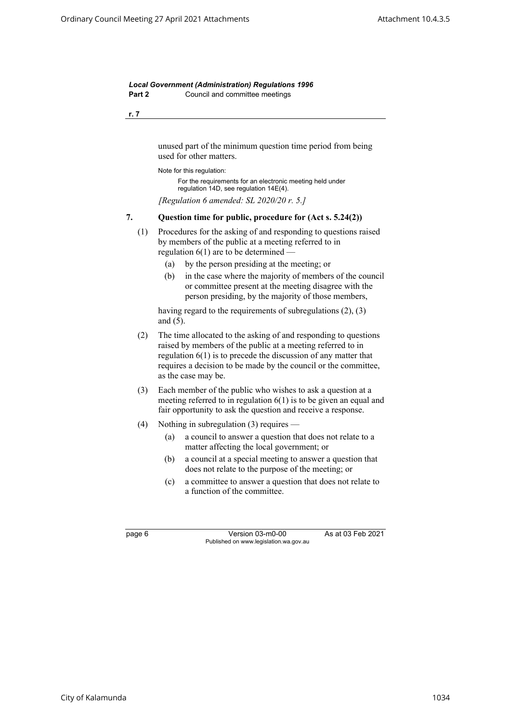*Local Government (Administration) Regulations 1996* **Part 2** Council and committee meetings

**r. 7**

unused part of the minimum question time period from being used for other matters.

Note for this regulation:

For the requirements for an electronic meeting held under regulation 14D, see regulation 14E(4).

*[Regulation 6 amended: SL 2020/20 r. 5.]*

#### <span id="page-13-0"></span>**7. Question time for public, procedure for (Act s. 5.24(2))**

- (1) Procedures for the asking of and responding to questions raised by members of the public at a meeting referred to in regulation  $6(1)$  are to be determined  $-$ 
	- (a) by the person presiding at the meeting; or
	- (b) in the case where the majority of members of the council or committee present at the meeting disagree with the person presiding, by the majority of those members,

having regard to the requirements of subregulations (2), (3) and (5).

- (2) The time allocated to the asking of and responding to questions raised by members of the public at a meeting referred to in regulation 6(1) is to precede the discussion of any matter that requires a decision to be made by the council or the committee, as the case may be.
- (3) Each member of the public who wishes to ask a question at a meeting referred to in regulation 6(1) is to be given an equal and fair opportunity to ask the question and receive a response.
- (4) Nothing in subregulation (3) requires
	- (a) a council to answer a question that does not relate to a matter affecting the local government; or
	- (b) a council at a special meeting to answer a question that does not relate to the purpose of the meeting; or
	- (c) a committee to answer a question that does not relate to a function of the committee.

page 6 Version 03-m0-00 As at 03 Feb 2021 Published on www.legislation.wa.gov.au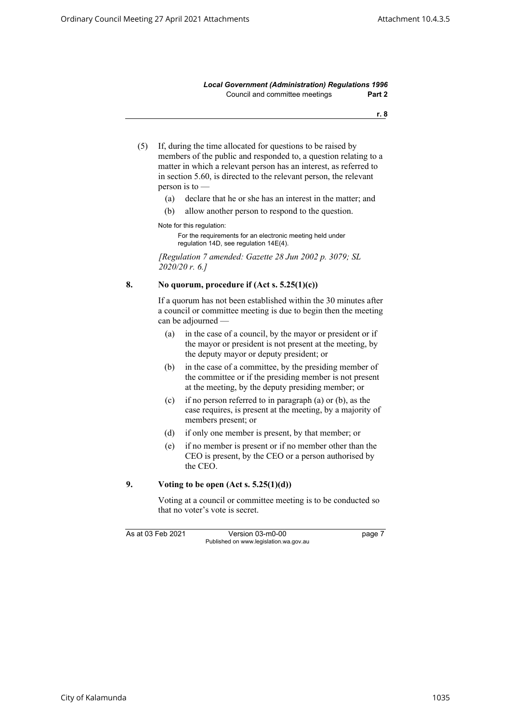*Local Government (Administration) Regulations 1996* Council and committee meetings **Part 2**

**r. 8**

- (5) If, during the time allocated for questions to be raised by members of the public and responded to, a question relating to a matter in which a relevant person has an interest, as referred to in section 5.60, is directed to the relevant person, the relevant person is to —
	- (a) declare that he or she has an interest in the matter; and
	- (b) allow another person to respond to the question.

Note for this regulation:

For the requirements for an electronic meeting held under regulation 14D, see regulation 14E(4).

*[Regulation 7 amended: Gazette 28 Jun 2002 p. 3079; SL 2020/20 r. 6.]*

#### <span id="page-14-0"></span>**8. No quorum, procedure if (Act s. 5.25(1)(c))**

If a quorum has not been established within the 30 minutes after a council or committee meeting is due to begin then the meeting can be adjourned —

- (a) in the case of a council, by the mayor or president or if the mayor or president is not present at the meeting, by the deputy mayor or deputy president; or
- (b) in the case of a committee, by the presiding member of the committee or if the presiding member is not present at the meeting, by the deputy presiding member; or
- (c) if no person referred to in paragraph (a) or (b), as the case requires, is present at the meeting, by a majority of members present; or
- (d) if only one member is present, by that member; or
- (e) if no member is present or if no member other than the CEO is present, by the CEO or a person authorised by the CEO.

#### <span id="page-14-1"></span>**9. Voting to be open (Act s. 5.25(1)(d))**

Voting at a council or committee meeting is to be conducted so that no voter's vote is secret.

As at 03 Feb 2021 Version 03-m0-00 page 7 Published on www.legislation.wa.gov.au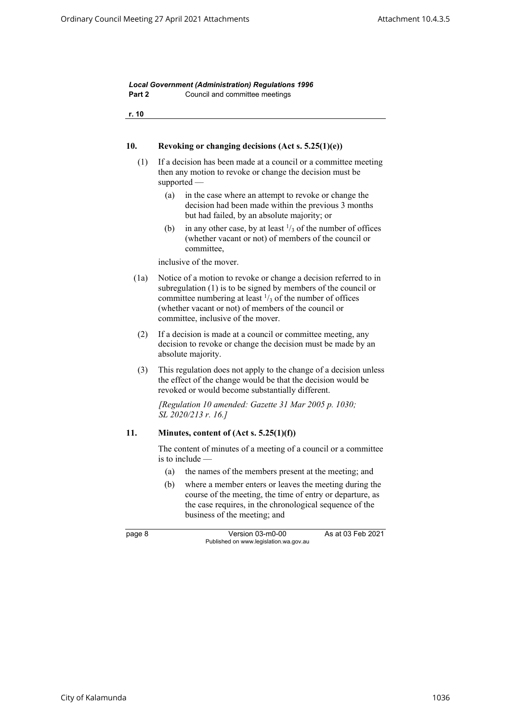<span id="page-15-1"></span><span id="page-15-0"></span>

| r. 10 |                                                                                                                                                                                                                                                                                                         |
|-------|---------------------------------------------------------------------------------------------------------------------------------------------------------------------------------------------------------------------------------------------------------------------------------------------------------|
| 10.   | Revoking or changing decisions (Act s. $5.25(1)(e)$ )                                                                                                                                                                                                                                                   |
| (1)   | If a decision has been made at a council or a committee meeting<br>then any motion to revoke or change the decision must be<br>$supported$ —                                                                                                                                                            |
|       | (a)<br>in the case where an attempt to revoke or change the<br>decision had been made within the previous 3 months<br>but had failed, by an absolute majority; or                                                                                                                                       |
|       | in any other case, by at least $\frac{1}{3}$ of the number of offices<br>(b)<br>(whether vacant or not) of members of the council or<br>committee,                                                                                                                                                      |
|       | inclusive of the mover.                                                                                                                                                                                                                                                                                 |
| (1a)  | Notice of a motion to revoke or change a decision referred to in<br>subregulation (1) is to be signed by members of the council or<br>committee numbering at least $\frac{1}{3}$ of the number of offices<br>(whether vacant or not) of members of the council or<br>committee, inclusive of the mover. |
| (2)   | If a decision is made at a council or committee meeting, any<br>decision to revoke or change the decision must be made by an<br>absolute majority.                                                                                                                                                      |
| (3)   | This regulation does not apply to the change of a decision unless<br>the effect of the change would be that the decision would be<br>revoked or would become substantially different.                                                                                                                   |
|       | [Regulation 10 amended: Gazette 31 Mar 2005 p. 1030;<br>SL 2020/213 r. 16.]                                                                                                                                                                                                                             |
| 11.   | Minutes, content of $(Act s. 5.25(1)(f))$                                                                                                                                                                                                                                                               |
|       | The content of minutes of a meeting of a council or a committee<br>is to include $-$                                                                                                                                                                                                                    |
|       | the names of the members present at the meeting; and<br>(a)                                                                                                                                                                                                                                             |
|       | (b)<br>where a member enters or leaves the meeting during the<br>course of the meeting, the time of entry or departure, as<br>the case requires, in the chronological sequence of the<br>business of the meeting; and                                                                                   |
|       | As at 03 Feb 2021<br>Version 03-m0-00<br>Published on www.legislation.wa.gov.au                                                                                                                                                                                                                         |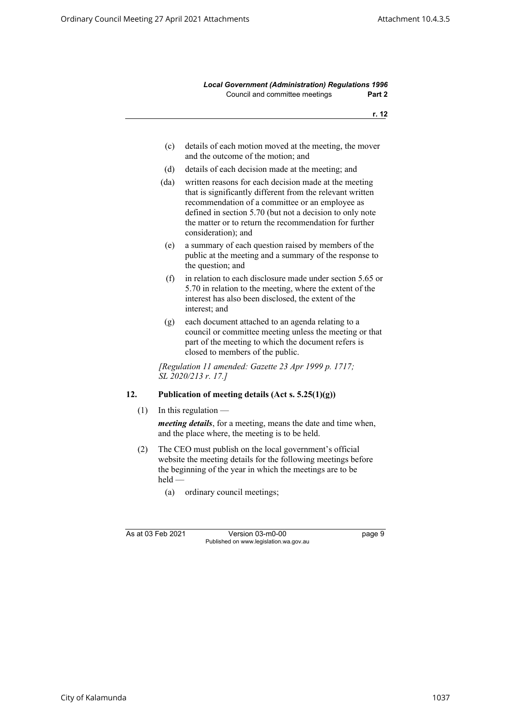*Local Government (Administration) Regulations 1996* Council and committee meetings **Part 2**

**r. 12**

- (c) details of each motion moved at the meeting, the mover and the outcome of the motion; and
- (d) details of each decision made at the meeting; and
- (da) written reasons for each decision made at the meeting that is significantly different from the relevant written recommendation of a committee or an employee as defined in section 5.70 (but not a decision to only note the matter or to return the recommendation for further consideration); and
- (e) a summary of each question raised by members of the public at the meeting and a summary of the response to the question; and
- (f) in relation to each disclosure made under section 5.65 or 5.70 in relation to the meeting, where the extent of the interest has also been disclosed, the extent of the interest; and
- (g) each document attached to an agenda relating to a council or committee meeting unless the meeting or that part of the meeting to which the document refers is closed to members of the public.

*[Regulation 11 amended: Gazette 23 Apr 1999 p. 1717; SL 2020/213 r. 17.]*

## <span id="page-16-0"></span>**12. Publication of meeting details (Act s. 5.25(1)(g))**

 $(1)$  In this regulation —

*meeting details*, for a meeting, means the date and time when, and the place where, the meeting is to be held.

- (2) The CEO must publish on the local government's official website the meeting details for the following meetings before the beginning of the year in which the meetings are to be held —
	- (a) ordinary council meetings;

As at 03 Feb 2021 Version 03-m0-00 page 9 Published on www.legislation.wa.gov.au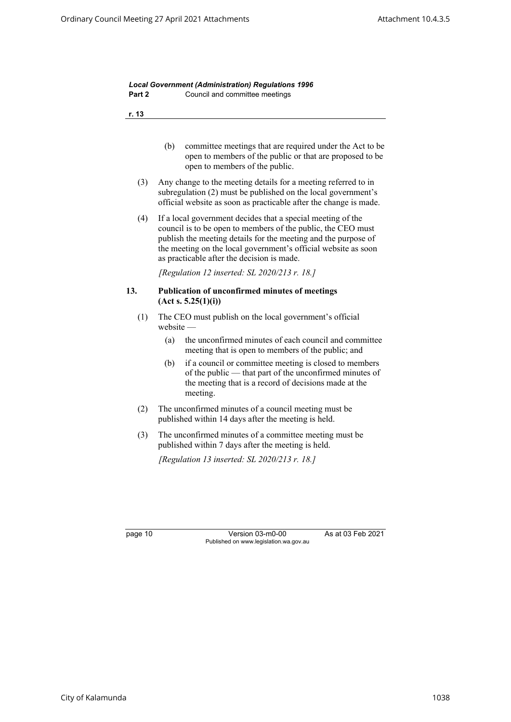<span id="page-17-0"></span>

| Part 2  | Council and committee meetings                                                                                                                                                                                                                                                                                |
|---------|---------------------------------------------------------------------------------------------------------------------------------------------------------------------------------------------------------------------------------------------------------------------------------------------------------------|
| r. 13   |                                                                                                                                                                                                                                                                                                               |
|         | (b)<br>committee meetings that are required under the Act to be<br>open to members of the public or that are proposed to be<br>open to members of the public.                                                                                                                                                 |
| (3)     | Any change to the meeting details for a meeting referred to in<br>subregulation (2) must be published on the local government's<br>official website as soon as practicable after the change is made.                                                                                                          |
| (4)     | If a local government decides that a special meeting of the<br>council is to be open to members of the public, the CEO must<br>publish the meeting details for the meeting and the purpose of<br>the meeting on the local government's official website as soon<br>as practicable after the decision is made. |
|         | [Regulation 12 inserted: SL 2020/213 r. 18.]                                                                                                                                                                                                                                                                  |
| 13.     | Publication of unconfirmed minutes of meetings<br>(Act s. 5.25(1)(i))                                                                                                                                                                                                                                         |
| (1)     | The CEO must publish on the local government's official<br>$we b site -$                                                                                                                                                                                                                                      |
|         | the unconfirmed minutes of each council and committee<br>(a)<br>meeting that is open to members of the public; and                                                                                                                                                                                            |
|         | if a council or committee meeting is closed to members<br>(b)<br>of the public - that part of the unconfirmed minutes of<br>the meeting that is a record of decisions made at the<br>meeting.                                                                                                                 |
| (2)     | The unconfirmed minutes of a council meeting must be<br>published within 14 days after the meeting is held.                                                                                                                                                                                                   |
| (3)     | The unconfirmed minutes of a committee meeting must be<br>published within 7 days after the meeting is held.                                                                                                                                                                                                  |
|         | [Regulation 13 inserted: SL 2020/213 r. 18.]                                                                                                                                                                                                                                                                  |
|         |                                                                                                                                                                                                                                                                                                               |
|         |                                                                                                                                                                                                                                                                                                               |
| page 10 | Version 03-m0-00<br>As at 03 Feb 2021                                                                                                                                                                                                                                                                         |

Published on www.legislation.wa.gov.au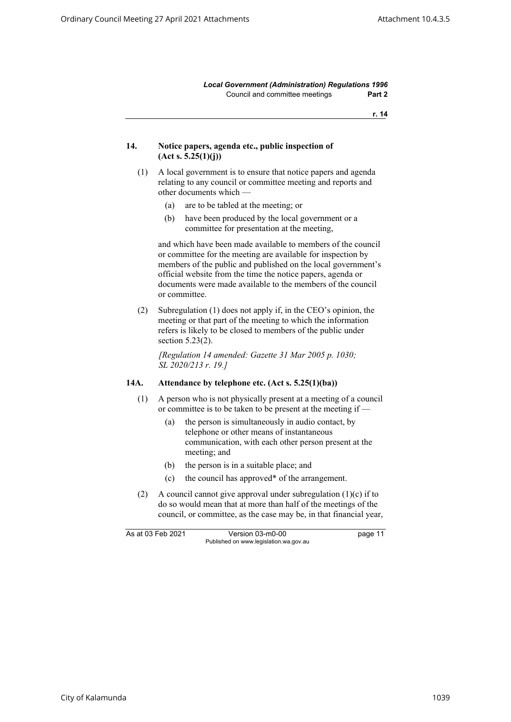*Local Government (Administration) Regulations 1996* Council and committee meetings **Part 2**

**r. 14**

#### <span id="page-18-0"></span>**14. Notice papers, agenda etc., public inspection of (Act s. 5.25(1)(j))**

- (1) A local government is to ensure that notice papers and agenda relating to any council or committee meeting and reports and other documents which —
	- (a) are to be tabled at the meeting; or
	- (b) have been produced by the local government or a committee for presentation at the meeting,

and which have been made available to members of the council or committee for the meeting are available for inspection by members of the public and published on the local government's official website from the time the notice papers, agenda or documents were made available to the members of the council or committee.

(2) Subregulation (1) does not apply if, in the CEO's opinion, the meeting or that part of the meeting to which the information refers is likely to be closed to members of the public under section 5.23(2).

*[Regulation 14 amended: Gazette 31 Mar 2005 p. 1030; SL 2020/213 r. 19.]*

### <span id="page-18-1"></span>**14A. Attendance by telephone etc. (Act s. 5.25(1)(ba))**

- (1) A person who is not physically present at a meeting of a council or committee is to be taken to be present at the meeting if —
	- (a) the person is simultaneously in audio contact, by telephone or other means of instantaneous communication, with each other person present at the meeting; and
	- (b) the person is in a suitable place; and
	- (c) the council has approved\* of the arrangement.
- (2) A council cannot give approval under subregulation (1)(c) if to do so would mean that at more than half of the meetings of the council, or committee, as the case may be, in that financial year,

As at 03 Feb 2021 Version 03-m0-00 bage 11 Published on www.legislation.wa.gov.au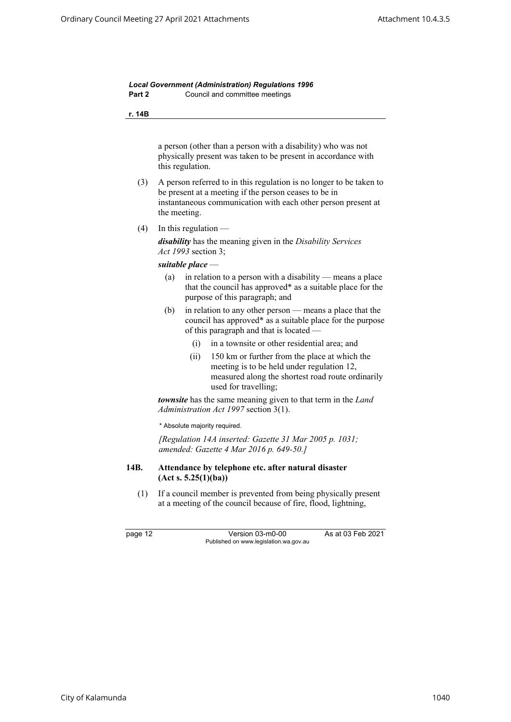*Local Government (Administration) Regulations 1996* **Part 2** Council and committee meetings

**r. 14B**

a person (other than a person with a disability) who was not physically present was taken to be present in accordance with this regulation.

- (3) A person referred to in this regulation is no longer to be taken to be present at a meeting if the person ceases to be in instantaneous communication with each other person present at the meeting.
- $(4)$  In this regulation —

*disability* has the meaning given in the *Disability Services Act 1993* section 3;

*suitable place* —

- (a) in relation to a person with a disability means a place that the council has approved\* as a suitable place for the purpose of this paragraph; and
- (b) in relation to any other person means a place that the council has approved\* as a suitable place for the purpose of this paragraph and that is located —
	- (i) in a townsite or other residential area; and
	- (ii) 150 km or further from the place at which the meeting is to be held under regulation 12, measured along the shortest road route ordinarily used for travelling;

*townsite* has the same meaning given to that term in the *Land Administration Act 1997* section 3(1).

\* Absolute majority required.

*[Regulation 14A inserted: Gazette 31 Mar 2005 p. 1031; amended: Gazette 4 Mar 2016 p. 649-50.]*

#### <span id="page-19-0"></span>**14B. Attendance by telephone etc. after natural disaster (Act s. 5.25(1)(ba))**

(1) If a council member is prevented from being physically present at a meeting of the council because of fire, flood, lightning,

page 12 Version 03-m0-00 As at 03 Feb 2021 Published on www.legislation.wa.gov.au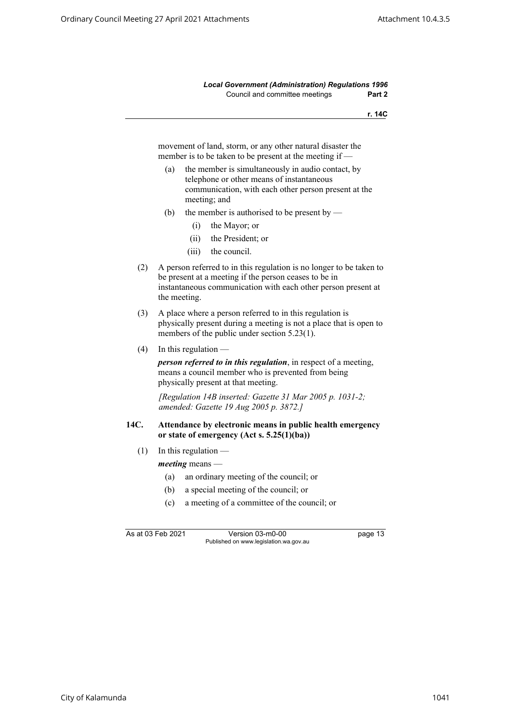*Local Government (Administration) Regulations 1996* Council and committee meetings **Part 2**

**r. 14C**

movement of land, storm, or any other natural disaster the member is to be taken to be present at the meeting if —

- (a) the member is simultaneously in audio contact, by telephone or other means of instantaneous communication, with each other person present at the meeting; and
- (b) the member is authorised to be present by
	- (i) the Mayor; or
	- (ii) the President; or
	- (iii) the council.
- (2) A person referred to in this regulation is no longer to be taken to be present at a meeting if the person ceases to be in instantaneous communication with each other person present at the meeting.
- (3) A place where a person referred to in this regulation is physically present during a meeting is not a place that is open to members of the public under section 5.23(1).
- $(4)$  In this regulation —

*person referred to in this regulation*, in respect of a meeting, means a council member who is prevented from being physically present at that meeting.

*[Regulation 14B inserted: Gazette 31 Mar 2005 p. 1031-2; amended: Gazette 19 Aug 2005 p. 3872.]*

#### <span id="page-20-0"></span>**14C. Attendance by electronic means in public health emergency or state of emergency (Act s. 5.25(1)(ba))**

- $(1)$  In this regulation
	- *meeting* means
		- (a) an ordinary meeting of the council; or
		- (b) a special meeting of the council; or
		- (c) a meeting of a committee of the council; or

As at 03 Feb 2021 Version 03-m0-00 page 13 Published on www.legislation.wa.gov.au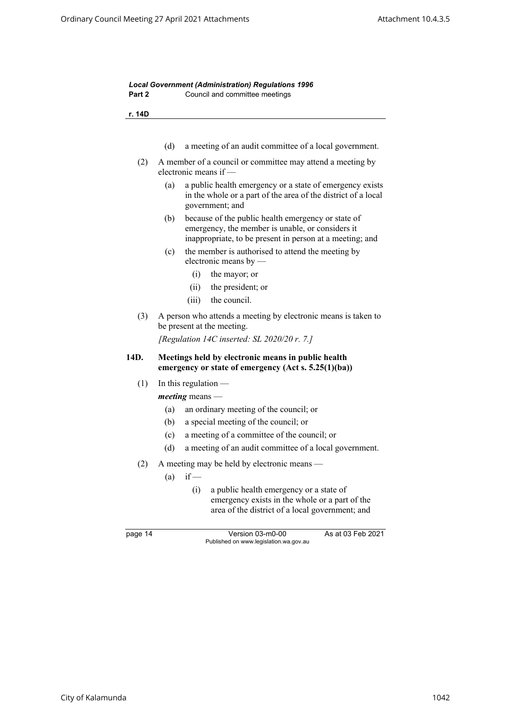<span id="page-21-0"></span>

| r. 14D  |                                                                                                                                                                           |
|---------|---------------------------------------------------------------------------------------------------------------------------------------------------------------------------|
|         | (d)<br>a meeting of an audit committee of a local government.                                                                                                             |
| (2)     | A member of a council or committee may attend a meeting by<br>electronic means if -                                                                                       |
|         | a public health emergency or a state of emergency exists<br>(a)<br>in the whole or a part of the area of the district of a local<br>government; and                       |
|         | because of the public health emergency or state of<br>(b)<br>emergency, the member is unable, or considers it<br>inappropriate, to be present in person at a meeting; and |
|         | (c)<br>the member is authorised to attend the meeting by<br>electronic means by $-$                                                                                       |
|         | (i)<br>the mayor; or                                                                                                                                                      |
|         | (ii)<br>the president; or                                                                                                                                                 |
|         | (iii)<br>the council.                                                                                                                                                     |
| (3)     | A person who attends a meeting by electronic means is taken to<br>be present at the meeting.<br>[Regulation 14C inserted: SL 2020/20 $r$ . 7.]                            |
| 14D.    | Meetings held by electronic means in public health<br>emergency or state of emergency $(Act s. 5.25(1)(ba))$                                                              |
|         |                                                                                                                                                                           |
| (1)     | In this regulation $-$                                                                                                                                                    |
|         | $meeting$ means —                                                                                                                                                         |
|         | an ordinary meeting of the council; or<br>(a)                                                                                                                             |
|         | a special meeting of the council; or<br>(b)                                                                                                                               |
|         | a meeting of a committee of the council; or<br>(c)                                                                                                                        |
|         | (d)<br>a meeting of an audit committee of a local government.                                                                                                             |
|         |                                                                                                                                                                           |
| (2)     | A meeting may be held by electronic means                                                                                                                                 |
|         | $if -$<br>(a)<br>(i)<br>a public health emergency or a state of<br>emergency exists in the whole or a part of the<br>area of the district of a local government; and      |
| page 14 | As at 03 Feb 2021<br>Version 03-m0-00<br>Published on www.legislation.wa.gov.au                                                                                           |
|         |                                                                                                                                                                           |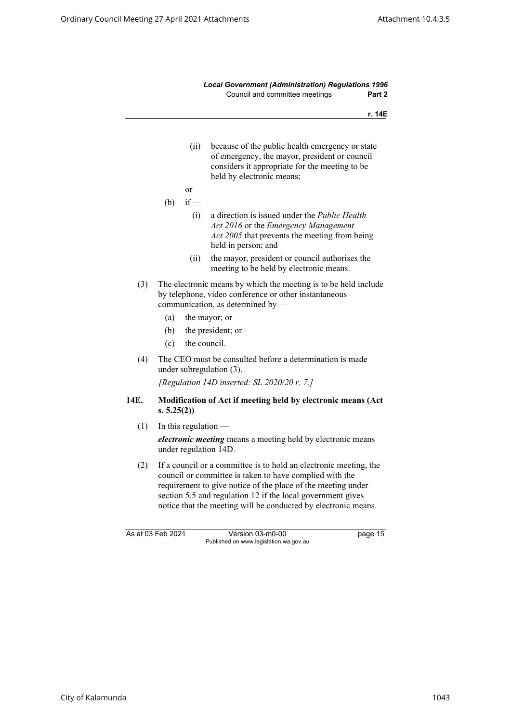<span id="page-22-0"></span>

|                   |            |                        | <b>Local Government (Administration) Regulations 1996</b><br>Council and committee meetings<br>Part 2                                                                                                                                                                                                                         |
|-------------------|------------|------------------------|-------------------------------------------------------------------------------------------------------------------------------------------------------------------------------------------------------------------------------------------------------------------------------------------------------------------------------|
|                   |            |                        | r. 14E                                                                                                                                                                                                                                                                                                                        |
|                   |            | (ii)                   | because of the public health emergency or state<br>of emergency, the mayor, president or council<br>considers it appropriate for the meeting to be<br>held by electronic means;                                                                                                                                               |
|                   |            | <b>or</b>              |                                                                                                                                                                                                                                                                                                                               |
|                   | (b)        | $if -$                 |                                                                                                                                                                                                                                                                                                                               |
|                   |            | (i)                    | a direction is issued under the <i>Public Health</i><br>Act 2016 or the Emergency Management<br>Act 2005 that prevents the meeting from being<br>held in person; and                                                                                                                                                          |
|                   |            | (ii)                   | the mayor, president or council authorises the<br>meeting to be held by electronic means.                                                                                                                                                                                                                                     |
| (3)               |            |                        | The electronic means by which the meeting is to be held include<br>by telephone, video conference or other instantaneous<br>communication, as determined by -                                                                                                                                                                 |
|                   | (a)        |                        | the mayor; or                                                                                                                                                                                                                                                                                                                 |
|                   | (b)        |                        | the president; or                                                                                                                                                                                                                                                                                                             |
|                   | (c)        | the council.           |                                                                                                                                                                                                                                                                                                                               |
| (4)               |            |                        | The CEO must be consulted before a determination is made<br>under subregulation (3).                                                                                                                                                                                                                                          |
|                   |            |                        | [Regulation 14D inserted: SL $2020/20$ r. 7.]                                                                                                                                                                                                                                                                                 |
| 14E.              | s. 5.25(2) |                        | Modification of Act if meeting held by electronic means (Act                                                                                                                                                                                                                                                                  |
| (1)               |            | In this regulation $-$ |                                                                                                                                                                                                                                                                                                                               |
|                   |            |                        | electronic meeting means a meeting held by electronic means<br>under regulation 14D.                                                                                                                                                                                                                                          |
| (2)               |            |                        | If a council or a committee is to hold an electronic meeting, the<br>council or committee is taken to have complied with the<br>requirement to give notice of the place of the meeting under<br>section 5.5 and regulation 12 if the local government gives<br>notice that the meeting will be conducted by electronic means. |
| As at 03 Feb 2021 |            |                        | Version 03-m0-00<br>page 15<br>Published on www.legislation.wa.gov.au                                                                                                                                                                                                                                                         |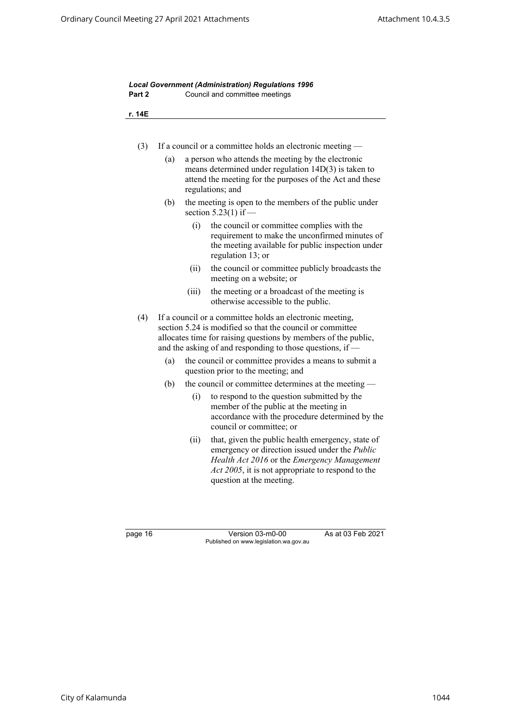| Part 2 |     |       | Council and committee meetings                                                                                                                                                                                                                       |
|--------|-----|-------|------------------------------------------------------------------------------------------------------------------------------------------------------------------------------------------------------------------------------------------------------|
| r. 14E |     |       |                                                                                                                                                                                                                                                      |
| (3)    |     |       | If a council or a committee holds an electronic meeting -                                                                                                                                                                                            |
|        | (a) |       | a person who attends the meeting by the electronic<br>means determined under regulation $14D(3)$ is taken to<br>attend the meeting for the purposes of the Act and these<br>regulations; and                                                         |
|        | (b) |       | the meeting is open to the members of the public under<br>section $5.23(1)$ if —                                                                                                                                                                     |
|        |     | (i)   | the council or committee complies with the<br>requirement to make the unconfirmed minutes of<br>the meeting available for public inspection under<br>regulation 13; or                                                                               |
|        |     | (ii)  | the council or committee publicly broadcasts the<br>meeting on a website; or                                                                                                                                                                         |
|        |     | (iii) | the meeting or a broadcast of the meeting is<br>otherwise accessible to the public.                                                                                                                                                                  |
| (4)    |     |       | If a council or a committee holds an electronic meeting,<br>section 5.24 is modified so that the council or committee<br>allocates time for raising questions by members of the public,<br>and the asking of and responding to those questions, if - |
|        | (a) |       | the council or committee provides a means to submit a<br>question prior to the meeting; and                                                                                                                                                          |
|        | (b) |       | the council or committee determines at the meeting —                                                                                                                                                                                                 |
|        |     | (i)   | to respond to the question submitted by the<br>member of the public at the meeting in<br>accordance with the procedure determined by the<br>council or committee; or                                                                                 |
|        |     | (ii)  | that, given the public health emergency, state of<br>emergency or direction issued under the Public<br>Health Act 2016 or the Emergency Management<br>Act 2005, it is not appropriate to respond to the<br>question at the meeting.                  |

page 16 Version 03-m0-00 As at 03 Feb 2021 Published on www.legislation.wa.gov.au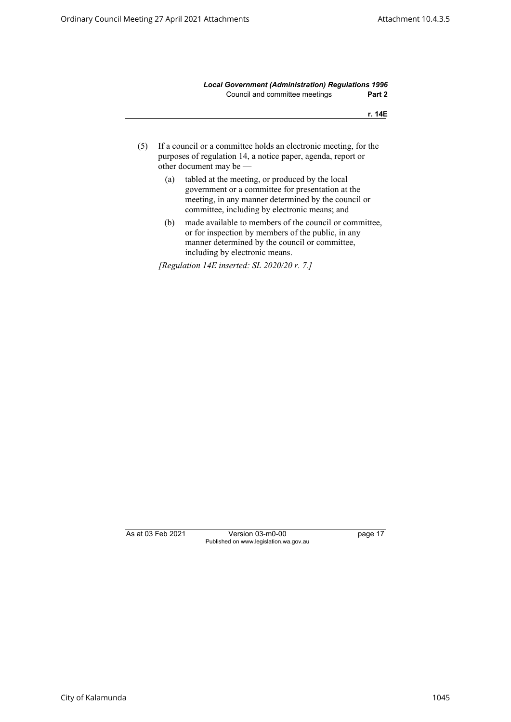*Local Government (Administration) Regulations 1996* Council and committee meetings **Part 2**

**r. 14E**

- (5) If a council or a committee holds an electronic meeting, for the purposes of regulation 14, a notice paper, agenda, report or other document may be —
	- (a) tabled at the meeting, or produced by the local government or a committee for presentation at the meeting, in any manner determined by the council or committee, including by electronic means; and
	- (b) made available to members of the council or committee, or for inspection by members of the public, in any manner determined by the council or committee, including by electronic means.

*[Regulation 14E inserted: SL 2020/20 r. 7.]*

As at 03 Feb 2021 Version 03-m0-00 page 17 Published on www.legislation.wa.gov.au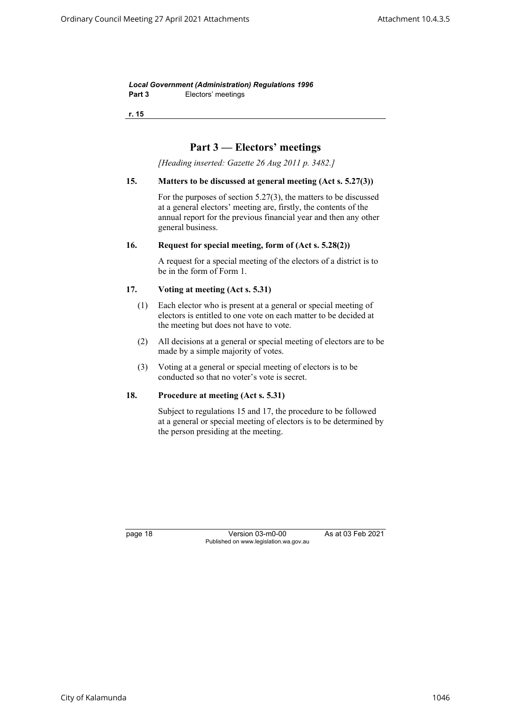*Local Government (Administration) Regulations 1996* Part 3 **Electors'** meetings

<span id="page-25-0"></span>**r. 15**

## **Part 3 — Electors' meetings**

*[Heading inserted: Gazette 26 Aug 2011 p. 3482.]*

#### **15. Matters to be discussed at general meeting (Act s. 5.27(3))**

For the purposes of section 5.27(3), the matters to be discussed at a general electors' meeting are, firstly, the contents of the annual report for the previous financial year and then any other general business.

#### <span id="page-25-2"></span><span id="page-25-1"></span>**16. Request for special meeting, form of (Act s. 5.28(2))**

A request for a special meeting of the electors of a district is to be in the form of Form 1.

#### **17. Voting at meeting (Act s. 5.31)**

- (1) Each elector who is present at a general or special meeting of electors is entitled to one vote on each matter to be decided at the meeting but does not have to vote.
- (2) All decisions at a general or special meeting of electors are to be made by a simple majority of votes.
- (3) Voting at a general or special meeting of electors is to be conducted so that no voter's vote is secret.

## <span id="page-25-3"></span>**18. Procedure at meeting (Act s. 5.31)**

Subject to regulations 15 and 17, the procedure to be followed at a general or special meeting of electors is to be determined by the person presiding at the meeting.

page 18 Version 03-m0-00 As at 03 Feb 2021 Published on www.legislation.wa.gov.au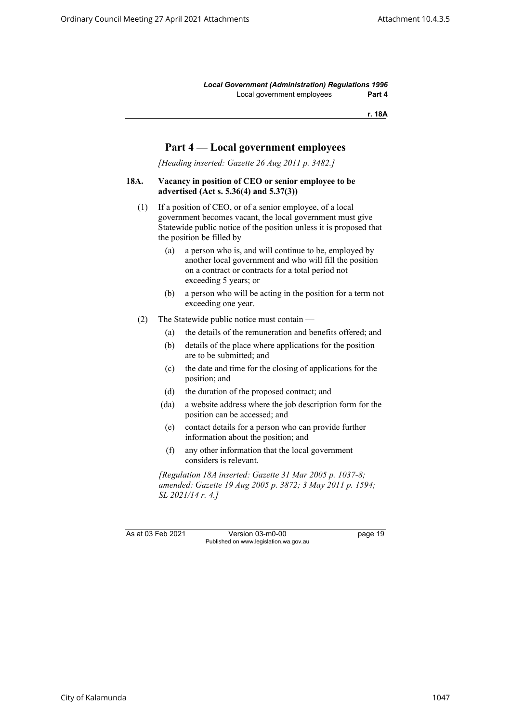*Local Government (Administration) Regulations 1996* Local government employees **Part 4**

**r. 18A**

## **Part 4 — Local government employees**

*[Heading inserted: Gazette 26 Aug 2011 p. 3482.]*

## <span id="page-26-0"></span>**18A. Vacancy in position of CEO or senior employee to be advertised (Act s. 5.36(4) and 5.37(3))**

- (1) If a position of CEO, or of a senior employee, of a local government becomes vacant, the local government must give Statewide public notice of the position unless it is proposed that the position be filled by  $-$ 
	- (a) a person who is, and will continue to be, employed by another local government and who will fill the position on a contract or contracts for a total period not exceeding 5 years; or
	- (b) a person who will be acting in the position for a term not exceeding one year.
- (2) The Statewide public notice must contain
	- (a) the details of the remuneration and benefits offered; and
	- (b) details of the place where applications for the position are to be submitted; and
	- (c) the date and time for the closing of applications for the position; and
	- (d) the duration of the proposed contract; and
	- (da) a website address where the job description form for the position can be accessed; and
	- (e) contact details for a person who can provide further information about the position; and
	- (f) any other information that the local government considers is relevant.

*[Regulation 18A inserted: Gazette 31 Mar 2005 p. 1037-8; amended: Gazette 19 Aug 2005 p. 3872; 3 May 2011 p. 1594; SL 2021/14 r. 4.]*

As at 03 Feb 2021 Version 03-m0-00 page 19 Published on www.legislation.wa.gov.au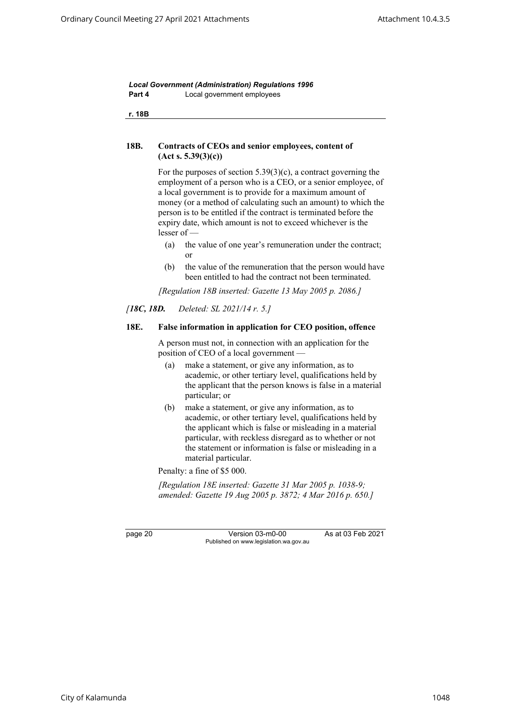*Local Government (Administration) Regulations 1996* **Part 4** Local government employees

<span id="page-27-0"></span>**r. 18B**

## **18B. Contracts of CEOs and senior employees, content of (Act s. 5.39(3)(c))**

For the purposes of section 5.39(3)(c), a contract governing the employment of a person who is a CEO, or a senior employee, of a local government is to provide for a maximum amount of money (or a method of calculating such an amount) to which the person is to be entitled if the contract is terminated before the expiry date, which amount is not to exceed whichever is the lesser of —

- (a) the value of one year's remuneration under the contract; or
- (b) the value of the remuneration that the person would have been entitled to had the contract not been terminated.

*[Regulation 18B inserted: Gazette 13 May 2005 p. 2086.]*

### <span id="page-27-1"></span>*[18C, 18D. Deleted: SL 2021/14 r. 5.]*

#### **18E. False information in application for CEO position, offence**

A person must not, in connection with an application for the position of CEO of a local government —

- (a) make a statement, or give any information, as to academic, or other tertiary level, qualifications held by the applicant that the person knows is false in a material particular; or
- (b) make a statement, or give any information, as to academic, or other tertiary level, qualifications held by the applicant which is false or misleading in a material particular, with reckless disregard as to whether or not the statement or information is false or misleading in a material particular.

Penalty: a fine of \$5 000.

*[Regulation 18E inserted: Gazette 31 Mar 2005 p. 1038-9; amended: Gazette 19 Aug 2005 p. 3872; 4 Mar 2016 p. 650.]*

page 20 Version 03-m0-00 As at 03 Feb 2021 Published on www.legislation.wa.gov.au

City of Kalamunda 1048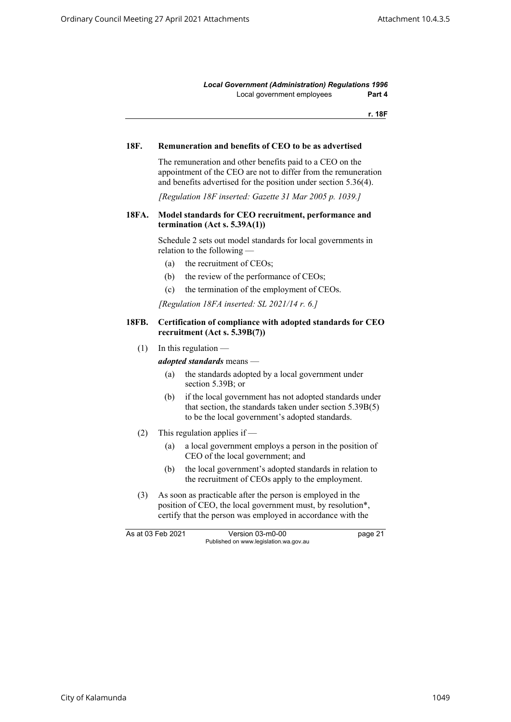*Local Government (Administration) Regulations 1996* Local government employees **Part 4**

**r. 18F**

#### <span id="page-28-1"></span><span id="page-28-0"></span>**18F. Remuneration and benefits of CEO to be as advertised**

The remuneration and other benefits paid to a CEO on the appointment of the CEO are not to differ from the remuneration and benefits advertised for the position under section 5.36(4).

*[Regulation 18F inserted: Gazette 31 Mar 2005 p. 1039.]*

#### **18FA. Model standards for CEO recruitment, performance and termination (Act s. 5.39A(1))**

Schedule 2 sets out model standards for local governments in relation to the following —

- (a) the recruitment of CEOs;
- (b) the review of the performance of CEOs;
- (c) the termination of the employment of CEOs.

*[Regulation 18FA inserted: SL 2021/14 r. 6.]*

#### <span id="page-28-2"></span>**18FB. Certification of compliance with adopted standards for CEO recruitment (Act s. 5.39B(7))**

 $(1)$  In this regulation —

*adopted standards* means —

- (a) the standards adopted by a local government under section 5.39B; or
- (b) if the local government has not adopted standards under that section, the standards taken under section 5.39B(5) to be the local government's adopted standards.
- (2) This regulation applies if
	- (a) a local government employs a person in the position of CEO of the local government; and
	- (b) the local government's adopted standards in relation to the recruitment of CEOs apply to the employment.
- (3) As soon as practicable after the person is employed in the position of CEO, the local government must, by resolution\*, certify that the person was employed in accordance with the

As at 03 Feb 2021 Version 03-m0-00 bage 21 Published on www.legislation.wa.gov.au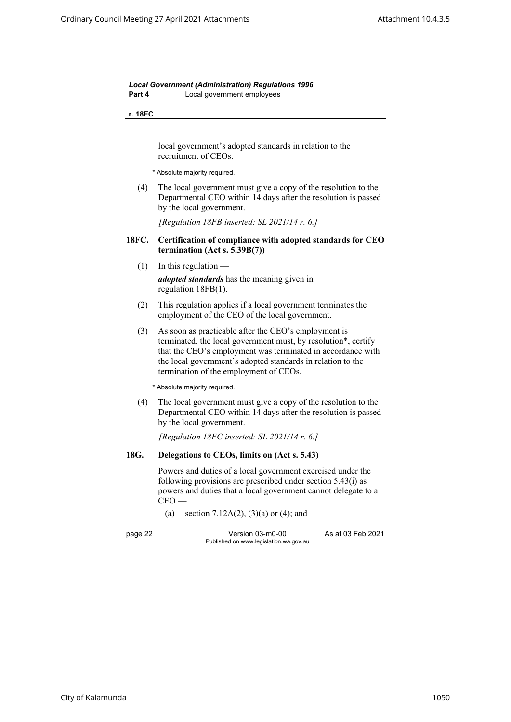*Local Government (Administration) Regulations 1996* **Part 4** Local government employees

#### **r. 18FC**

local government's adopted standards in relation to the recruitment of CEOs.

\* Absolute majority required.

<span id="page-29-0"></span>(4) The local government must give a copy of the resolution to the Departmental CEO within 14 days after the resolution is passed by the local government.

*[Regulation 18FB inserted: SL 2021/14 r. 6.]*

#### **18FC. Certification of compliance with adopted standards for CEO termination (Act s. 5.39B(7))**

- $(1)$  In this regulation *adopted standards* has the meaning given in regulation 18FB(1).
- (2) This regulation applies if a local government terminates the employment of the CEO of the local government.
- (3) As soon as practicable after the CEO's employment is terminated, the local government must, by resolution\*, certify that the CEO's employment was terminated in accordance with the local government's adopted standards in relation to the termination of the employment of CEOs.

\* Absolute majority required.

(4) The local government must give a copy of the resolution to the Departmental CEO within 14 days after the resolution is passed by the local government.

*[Regulation 18FC inserted: SL 2021/14 r. 6.]*

### <span id="page-29-1"></span>**18G. Delegations to CEOs, limits on (Act s. 5.43)**

Powers and duties of a local government exercised under the following provisions are prescribed under section 5.43(i) as powers and duties that a local government cannot delegate to a  $CEO -$ 

(a) section 7.12A(2), (3)(a) or (4); and

page 22 Version 03-m0-00 As at 03 Feb 2021 Published on www.legislation.wa.gov.au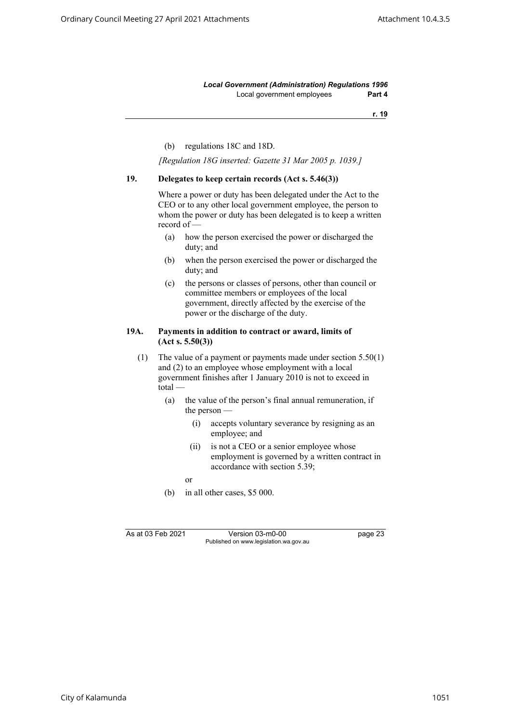*Local Government (Administration) Regulations 1996* Local government employees **Part 4**

**r. 19**

(b) regulations 18C and 18D.

*[Regulation 18G inserted: Gazette 31 Mar 2005 p. 1039.]*

#### <span id="page-30-0"></span>**19. Delegates to keep certain records (Act s. 5.46(3))**

Where a power or duty has been delegated under the Act to the CEO or to any other local government employee, the person to whom the power or duty has been delegated is to keep a written record of —

- (a) how the person exercised the power or discharged the duty; and
- (b) when the person exercised the power or discharged the duty; and
- (c) the persons or classes of persons, other than council or committee members or employees of the local government, directly affected by the exercise of the power or the discharge of the duty.

#### <span id="page-30-1"></span>**19A. Payments in addition to contract or award, limits of (Act s. 5.50(3))**

(1) The value of a payment or payments made under section 5.50(1) and (2) to an employee whose employment with a local government finishes after 1 January 2010 is not to exceed in total —

- (a) the value of the person's final annual remuneration, if the person —
	- (i) accepts voluntary severance by resigning as an employee; and
	- (ii) is not a CEO or a senior employee whose employment is governed by a written contract in accordance with section 5.39;

or

(b) in all other cases, \$5 000.

As at 03 Feb 2021 Version 03-m0-00 page 23 Published on www.legislation.wa.gov.au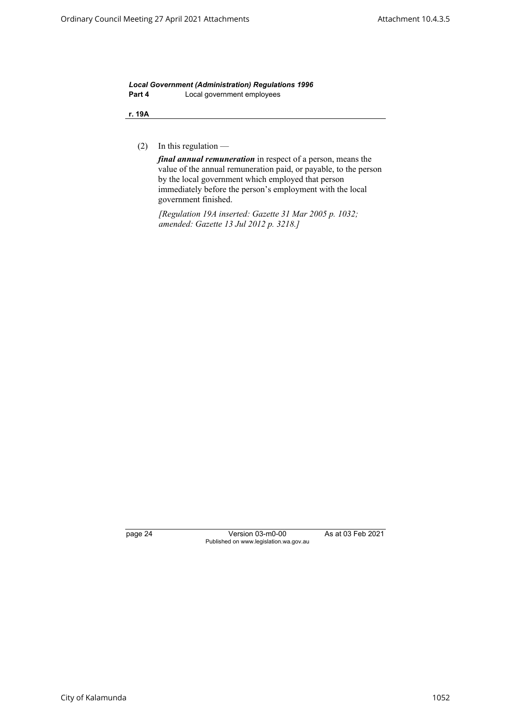*Local Government (Administration) Regulations 1996* **Part 4** Local government employees

**r. 19A**

(2) In this regulation —

*final annual remuneration* in respect of a person, means the value of the annual remuneration paid, or payable, to the person by the local government which employed that person immediately before the person's employment with the local government finished.

*[Regulation 19A inserted: Gazette 31 Mar 2005 p. 1032; amended: Gazette 13 Jul 2012 p. 3218.]*

page 24 Version 03-m0-00 As at 03 Feb 2021 Published on www.legislation.wa.gov.au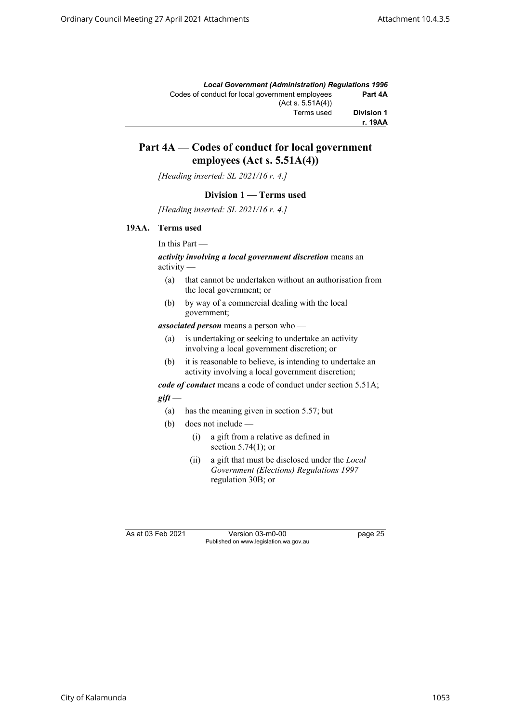|                   | <b>Local Government (Administration) Requlations 1996</b> |
|-------------------|-----------------------------------------------------------|
| Part 4A           | Codes of conduct for local government employees           |
|                   | (Act s. 5.51A(4))                                         |
| <b>Division 1</b> | Terms used                                                |
| r. 19AA           |                                                           |

## **Part 4A — Codes of conduct for local government employees (Act s. 5.51A(4))**

*[Heading inserted: SL 2021/16 r. 4.]*

#### **Division 1 — Terms used**

*[Heading inserted: SL 2021/16 r. 4.]*

#### <span id="page-32-0"></span>**19AA. Terms used**

In this Part —

#### *activity involving a local government discretion* means an activity —

- (a) that cannot be undertaken without an authorisation from the local government; or
- (b) by way of a commercial dealing with the local government;

*associated person* means a person who —

- (a) is undertaking or seeking to undertake an activity involving a local government discretion; or
- (b) it is reasonable to believe, is intending to undertake an activity involving a local government discretion;

*code of conduct* means a code of conduct under section 5.51A;

## *gift* —

- (a) has the meaning given in section 5.57; but
- (b) does not include
	- (i) a gift from a relative as defined in section 5.74(1); or
	- (ii) a gift that must be disclosed under the *Local Government (Elections) Regulations 1997* regulation 30B; or

As at 03 Feb 2021 Version 03-m0-00 page 25 Published on www.legislation.wa.gov.au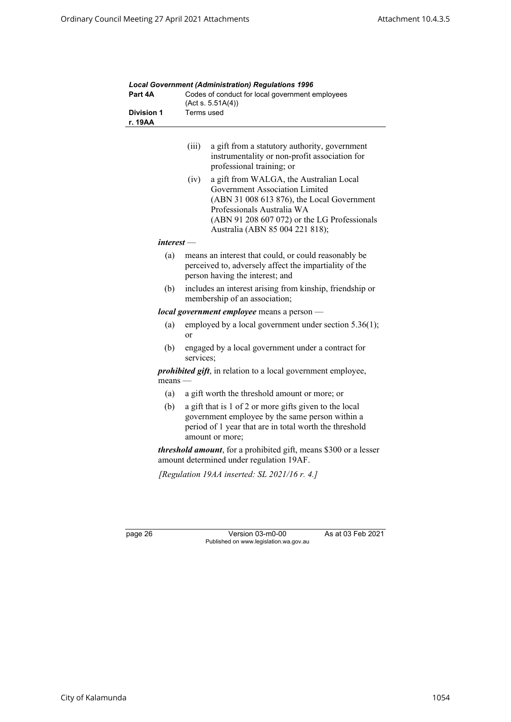| Part 4A                      | Lucar Government (Administration) Regulations 1990<br>Codes of conduct for local government employees<br>(Acts. 5.51A(4))                                                                                                                        |  |
|------------------------------|--------------------------------------------------------------------------------------------------------------------------------------------------------------------------------------------------------------------------------------------------|--|
| <b>Division 1</b><br>r. 19AA | Terms used                                                                                                                                                                                                                                       |  |
|                              | (iii)<br>a gift from a statutory authority, government<br>instrumentality or non-profit association for<br>professional training; or                                                                                                             |  |
|                              | a gift from WALGA, the Australian Local<br>(iv)<br>Government Association Limited<br>(ABN 31 008 613 876), the Local Government<br>Professionals Australia WA<br>(ABN 91 208 607 072) or the LG Professionals<br>Australia (ABN 85 004 221 818); |  |
| $interest -$                 |                                                                                                                                                                                                                                                  |  |
| (a)                          | means an interest that could, or could reasonably be<br>perceived to, adversely affect the impartiality of the<br>person having the interest; and                                                                                                |  |
| (b)                          | includes an interest arising from kinship, friendship or<br>membership of an association;                                                                                                                                                        |  |
|                              | local government employee means a person -                                                                                                                                                                                                       |  |
| (a)                          | employed by a local government under section 5.36(1);<br>or                                                                                                                                                                                      |  |
| (b)                          | engaged by a local government under a contract for<br>services;                                                                                                                                                                                  |  |
| means -                      | <i>prohibited gift</i> , in relation to a local government employee,                                                                                                                                                                             |  |
| (a)                          | a gift worth the threshold amount or more; or                                                                                                                                                                                                    |  |
| (b)                          | a gift that is 1 of 2 or more gifts given to the local<br>government employee by the same person within a<br>period of 1 year that are in total worth the threshold<br>amount or more;                                                           |  |
|                              | <i>threshold amount</i> , for a prohibited gift, means \$300 or a lesser<br>amount determined under regulation 19AF.                                                                                                                             |  |
|                              | [Regulation 19AA inserted: SL 2021/16 $r$ . 4.]                                                                                                                                                                                                  |  |
|                              |                                                                                                                                                                                                                                                  |  |

*Local Government (Administration) Regulations 1996*

page 26 Version 03-m0-00 As at 03 Feb 2021 Published on www.legislation.wa.gov.au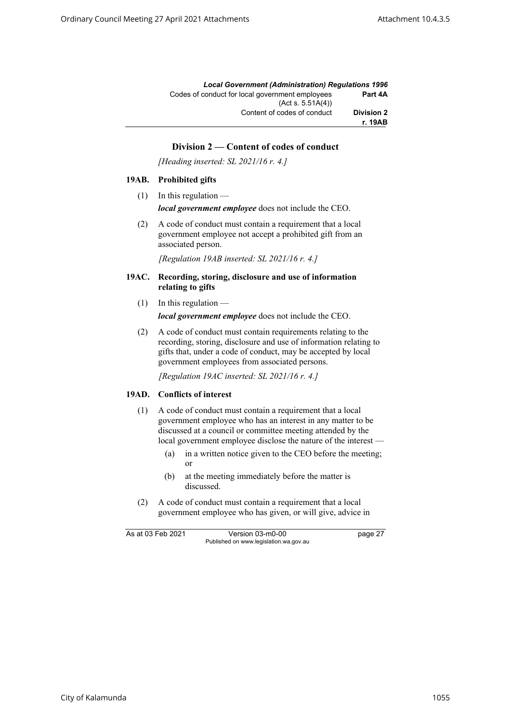|                   | <b>Local Government (Administration) Requlations 1996</b> |
|-------------------|-----------------------------------------------------------|
| Part 4A           | Codes of conduct for local government employees           |
|                   | (Acts. 5.51A(4))                                          |
| <b>Division 2</b> | Content of codes of conduct                               |
| r. 19AB           |                                                           |

## **Division 2 — Content of codes of conduct**

*[Heading inserted: SL 2021/16 r. 4.]*

#### <span id="page-34-0"></span>**19AB. Prohibited gifts**

 $(1)$  In this regulation —

*local government employee* does not include the CEO.

(2) A code of conduct must contain a requirement that a local government employee not accept a prohibited gift from an associated person.

*[Regulation 19AB inserted: SL 2021/16 r. 4.]*

- <span id="page-34-1"></span>**19AC. Recording, storing, disclosure and use of information relating to gifts** 
	- $(1)$  In this regulation —

*local government employee* does not include the CEO.

(2) A code of conduct must contain requirements relating to the recording, storing, disclosure and use of information relating to gifts that, under a code of conduct, may be accepted by local government employees from associated persons.

*[Regulation 19AC inserted: SL 2021/16 r. 4.]*

#### <span id="page-34-2"></span>**19AD. Conflicts of interest**

- (1) A code of conduct must contain a requirement that a local government employee who has an interest in any matter to be discussed at a council or committee meeting attended by the local government employee disclose the nature of the interest -
	- (a) in a written notice given to the CEO before the meeting; or
	- (b) at the meeting immediately before the matter is discussed.
- (2) A code of conduct must contain a requirement that a local government employee who has given, or will give, advice in

As at 03 Feb 2021 Version 03-m0-00 page 27 Published on www.legislation.wa.gov.au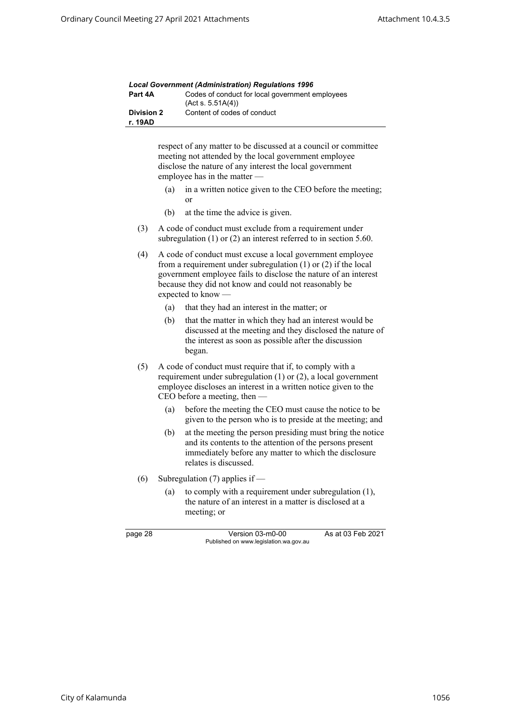|                              | <b>Local Government (Administration) Regulations 1996</b>            |
|------------------------------|----------------------------------------------------------------------|
| Part 4A                      | Codes of conduct for local government employees<br>(Act s. 5.51A(4)) |
| <b>Division 2</b><br>r. 19AD | Content of codes of conduct                                          |

respect of any matter to be discussed at a council or committee meeting not attended by the local government employee disclose the nature of any interest the local government employee has in the matter —

- (a) in a written notice given to the CEO before the meeting; or
- (b) at the time the advice is given.
- (3) A code of conduct must exclude from a requirement under subregulation (1) or (2) an interest referred to in section 5.60.
- (4) A code of conduct must excuse a local government employee from a requirement under subregulation (1) or (2) if the local government employee fails to disclose the nature of an interest because they did not know and could not reasonably be expected to know —
	- (a) that they had an interest in the matter; or
	- (b) that the matter in which they had an interest would be discussed at the meeting and they disclosed the nature of the interest as soon as possible after the discussion began.
- (5) A code of conduct must require that if, to comply with a requirement under subregulation (1) or (2), a local government employee discloses an interest in a written notice given to the CEO before a meeting, then —
	- (a) before the meeting the CEO must cause the notice to be given to the person who is to preside at the meeting; and
	- (b) at the meeting the person presiding must bring the notice and its contents to the attention of the persons present immediately before any matter to which the disclosure relates is discussed.
- (6) Subregulation (7) applies if
	- (a) to comply with a requirement under subregulation (1), the nature of an interest in a matter is disclosed at a meeting; or

| r.<br>c<br>- 7 |
|----------------|
|----------------|

Version 03-m0-00 As at 03 Feb 2021 Published on www.legislation.wa.gov.au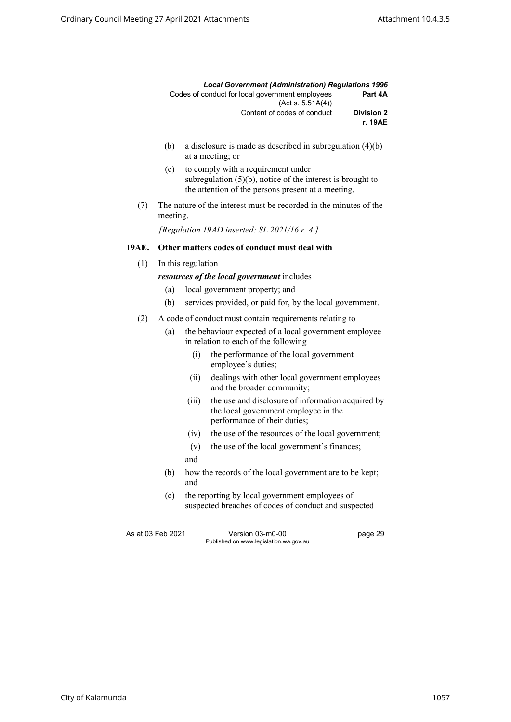|                              | <b>Local Government (Administration) Regulations 1996</b>            |
|------------------------------|----------------------------------------------------------------------|
| Part 4A                      | Codes of conduct for local government employees<br>(Act s. 5.51A(4)) |
| <b>Division 2</b><br>r. 19AE | Content of codes of conduct                                          |

- (b) a disclosure is made as described in subregulation (4)(b) at a meeting; or
- (c) to comply with a requirement under subregulation (5)(b), notice of the interest is brought to the attention of the persons present at a meeting.
- (7) The nature of the interest must be recorded in the minutes of the meeting.

*[Regulation 19AD inserted: SL 2021/16 r. 4.]*

# **19AE. Other matters codes of conduct must deal with**

 $(1)$  In this regulation —

*resources of the local government* includes —

- (a) local government property; and
- (b) services provided, or paid for, by the local government.
- (2) A code of conduct must contain requirements relating to
	- (a) the behaviour expected of a local government employee in relation to each of the following —
		- (i) the performance of the local government employee's duties;
		- (ii) dealings with other local government employees and the broader community;
		- (iii) the use and disclosure of information acquired by the local government employee in the performance of their duties;
		- (iv) the use of the resources of the local government;
		- (v) the use of the local government's finances;
		- and
	- (b) how the records of the local government are to be kept; and
	- (c) the reporting by local government employees of suspected breaches of codes of conduct and suspected

As at 03 Feb 2021 Version 03-m0-00 page 29 Published on www.legislation.wa.gov.au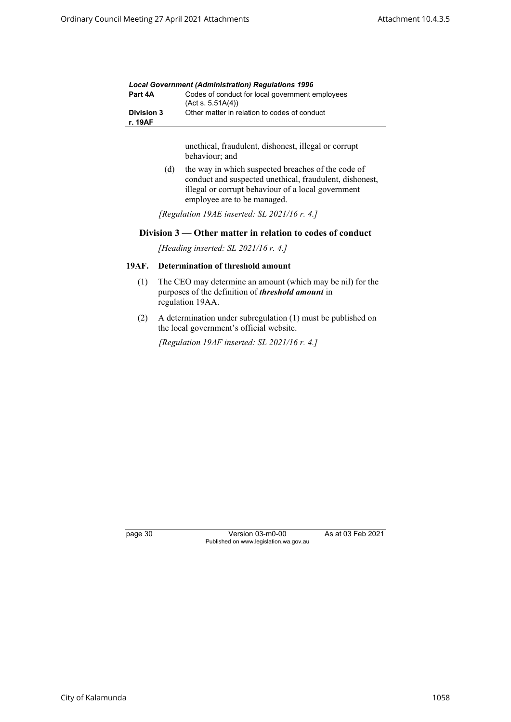| <b>Local Government (Administration) Requlations 1996</b> |                                                                      |
|-----------------------------------------------------------|----------------------------------------------------------------------|
| Part 4A                                                   | Codes of conduct for local government employees<br>(Act s. 5.51A(4)) |
| <b>Division 3</b><br>r. 19AF                              | Other matter in relation to codes of conduct                         |

unethical, fraudulent, dishonest, illegal or corrupt behaviour; and

(d) the way in which suspected breaches of the code of conduct and suspected unethical, fraudulent, dishonest, illegal or corrupt behaviour of a local government employee are to be managed.

*[Regulation 19AE inserted: SL 2021/16 r. 4.]*

## **Division 3 — Other matter in relation to codes of conduct**

*[Heading inserted: SL 2021/16 r. 4.]*

# **19AF. Determination of threshold amount**

- (1) The CEO may determine an amount (which may be nil) for the purposes of the definition of *threshold amount* in regulation 19AA.
- (2) A determination under subregulation (1) must be published on the local government's official website.

*[Regulation 19AF inserted: SL 2021/16 r. 4.]*

page 30 Version 03-m0-00 As at 03 Feb 2021 Published on www.legislation.wa.gov.au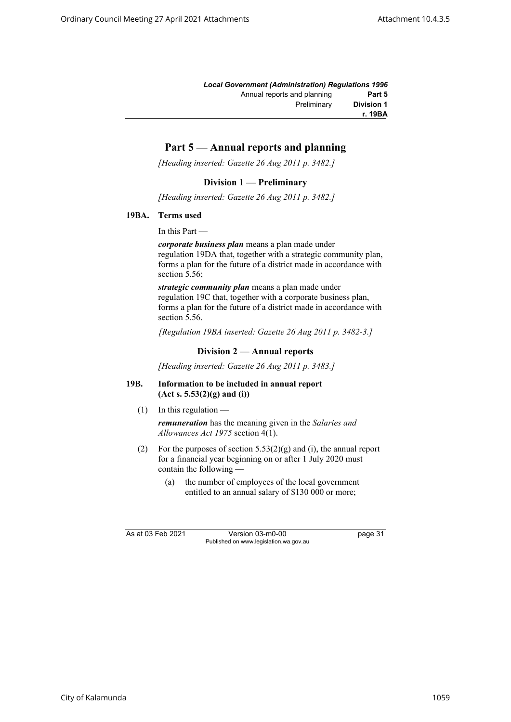|                   | <b>Local Government (Administration) Requlations 1996</b> |
|-------------------|-----------------------------------------------------------|
| Part 5            | Annual reports and planning                               |
| <b>Division 1</b> | Preliminary                                               |
| r. 19BA           |                                                           |

# **Part 5 — Annual reports and planning**

*[Heading inserted: Gazette 26 Aug 2011 p. 3482.]*

# **Division 1 — Preliminary**

*[Heading inserted: Gazette 26 Aug 2011 p. 3482.]*

#### **19BA. Terms used**

In this Part —

*corporate business plan* means a plan made under regulation 19DA that, together with a strategic community plan, forms a plan for the future of a district made in accordance with section 5.56;

*strategic community plan* means a plan made under regulation 19C that, together with a corporate business plan, forms a plan for the future of a district made in accordance with section 5.56.

*[Regulation 19BA inserted: Gazette 26 Aug 2011 p. 3482-3.]*

# **Division 2 — Annual reports**

*[Heading inserted: Gazette 26 Aug 2011 p. 3483.]*

#### **19B. Information to be included in annual report (Act s. 5.53(2)(g) and (i))**

 $(1)$  In this regulation —

*remuneration* has the meaning given in the *Salaries and Allowances Act 1975* section 4(1).

- (2) For the purposes of section  $5.53(2)(g)$  and (i), the annual report for a financial year beginning on or after 1 July 2020 must contain the following —
	- (a) the number of employees of the local government entitled to an annual salary of \$130 000 or more;

As at 03 Feb 2021 Version 03-m0-00 page 31 Published on www.legislation.wa.gov.au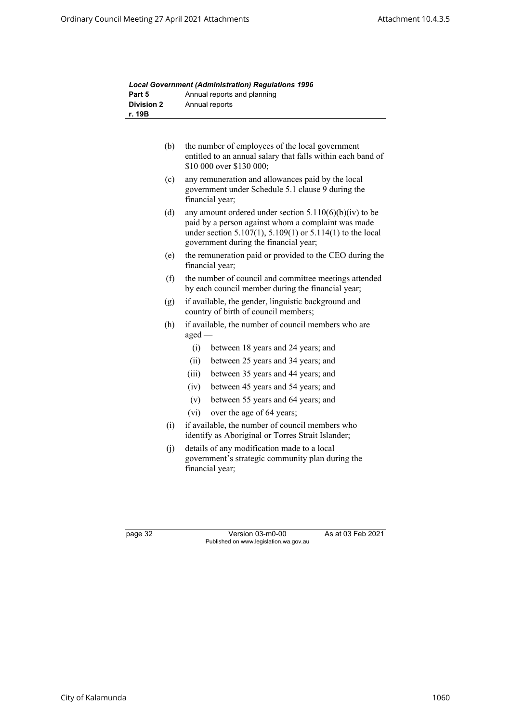| Part 5            | Annual reports and planning                                                                                                                                                                                                 |
|-------------------|-----------------------------------------------------------------------------------------------------------------------------------------------------------------------------------------------------------------------------|
| <b>Division 2</b> | Annual reports                                                                                                                                                                                                              |
| r. 19B            |                                                                                                                                                                                                                             |
|                   |                                                                                                                                                                                                                             |
| (b)               | the number of employees of the local government<br>entitled to an annual salary that falls within each band of<br>\$10 000 over \$130 000;                                                                                  |
| (c)               | any remuneration and allowances paid by the local<br>government under Schedule 5.1 clause 9 during the<br>financial year;                                                                                                   |
| (d)               | any amount ordered under section $5.110(6)(b)(iv)$ to be<br>paid by a person against whom a complaint was made<br>under section $5.107(1)$ , $5.109(1)$ or $5.114(1)$ to the local<br>government during the financial year; |
| (e)               | the remuneration paid or provided to the CEO during the<br>financial year;                                                                                                                                                  |
| (f)               | the number of council and committee meetings attended<br>by each council member during the financial year;                                                                                                                  |
| (g)               | if available, the gender, linguistic background and<br>country of birth of council members;                                                                                                                                 |
| (h)               | if available, the number of council members who are<br>aged -                                                                                                                                                               |
|                   | (i)<br>between 18 years and 24 years; and                                                                                                                                                                                   |
|                   | (ii)<br>between 25 years and 34 years; and                                                                                                                                                                                  |
|                   | (iii)<br>between 35 years and 44 years; and                                                                                                                                                                                 |
|                   | (iv)<br>between 45 years and 54 years; and                                                                                                                                                                                  |
|                   | (v)<br>between 55 years and 64 years; and                                                                                                                                                                                   |
|                   | over the age of 64 years;<br>(vi)                                                                                                                                                                                           |
| (i)               | if available, the number of council members who<br>identify as Aboriginal or Torres Strait Islander;                                                                                                                        |
| (j)               | details of any modification made to a local<br>government's strategic community plan during the<br>financial year;                                                                                                          |

|            | <b>Local Government (Administration) Requlations 1996</b> |
|------------|-----------------------------------------------------------|
| Part 5     | Annual reports and planning                               |
| Division 2 | Annual roporto                                            |

page 32 Version 03-m0-00 As at 03 Feb 2021 Published on www.legislation.wa.gov.au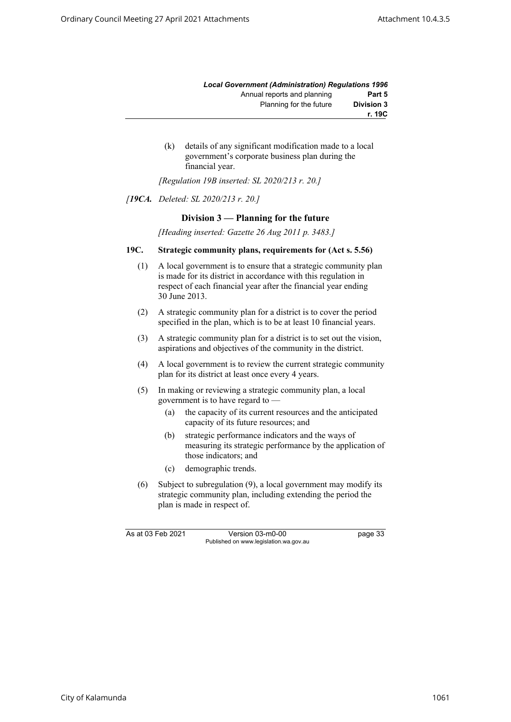|                   | <b>Local Government (Administration) Requlations 1996</b> |
|-------------------|-----------------------------------------------------------|
| Part 5            | Annual reports and planning                               |
| <b>Division 3</b> | Planning for the future                                   |
| r. 19C            |                                                           |

(k) details of any significant modification made to a local government's corporate business plan during the financial year.

*[Regulation 19B inserted: SL 2020/213 r. 20.]*

#### *[19CA. Deleted: SL 2020/213 r. 20.]*

# **Division 3 — Planning for the future**

*[Heading inserted: Gazette 26 Aug 2011 p. 3483.]*

#### **19C. Strategic community plans, requirements for (Act s. 5.56)**

- (1) A local government is to ensure that a strategic community plan is made for its district in accordance with this regulation in respect of each financial year after the financial year ending 30 June 2013.
- (2) A strategic community plan for a district is to cover the period specified in the plan, which is to be at least 10 financial years.
- (3) A strategic community plan for a district is to set out the vision, aspirations and objectives of the community in the district.
- (4) A local government is to review the current strategic community plan for its district at least once every 4 years.
- (5) In making or reviewing a strategic community plan, a local government is to have regard to —
	- (a) the capacity of its current resources and the anticipated capacity of its future resources; and
	- (b) strategic performance indicators and the ways of measuring its strategic performance by the application of those indicators; and
	- (c) demographic trends.
- (6) Subject to subregulation (9), a local government may modify its strategic community plan, including extending the period the plan is made in respect of.

As at 03 Feb 2021 Version 03-m0-00 page 33 Published on www.legislation.wa.gov.au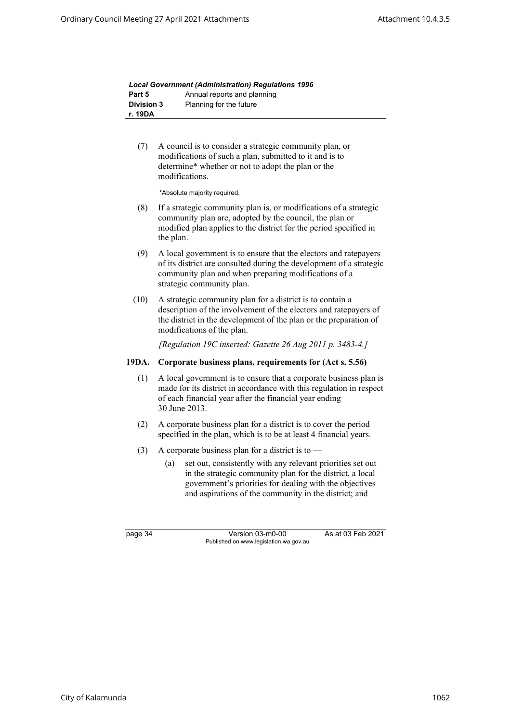|                   | <b>Local Government (Administration) Requlations 1996</b> |
|-------------------|-----------------------------------------------------------|
| Part 5            | Annual reports and planning                               |
| <b>Division 3</b> | Planning for the future                                   |
| r. 19DA           |                                                           |

(7) A council is to consider a strategic community plan, or modifications of such a plan, submitted to it and is to determine\* whether or not to adopt the plan or the modifications.

\*Absolute majority required.

- (8) If a strategic community plan is, or modifications of a strategic community plan are, adopted by the council, the plan or modified plan applies to the district for the period specified in the plan.
- (9) A local government is to ensure that the electors and ratepayers of its district are consulted during the development of a strategic community plan and when preparing modifications of a strategic community plan.
- (10) A strategic community plan for a district is to contain a description of the involvement of the electors and ratepayers of the district in the development of the plan or the preparation of modifications of the plan.

*[Regulation 19C inserted: Gazette 26 Aug 2011 p. 3483-4.]*

# **19DA. Corporate business plans, requirements for (Act s. 5.56)**

- (1) A local government is to ensure that a corporate business plan is made for its district in accordance with this regulation in respect of each financial year after the financial year ending 30 June 2013.
- (2) A corporate business plan for a district is to cover the period specified in the plan, which is to be at least 4 financial years.
- (3) A corporate business plan for a district is to  $-$ 
	- (a) set out, consistently with any relevant priorities set out in the strategic community plan for the district, a local government's priorities for dealing with the objectives and aspirations of the community in the district; and

page 34 Version 03-m0-00 As at 03 Feb 2021 Published on www.legislation.wa.gov.au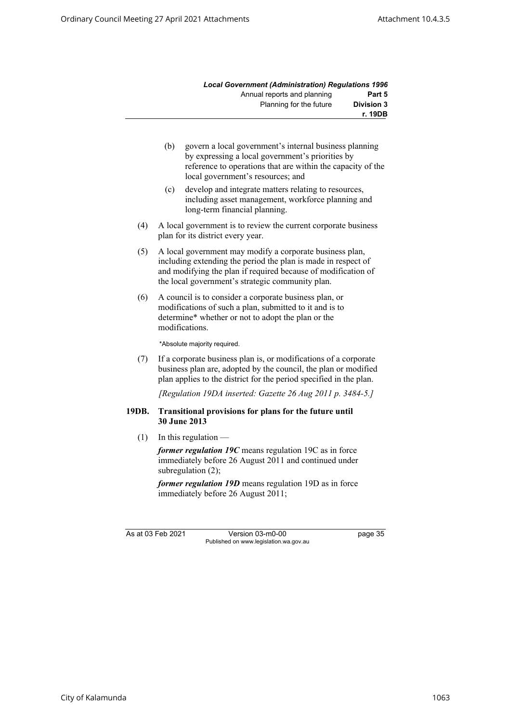|                   | <b>Local Government (Administration) Requlations 1996</b> |
|-------------------|-----------------------------------------------------------|
| Part 5            | Annual reports and planning                               |
| <b>Division 3</b> | Planning for the future                                   |
| r. 19DB           |                                                           |

- (b) govern a local government's internal business planning by expressing a local government's priorities by reference to operations that are within the capacity of the local government's resources; and
- (c) develop and integrate matters relating to resources, including asset management, workforce planning and long-term financial planning.
- (4) A local government is to review the current corporate business plan for its district every year.
- (5) A local government may modify a corporate business plan, including extending the period the plan is made in respect of and modifying the plan if required because of modification of the local government's strategic community plan.
- (6) A council is to consider a corporate business plan, or modifications of such a plan, submitted to it and is to determine\* whether or not to adopt the plan or the modifications.

\*Absolute majority required.

(7) If a corporate business plan is, or modifications of a corporate business plan are, adopted by the council, the plan or modified plan applies to the district for the period specified in the plan.

*[Regulation 19DA inserted: Gazette 26 Aug 2011 p. 3484-5.]*

#### **19DB. Transitional provisions for plans for the future until 30 June 2013**

 $(1)$  In this regulation —

*former regulation 19C* means regulation 19C as in force immediately before 26 August 2011 and continued under subregulation (2);

*former regulation 19D* means regulation 19D as in force immediately before 26 August 2011;

As at 03 Feb 2021 Version 03-m0-00 page 35 Published on www.legislation.wa.gov.au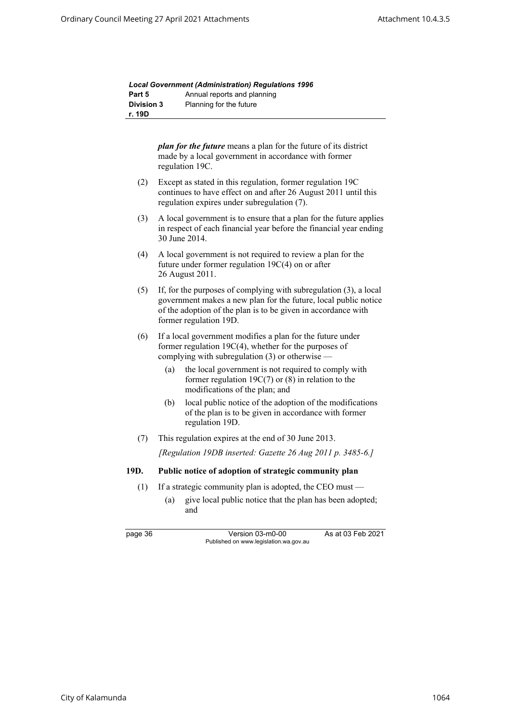|                   | <b>Local Government (Administration) Requlations 1996</b> |
|-------------------|-----------------------------------------------------------|
| Part 5            | Annual reports and planning                               |
| <b>Division 3</b> | Planning for the future                                   |
| r. 19D            |                                                           |

| <i>plan for the future</i> means a plan for the future of its district |
|------------------------------------------------------------------------|
| made by a local government in accordance with former                   |
| regulation 19C.                                                        |

- (2) Except as stated in this regulation, former regulation 19C continues to have effect on and after 26 August 2011 until this regulation expires under subregulation (7).
- (3) A local government is to ensure that a plan for the future applies in respect of each financial year before the financial year ending 30 June 2014.
- (4) A local government is not required to review a plan for the future under former regulation 19C(4) on or after 26 August 2011.
- (5) If, for the purposes of complying with subregulation (3), a local government makes a new plan for the future, local public notice of the adoption of the plan is to be given in accordance with former regulation 19D.
- (6) If a local government modifies a plan for the future under former regulation 19C(4), whether for the purposes of complying with subregulation (3) or otherwise —
	- (a) the local government is not required to comply with former regulation 19C(7) or (8) in relation to the modifications of the plan; and
	- (b) local public notice of the adoption of the modifications of the plan is to be given in accordance with former regulation 19D.
- (7) This regulation expires at the end of 30 June 2013.

*[Regulation 19DB inserted: Gazette 26 Aug 2011 p. 3485-6.]*

#### **19D. Public notice of adoption of strategic community plan**

- (1) If a strategic community plan is adopted, the CEO must
	- (a) give local public notice that the plan has been adopted; and

page 36 Version 03-m0-00 As at 03 Feb 2021 Published on www.legislation.wa.gov.au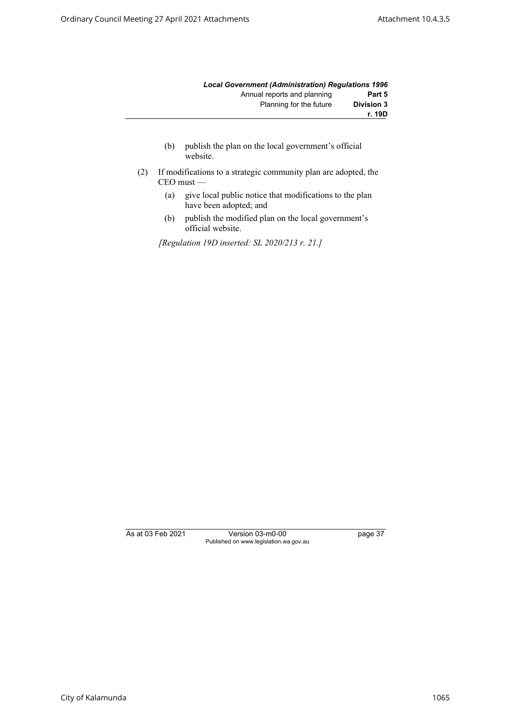|                   | <b>Local Government (Administration) Requlations 1996</b> |
|-------------------|-----------------------------------------------------------|
| Part 5            | Annual reports and planning                               |
| <b>Division 3</b> | Planning for the future                                   |
| r. 19D            |                                                           |

- (b) publish the plan on the local government's official website.
- (2) If modifications to a strategic community plan are adopted, the CEO must —
	- (a) give local public notice that modifications to the plan have been adopted; and
	- (b) publish the modified plan on the local government's official website.

*[Regulation 19D inserted: SL 2020/213 r. 21.]*

As at 03 Feb 2021 Version 03-m0-00 page 37 Published on www.legislation.wa.gov.au

City of Kalamunda 1065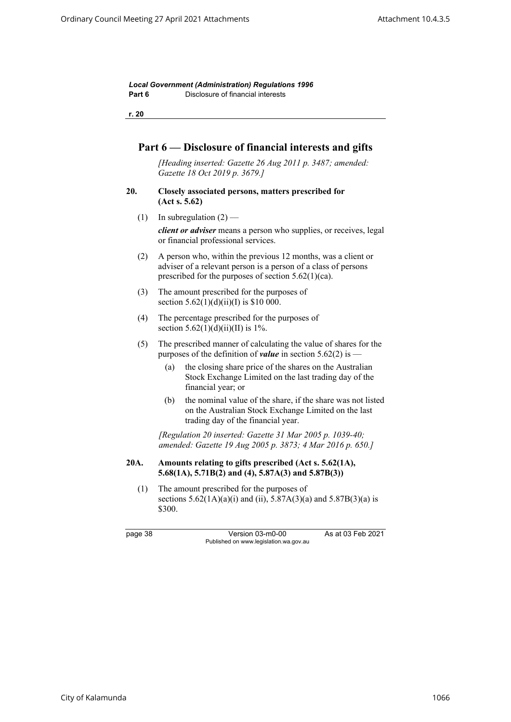*Local Government (Administration) Regulations 1996* **Part 6** Disclosure of financial interests

**r. 20**

# **Part 6 — Disclosure of financial interests and gifts**

*[Heading inserted: Gazette 26 Aug 2011 p. 3487; amended: Gazette 18 Oct 2019 p. 3679.]*

- **20. Closely associated persons, matters prescribed for (Act s. 5.62)**
	- (1) In subregulation  $(2)$  —

*client or adviser* means a person who supplies, or receives, legal or financial professional services.

- (2) A person who, within the previous 12 months, was a client or adviser of a relevant person is a person of a class of persons prescribed for the purposes of section 5.62(1)(ca).
- (3) The amount prescribed for the purposes of section  $5.62(1)(d)(ii)(I)$  is \$10 000.
- (4) The percentage prescribed for the purposes of section  $5.62(1)(d)(ii)(II)$  is 1%.
- (5) The prescribed manner of calculating the value of shares for the purposes of the definition of *value* in section 5.62(2) is —
	- (a) the closing share price of the shares on the Australian Stock Exchange Limited on the last trading day of the financial year; or
	- (b) the nominal value of the share, if the share was not listed on the Australian Stock Exchange Limited on the last trading day of the financial year.

*[Regulation 20 inserted: Gazette 31 Mar 2005 p. 1039-40; amended: Gazette 19 Aug 2005 p. 3873; 4 Mar 2016 p. 650.]*

## **20A. Amounts relating to gifts prescribed (Act s. 5.62(1A), 5.68(1A), 5.71B(2) and (4), 5.87A(3) and 5.87B(3))**

(1) The amount prescribed for the purposes of sections  $5.62(1A)(a)(i)$  and (ii),  $5.87A(3)(a)$  and  $5.87B(3)(a)$  is \$300.

page 38 Version 03-m0-00 As at 03 Feb 2021 Published on www.legislation.wa.gov.au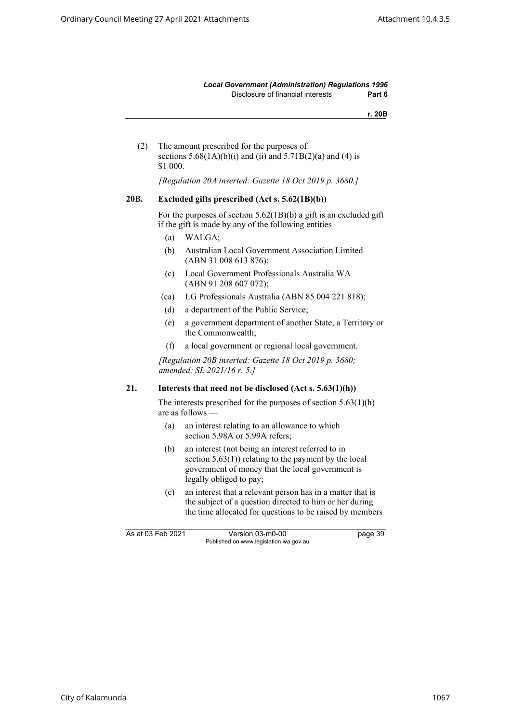*Local Government (Administration) Regulations 1996* Disclosure of financial interests **Part 6**

**r. 20B**

(2) The amount prescribed for the purposes of sections  $5.68(1A)(b)(i)$  and (ii) and  $5.71B(2)(a)$  and (4) is \$1 000.

*[Regulation 20A inserted: Gazette 18 Oct 2019 p. 3680.]*

#### **20B. Excluded gifts prescribed (Act s. 5.62(1B)(b))**

For the purposes of section 5.62(1B)(b) a gift is an excluded gift if the gift is made by any of the following entities —

- (a) WALGA;
- (b) Australian Local Government Association Limited (ABN 31 008 613 876);
- (c) Local Government Professionals Australia WA (ABN 91 208 607 072);
- (ca) LG Professionals Australia (ABN 85 004 221 818);
- (d) a department of the Public Service;
- (e) a government department of another State, a Territory or the Commonwealth;
- (f) a local government or regional local government.

*[Regulation 20B inserted: Gazette 18 Oct 2019 p. 3680; amended: SL 2021/16 r. 5.]*

# **21. Interests that need not be disclosed (Act s. 5.63(1)(h))**

The interests prescribed for the purposes of section 5.63(1)(h) are as follows —

- (a) an interest relating to an allowance to which section 5.98A or 5.99A refers;
- (b) an interest (not being an interest referred to in section  $5.63(1)$ ) relating to the payment by the local government of money that the local government is legally obliged to pay;
- (c) an interest that a relevant person has in a matter that is the subject of a question directed to him or her during the time allocated for questions to be raised by members

As at 03 Feb 2021 Version 03-m0-00 bage 39 Published on www.legislation.wa.gov.au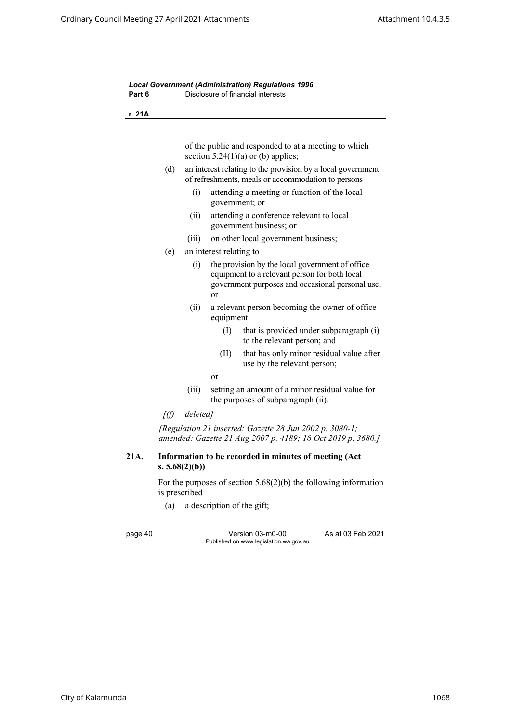*Local Government (Administration) Regulations 1996* **Part 6** Disclosure of financial interests **r. 21A** of the public and responded to at a meeting to which section  $5.24(1)(a)$  or (b) applies; (d) an interest relating to the provision by a local government of refreshments, meals or accommodation to persons — (i) attending a meeting or function of the local government; or (ii) attending a conference relevant to local government business; or (iii) on other local government business; (e) an interest relating to — (i) the provision by the local government of office equipment to a relevant person for both local government purposes and occasional personal use; or (ii) a relevant person becoming the owner of office equipment — (I) that is provided under subparagraph (i) to the relevant person; and (II) that has only minor residual value after use by the relevant person; or (iii) setting an amount of a minor residual value for the purposes of subparagraph (ii). *[(f) deleted] [Regulation 21 inserted: Gazette 28 Jun 2002 p. 3080-1; amended: Gazette 21 Aug 2007 p. 4189; 18 Oct 2019 p. 3680.]* **21A. Information to be recorded in minutes of meeting (Act s. 5.68(2)(b))** For the purposes of section 5.68(2)(b) the following information is prescribed — (a) a description of the gift;

page 40 Version 03-m0-00 As at 03 Feb 2021 Published on www.legislation.wa.gov.au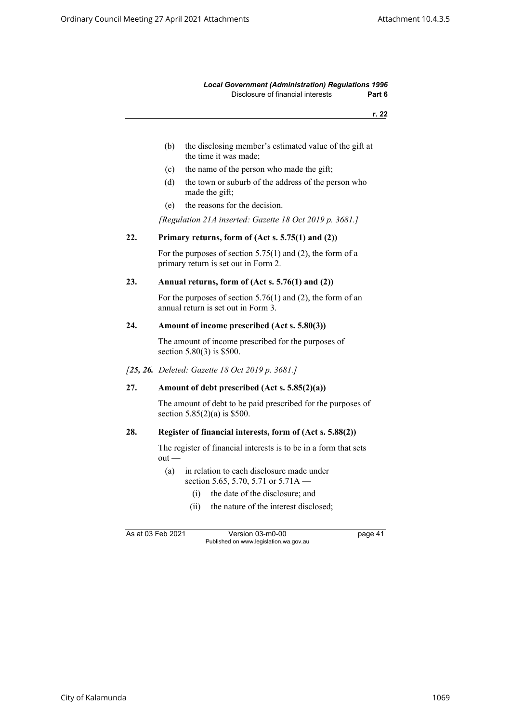#### *Local Government (Administration) Regulations 1996* Disclosure of financial interests **Part 6**

**r. 22**

- (b) the disclosing member's estimated value of the gift at the time it was made;
- (c) the name of the person who made the gift;
- (d) the town or suburb of the address of the person who made the gift;
- (e) the reasons for the decision.

*[Regulation 21A inserted: Gazette 18 Oct 2019 p. 3681.]*

#### **22. Primary returns, form of (Act s. 5.75(1) and (2))**

For the purposes of section 5.75(1) and (2), the form of a primary return is set out in Form 2.

#### **23. Annual returns, form of (Act s. 5.76(1) and (2))**

For the purposes of section 5.76(1) and (2), the form of an annual return is set out in Form 3.

#### **24. Amount of income prescribed (Act s. 5.80(3))**

The amount of income prescribed for the purposes of section 5.80(3) is \$500.

*[25, 26. Deleted: Gazette 18 Oct 2019 p. 3681.]*

# **27. Amount of debt prescribed (Act s. 5.85(2)(a))**

The amount of debt to be paid prescribed for the purposes of section 5.85(2)(a) is \$500.

#### **28. Register of financial interests, form of (Act s. 5.88(2))**

The register of financial interests is to be in a form that sets out —

- (a) in relation to each disclosure made under section 5.65, 5.70, 5.71 or 5.71A —
	- (i) the date of the disclosure; and
	- (ii) the nature of the interest disclosed;

As at 03 Feb 2021 Version 03-m0-00 page 41 Published on www.legislation.wa.gov.au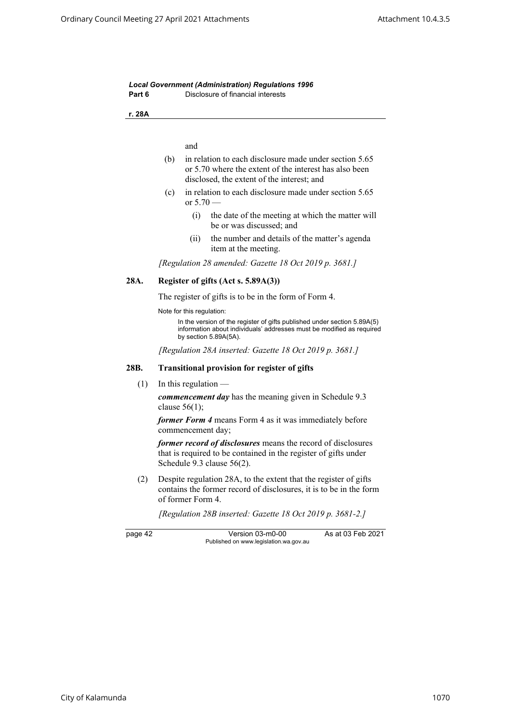| Part 6  | <b>Local Government (Administration) Regulations 1996</b><br>Disclosure of financial interests                                                                             |
|---------|----------------------------------------------------------------------------------------------------------------------------------------------------------------------------|
| r. 28A  |                                                                                                                                                                            |
|         |                                                                                                                                                                            |
|         | and                                                                                                                                                                        |
|         | (b)<br>in relation to each disclosure made under section 5.65<br>or 5.70 where the extent of the interest has also been<br>disclosed, the extent of the interest; and      |
|         | in relation to each disclosure made under section 5.65<br>(c)<br>or $5.70 -$                                                                                               |
|         | the date of the meeting at which the matter will<br>(i)<br>be or was discussed; and                                                                                        |
|         | (ii)<br>the number and details of the matter's agenda<br>item at the meeting.                                                                                              |
|         | [Regulation 28 amended: Gazette 18 Oct 2019 p. 3681.]                                                                                                                      |
| 28A.    | Register of gifts (Act s. 5.89A(3))                                                                                                                                        |
|         | The register of gifts is to be in the form of Form 4.                                                                                                                      |
|         | Note for this regulation:                                                                                                                                                  |
|         | In the version of the register of gifts published under section 5.89A(5)<br>information about individuals' addresses must be modified as required<br>by section 5.89A(5A). |
|         | [Regulation 28A inserted: Gazette 18 Oct 2019 p. 3681.]                                                                                                                    |
| 28B.    | <b>Transitional provision for register of gifts</b>                                                                                                                        |
| (1)     | In this regulation $-$                                                                                                                                                     |
|         | <i>commencement day</i> has the meaning given in Schedule 9.3<br>clause $56(1)$ ;                                                                                          |
|         | former Form 4 means Form 4 as it was immediately before<br>commencement day;                                                                                               |
|         | former record of disclosures means the record of disclosures<br>that is required to be contained in the register of gifts under<br>Schedule 9.3 clause 56(2).              |
| (2)     | Despite regulation 28A, to the extent that the register of gifts<br>contains the former record of disclosures, it is to be in the form<br>of former Form 4.                |
|         | [Regulation 28B inserted: Gazette 18 Oct 2019 p. 3681-2.]                                                                                                                  |
| page 42 | As at 03 Feb 2021<br>Version 03-m0-00<br>Published on www.legislation.wa.gov.au                                                                                            |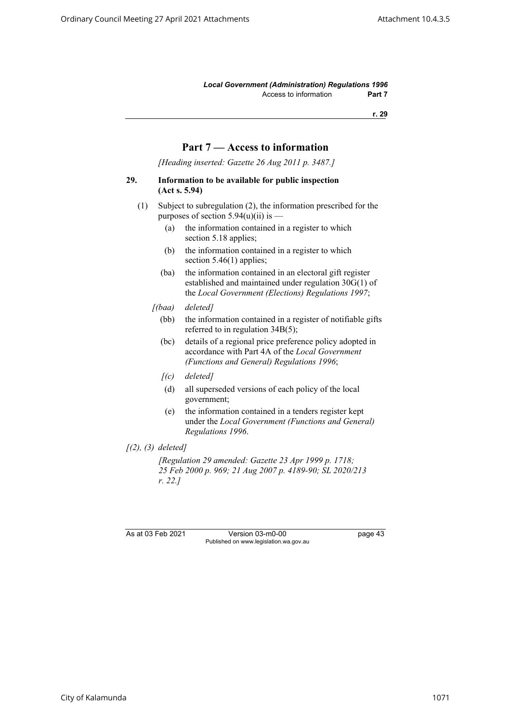*Local Government (Administration) Regulations 1996* Access to information **Part 7** 

**r. 29**

# **Part 7 — Access to information**

*[Heading inserted: Gazette 26 Aug 2011 p. 3487.]*

#### **29. Information to be available for public inspection (Act s. 5.94)**

- (1) Subject to subregulation (2), the information prescribed for the purposes of section  $5.94(u)(ii)$  is —
	- (a) the information contained in a register to which section 5.18 applies;
	- (b) the information contained in a register to which section 5.46(1) applies;
	- (ba) the information contained in an electoral gift register established and maintained under regulation 30G(1) of the *Local Government (Elections) Regulations 1997*;
	- *[(baa) deleted]*
		- (bb) the information contained in a register of notifiable gifts referred to in regulation 34B(5);
		- (bc) details of a regional price preference policy adopted in accordance with Part 4A of the *Local Government (Functions and General) Regulations 1996*;
		- *[(c) deleted]*
		- (d) all superseded versions of each policy of the local government;
		- (e) the information contained in a tenders register kept under the *Local Government (Functions and General) Regulations 1996*.
- *[(2), (3) deleted]*

*[Regulation 29 amended: Gazette 23 Apr 1999 p. 1718; 25 Feb 2000 p. 969; 21 Aug 2007 p. 4189-90; SL 2020/213 r. 22.]*

As at 03 Feb 2021 Version 03-m0-00 page 43 Published on www.legislation.wa.gov.au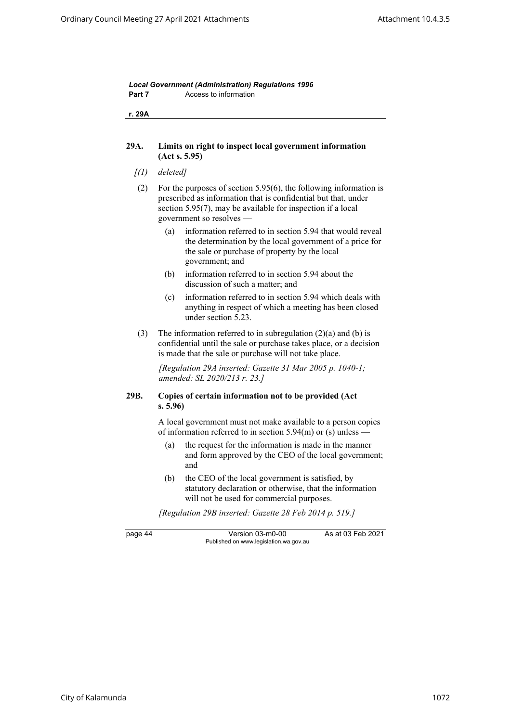| r. 29A  |                                                                                                                                                                                                                                      |  |
|---------|--------------------------------------------------------------------------------------------------------------------------------------------------------------------------------------------------------------------------------------|--|
| 29A.    | Limits on right to inspect local government information<br>(Act s. 5.95)                                                                                                                                                             |  |
| [(1)]   | deleted]                                                                                                                                                                                                                             |  |
| (2)     | For the purposes of section $5.95(6)$ , the following information is<br>prescribed as information that is confidential but that, under<br>section $5.95(7)$ , may be available for inspection if a local<br>government so resolves — |  |
|         | information referred to in section 5.94 that would reveal<br>(a)<br>the determination by the local government of a price for<br>the sale or purchase of property by the local<br>government; and                                     |  |
|         | information referred to in section 5.94 about the<br>(b)<br>discussion of such a matter; and                                                                                                                                         |  |
|         | information referred to in section 5.94 which deals with<br>(c)<br>anything in respect of which a meeting has been closed<br>under section 5.23.                                                                                     |  |
| (3)     | The information referred to in subregulation $(2)(a)$ and $(b)$ is<br>confidential until the sale or purchase takes place, or a decision<br>is made that the sale or purchase will not take place.                                   |  |
|         | [Regulation 29A inserted: Gazette 31 Mar 2005 p. 1040-1;<br>amended: SL 2020/213 r. 23.]                                                                                                                                             |  |
| 29B.    | Copies of certain information not to be provided (Act<br>s. 5.96                                                                                                                                                                     |  |
|         | A local government must not make available to a person copies<br>of information referred to in section $5.94(m)$ or (s) unless —                                                                                                     |  |
|         | the request for the information is made in the manner<br>(a)<br>and form approved by the CEO of the local government;<br>and                                                                                                         |  |
|         | (b)<br>the CEO of the local government is satisfied, by<br>statutory declaration or otherwise, that the information<br>will not be used for commercial purposes.                                                                     |  |
|         | [Regulation 29B inserted: Gazette 28 Feb 2014 p. 519.]                                                                                                                                                                               |  |
| page 44 | As at 03 Feb 2021<br>Version 03-m0-00<br>Published on www.legislation.wa.gov.au                                                                                                                                                      |  |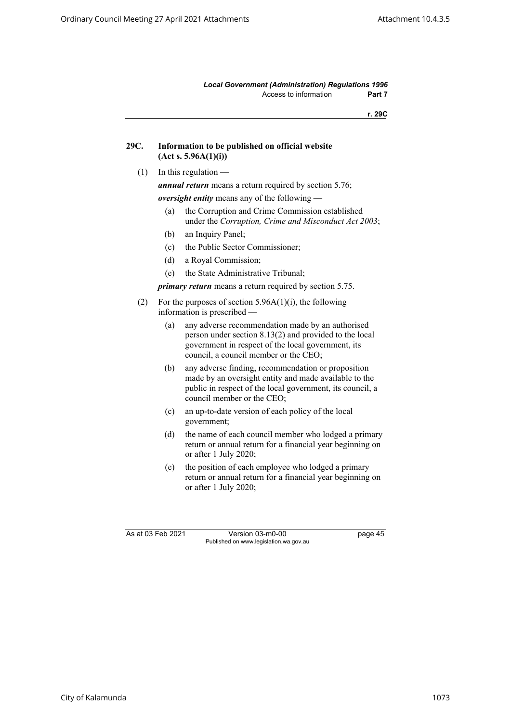*Local Government (Administration) Regulations 1996* Access to information **Part 7** 

**r. 29C**

| 29C. | Information to be published on official website |
|------|-------------------------------------------------|
|      | (Act s. 5.96A(1)(i))                            |

 $(1)$  In this regulation —

*annual return* means a return required by section 5.76;

*oversight entity* means any of the following —

- (a) the Corruption and Crime Commission established under the *Corruption, Crime and Misconduct Act 2003*;
- (b) an Inquiry Panel;
- (c) the Public Sector Commissioner;
- (d) a Royal Commission;
- (e) the State Administrative Tribunal;

*primary return* means a return required by section 5.75.

- (2) For the purposes of section  $5.96A(1)(i)$ , the following information is prescribed —
	- (a) any adverse recommendation made by an authorised person under section 8.13(2) and provided to the local government in respect of the local government, its council, a council member or the CEO;
	- (b) any adverse finding, recommendation or proposition made by an oversight entity and made available to the public in respect of the local government, its council, a council member or the CEO;
	- (c) an up-to-date version of each policy of the local government;
	- (d) the name of each council member who lodged a primary return or annual return for a financial year beginning on or after 1 July 2020;
	- (e) the position of each employee who lodged a primary return or annual return for a financial year beginning on or after 1 July 2020;

As at 03 Feb 2021 Version 03-m0-00 page 45 Published on www.legislation.wa.gov.au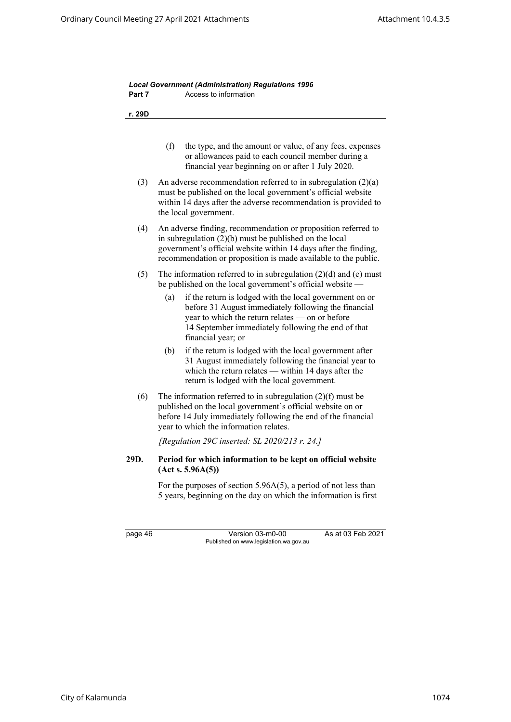| r. 29D  |                                                                                                                                                                                                                                                                |  |
|---------|----------------------------------------------------------------------------------------------------------------------------------------------------------------------------------------------------------------------------------------------------------------|--|
|         | (f)<br>the type, and the amount or value, of any fees, expenses<br>or allowances paid to each council member during a<br>financial year beginning on or after 1 July 2020.                                                                                     |  |
| (3)     | An adverse recommendation referred to in subregulation $(2)(a)$<br>must be published on the local government's official website<br>within 14 days after the adverse recommendation is provided to<br>the local government.                                     |  |
| (4)     | An adverse finding, recommendation or proposition referred to<br>in subregulation $(2)(b)$ must be published on the local<br>government's official website within 14 days after the finding,<br>recommendation or proposition is made available to the public. |  |
| (5)     | The information referred to in subregulation $(2)(d)$ and $(e)$ must<br>be published on the local government's official website —                                                                                                                              |  |
|         | if the return is lodged with the local government on or<br>(a)<br>before 31 August immediately following the financial<br>year to which the return relates - on or before<br>14 September immediately following the end of that<br>financial year; or          |  |
|         | (b)<br>if the return is lodged with the local government after<br>31 August immediately following the financial year to<br>which the return relates — within 14 days after the<br>return is lodged with the local government.                                  |  |
| (6)     | The information referred to in subregulation $(2)(f)$ must be<br>published on the local government's official website on or<br>before 14 July immediately following the end of the financial<br>year to which the information relates.                         |  |
|         | [Regulation 29C inserted: SL 2020/213 r. 24.]                                                                                                                                                                                                                  |  |
| 29D.    | Period for which information to be kept on official website<br>(Act s. 5.96A(5))                                                                                                                                                                               |  |
|         | For the purposes of section $5.96A(5)$ , a period of not less than<br>5 years, beginning on the day on which the information is first                                                                                                                          |  |
| page 46 | As at 03 Feb 2021<br>Version 03-m0-00                                                                                                                                                                                                                          |  |

*Local Government (Administration) Regulations 1996*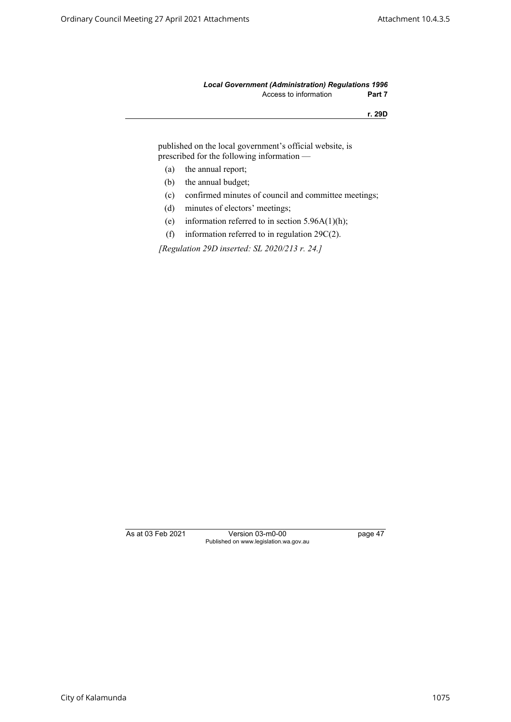#### *Local Government (Administration) Regulations 1996* Access to information **Part 7**

**r. 29D**

published on the local government's official website, is prescribed for the following information —

- (a) the annual report;
- (b) the annual budget;
- (c) confirmed minutes of council and committee meetings;
- (d) minutes of electors' meetings;
- (e) information referred to in section  $5.96A(1)(h)$ ;
- (f) information referred to in regulation 29C(2).

*[Regulation 29D inserted: SL 2020/213 r. 24.]*

As at 03 Feb 2021 Version 03-m0-00 page 47 Published on www.legislation.wa.gov.au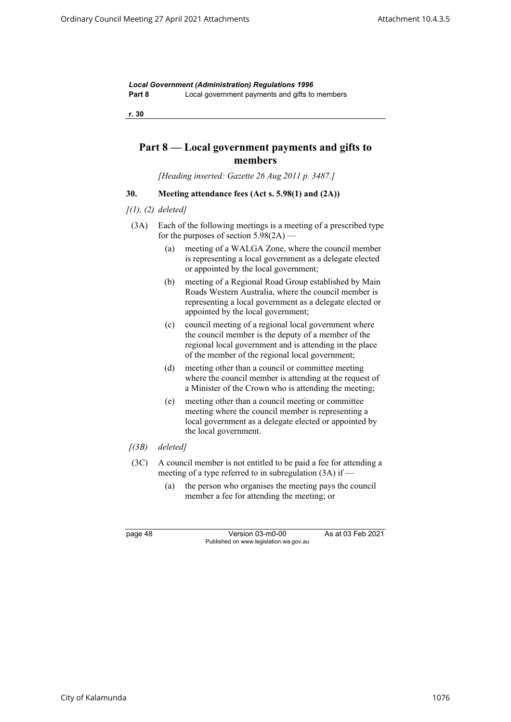*Local Government (Administration) Regulations 1996* **Part 8** Local government payments and gifts to members

**r. 30**

# **Part 8 — Local government payments and gifts to members**

*[Heading inserted: Gazette 26 Aug 2011 p. 3487.]*

# **30. Meeting attendance fees (Act s. 5.98(1) and (2A))**

- *[(1), (2) deleted]*
- (3A) Each of the following meetings is a meeting of a prescribed type for the purposes of section  $5.98(2A)$  —
	- (a) meeting of a WALGA Zone, where the council member is representing a local government as a delegate elected or appointed by the local government;
	- (b) meeting of a Regional Road Group established by Main Roads Western Australia, where the council member is representing a local government as a delegate elected or appointed by the local government;
	- (c) council meeting of a regional local government where the council member is the deputy of a member of the regional local government and is attending in the place of the member of the regional local government;
	- (d) meeting other than a council or committee meeting where the council member is attending at the request of a Minister of the Crown who is attending the meeting;
	- (e) meeting other than a council meeting or committee meeting where the council member is representing a local government as a delegate elected or appointed by the local government.
- *[(3B) deleted]*
- (3C) A council member is not entitled to be paid a fee for attending a meeting of a type referred to in subregulation (3A) if —
	- (a) the person who organises the meeting pays the council member a fee for attending the meeting; or

page 48 Version 03-m0-00 As at 03 Feb 2021 Published on www.legislation.wa.gov.au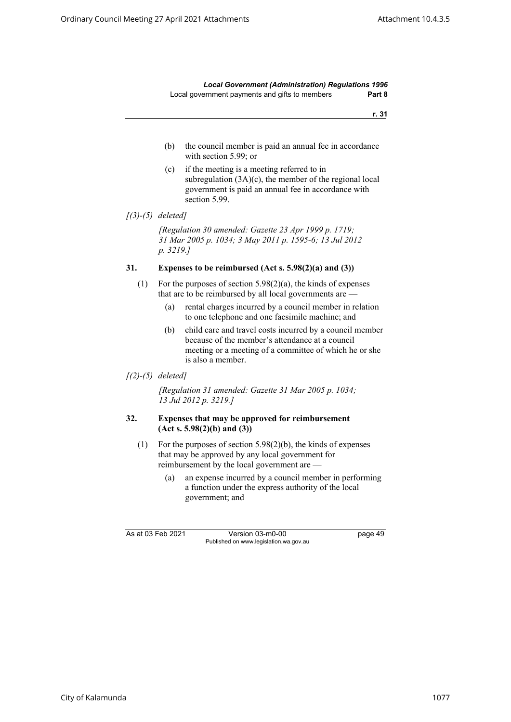*Local Government (Administration) Regulations 1996* Local government payments and gifts to members **Part 8**

**r. 31**

- (b) the council member is paid an annual fee in accordance with section 5.99; or
- (c) if the meeting is a meeting referred to in subregulation (3A)(c), the member of the regional local government is paid an annual fee in accordance with section 5.99.

*[Regulation 30 amended: Gazette 23 Apr 1999 p. 1719; 31 Mar 2005 p. 1034; 3 May 2011 p. 1595-6; 13 Jul 2012 p. 3219.]*

#### **31. Expenses to be reimbursed (Act s. 5.98(2)(a) and (3))**

- (1) For the purposes of section 5.98(2)(a), the kinds of expenses that are to be reimbursed by all local governments are —
	- (a) rental charges incurred by a council member in relation to one telephone and one facsimile machine; and
	- (b) child care and travel costs incurred by a council member because of the member's attendance at a council meeting or a meeting of a committee of which he or she is also a member.
- *[(2)-(5) deleted]*

*[Regulation 31 amended: Gazette 31 Mar 2005 p. 1034; 13 Jul 2012 p. 3219.]*

#### **32. Expenses that may be approved for reimbursement (Act s. 5.98(2)(b) and (3))**

- (1) For the purposes of section 5.98(2)(b), the kinds of expenses that may be approved by any local government for reimbursement by the local government are —
	- (a) an expense incurred by a council member in performing a function under the express authority of the local government; and

As at 03 Feb 2021 Version 03-m0-00 page 49 Published on www.legislation.wa.gov.au

*<sup>[(3)-(5)</sup> deleted]*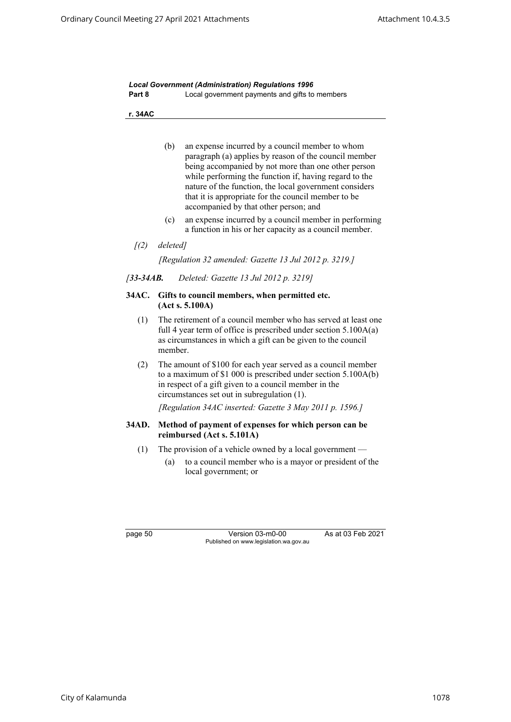|        | <b>Local Government (Administration) Regulations 1996</b> |
|--------|-----------------------------------------------------------|
| Part 8 | Local government payments and gifts to members            |

**r. 34AC**

- (b) an expense incurred by a council member to whom paragraph (a) applies by reason of the council member being accompanied by not more than one other person while performing the function if, having regard to the nature of the function, the local government considers that it is appropriate for the council member to be accompanied by that other person; and
- (c) an expense incurred by a council member in performing a function in his or her capacity as a council member.
- *[(2) deleted]*

*[Regulation 32 amended: Gazette 13 Jul 2012 p. 3219.]*

*[33-34AB. Deleted: Gazette 13 Jul 2012 p. 3219]*

#### **34AC. Gifts to council members, when permitted etc. (Act s. 5.100A)**

- (1) The retirement of a council member who has served at least one full 4 year term of office is prescribed under section 5.100A(a) as circumstances in which a gift can be given to the council member.
- (2) The amount of \$100 for each year served as a council member to a maximum of \$1 000 is prescribed under section 5.100A(b) in respect of a gift given to a council member in the circumstances set out in subregulation (1).

*[Regulation 34AC inserted: Gazette 3 May 2011 p. 1596.]*

#### **34AD. Method of payment of expenses for which person can be reimbursed (Act s. 5.101A)**

- (1) The provision of a vehicle owned by a local government
	- (a) to a council member who is a mayor or president of the local government; or

page 50 Version 03-m0-00 As at 03 Feb 2021 Published on www.legislation.wa.gov.au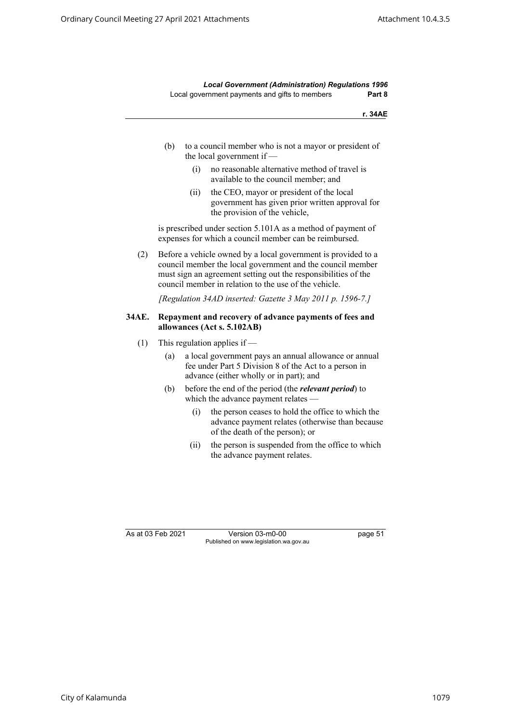*Local Government (Administration) Regulations 1996* Local government payments and gifts to members **Part 8**

**r. 34AE**

- (b) to a council member who is not a mayor or president of the local government if —
	- (i) no reasonable alternative method of travel is available to the council member; and
	- (ii) the CEO, mayor or president of the local government has given prior written approval for the provision of the vehicle,

is prescribed under section 5.101A as a method of payment of expenses for which a council member can be reimbursed.

(2) Before a vehicle owned by a local government is provided to a council member the local government and the council member must sign an agreement setting out the responsibilities of the council member in relation to the use of the vehicle.

*[Regulation 34AD inserted: Gazette 3 May 2011 p. 1596-7.]*

#### **34AE. Repayment and recovery of advance payments of fees and allowances (Act s. 5.102AB)**

- (1) This regulation applies if  $-$ 
	- (a) a local government pays an annual allowance or annual fee under Part 5 Division 8 of the Act to a person in advance (either wholly or in part); and
	- (b) before the end of the period (the *relevant period*) to which the advance payment relates —
		- (i) the person ceases to hold the office to which the advance payment relates (otherwise than because of the death of the person); or
		- (ii) the person is suspended from the office to which the advance payment relates.

As at 03 Feb 2021 Version 03-m0-00 page 51 Published on www.legislation.wa.gov.au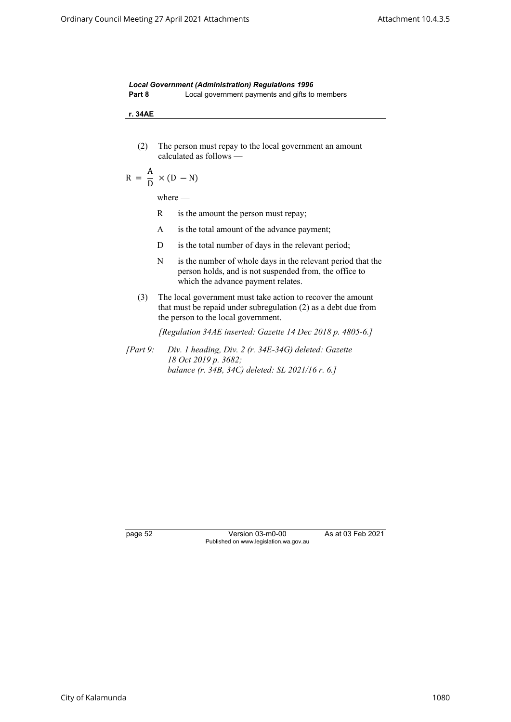|        | <b>Local Government (Administration) Regulations 1996</b> |
|--------|-----------------------------------------------------------|
| Part 8 | Local government payments and gifts to members            |

**r. 34AE**

(2) The person must repay to the local government an amount calculated as follows —

$$
R = \frac{A}{D} \times (D - N)
$$

where —

- R is the amount the person must repay;
- A is the total amount of the advance payment;
- D is the total number of days in the relevant period;
- N is the number of whole days in the relevant period that the person holds, and is not suspended from, the office to which the advance payment relates.
- (3) The local government must take action to recover the amount that must be repaid under subregulation (2) as a debt due from the person to the local government.

*[Regulation 34AE inserted: Gazette 14 Dec 2018 p. 4805-6.]*

*[Part 9: Div. 1 heading, Div. 2 (r. 34E-34G) deleted: Gazette 18 Oct 2019 p. 3682; balance (r. 34B, 34C) deleted: SL 2021/16 r. 6.]*

page 52 Version 03-m0-00 As at 03 Feb 2021 Published on www.legislation.wa.gov.au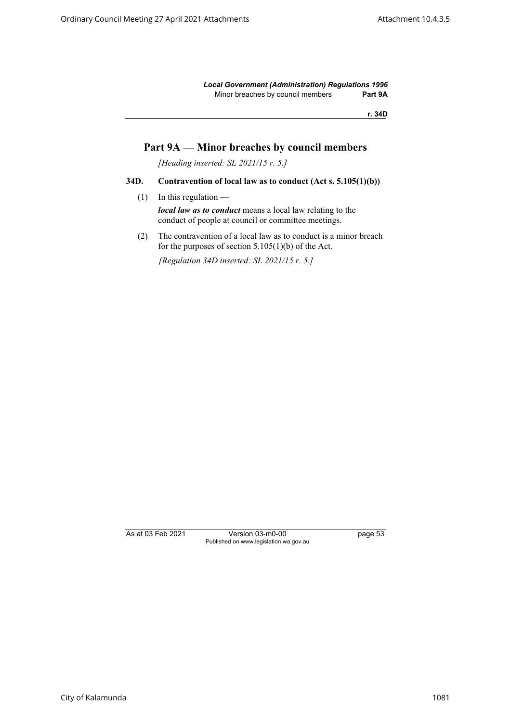*Local Government (Administration) Regulations 1996* Minor breaches by council members **Part 9A**

**r. 34D**

# **Part 9A — Minor breaches by council members**

*[Heading inserted: SL 2021/15 r. 5.]*

#### **34D. Contravention of local law as to conduct (Act s. 5.105(1)(b))**

 $(1)$  In this regulation —

*local law as to conduct* means a local law relating to the conduct of people at council or committee meetings.

(2) The contravention of a local law as to conduct is a minor breach for the purposes of section  $5.105(1)(b)$  of the Act.

*[Regulation 34D inserted: SL 2021/15 r. 5.]*

As at 03 Feb 2021 Version 03-m0-00 page 53 Published on www.legislation.wa.gov.au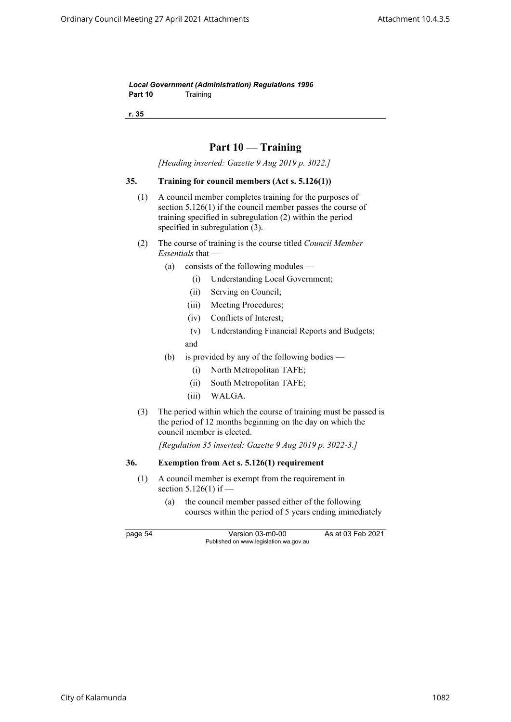*Local Government (Administration) Regulations 1996* Part 10 Training

**r. 35**

# **Part 10 — Training**

*[Heading inserted: Gazette 9 Aug 2019 p. 3022.]*

#### **35. Training for council members (Act s. 5.126(1))**

- (1) A council member completes training for the purposes of section 5.126(1) if the council member passes the course of training specified in subregulation (2) within the period specified in subregulation (3).
- (2) The course of training is the course titled *Council Member Essentials* that —
	- (a) consists of the following modules
		- (i) Understanding Local Government;
		- (ii) Serving on Council;
		- (iii) Meeting Procedures;
		- (iv) Conflicts of Interest;
		- (v) Understanding Financial Reports and Budgets; and
	- (b) is provided by any of the following bodies
		- (i) North Metropolitan TAFE;
		- (ii) South Metropolitan TAFE;
		- (iii) WALGA.
- (3) The period within which the course of training must be passed is the period of 12 months beginning on the day on which the council member is elected.

*[Regulation 35 inserted: Gazette 9 Aug 2019 p. 3022-3.]*

### **36. Exemption from Act s. 5.126(1) requirement**

- (1) A council member is exempt from the requirement in section 5.126(1) if —
	- (a) the council member passed either of the following courses within the period of 5 years ending immediately

page 54 Version 03-m0-00 As at 03 Feb 2021 Published on www.legislation.wa.gov.au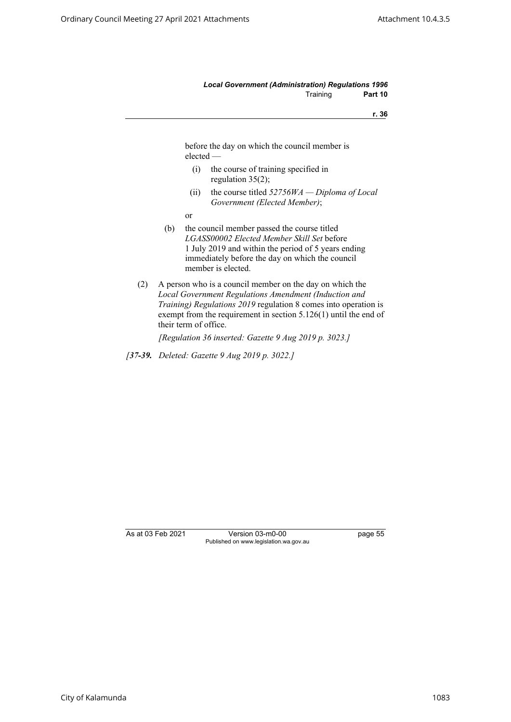#### *Local Government (Administration) Regulations 1996* Training **Part 10**

**r. 36**

before the day on which the council member is elected —

- (i) the course of training specified in regulation 35(2);
- (ii) the course titled *52756WA Diploma of Local Government (Elected Member)*;
- or
- (b) the council member passed the course titled *LGASS00002 Elected Member Skill Set* before 1 July 2019 and within the period of 5 years ending immediately before the day on which the council member is elected.
- (2) A person who is a council member on the day on which the *Local Government Regulations Amendment (Induction and Training) Regulations 2019* regulation 8 comes into operation is exempt from the requirement in section 5.126(1) until the end of their term of office.

*[Regulation 36 inserted: Gazette 9 Aug 2019 p. 3023.]*

*[37-39. Deleted: Gazette 9 Aug 2019 p. 3022.]*

As at 03 Feb 2021 Version 03-m0-00 page 55 Published on www.legislation.wa.gov.au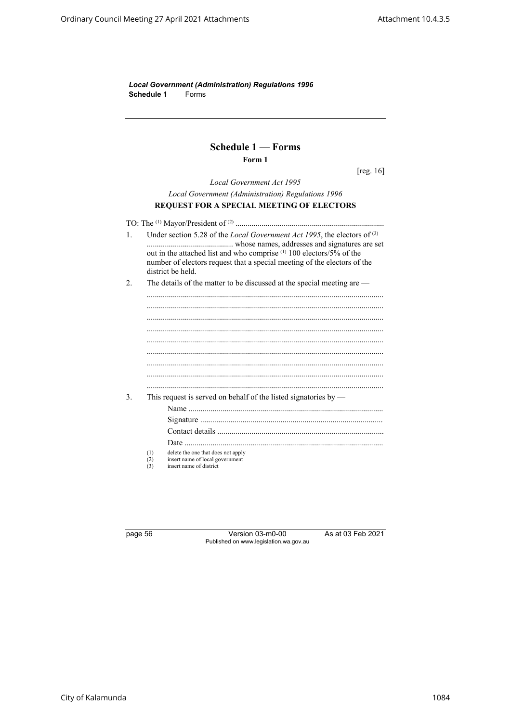*Local Government (Administration) Regulations 1996* **Schedule 1** Forms

# **Schedule 1 — Forms Form 1**

[reg. 16]

*Local Government Act 1995 Local Government (Administration) Regulations 1996* **REQUEST FOR A SPECIAL MEETING OF ELECTORS**

TO: The (1) Mayor/President of (2) .......................................................................... 1. Under section 5.28 of the *Local Government Act 1995*, the electors of (3) ........................................... whose names, addresses and signatures are set out in the attached list and who comprise (1) 100 electors/5% of the number of electors request that a special meeting of the electors of the district be held. 2. The details of the matter to be discussed at the special meeting are — ......................................................................................................................

...................................................................................................................... ...................................................................................................................... ...................................................................................................................... ...................................................................................................................... ...................................................................................................................... ...................................................................................................................... ...................................................................................................................... ...................................................................................................................... 3. This request is served on behalf of the listed signatories by — Name ................................................................................................. Signature ........................................................................................... Contact details ................................................................................... Date ................................................................................................... (1) delete the one that does not apply (2) insert name of local government<br>  $(3)$  insert name of district

insert name of district

page 56 Version 03-m0-00 As at 03 Feb 2021 Published on www.legislation.wa.gov.au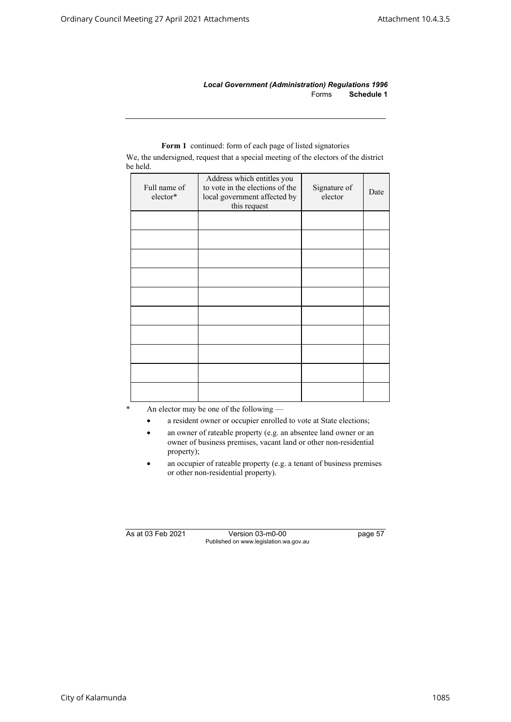*Local Government (Administration) Regulations 1996* Forms **Schedule 1**

# Full name of elector\* Address which entitles you to vote in the elections of the local government affected by this request Signature of gnature of Date

**Form 1** continued: form of each page of listed signatories

We, the undersigned, request that a special meeting of the electors of the district be held.

An elector may be one of the following  $-$ 

- a resident owner or occupier enrolled to vote at State elections;
- an owner of rateable property (e.g. an absentee land owner or an owner of business premises, vacant land or other non-residential property);
- an occupier of rateable property (e.g. a tenant of business premises or other non-residential property).

As at 03 Feb 2021 Version 03-m0-00 page 57 Published on www.legislation.wa.gov.au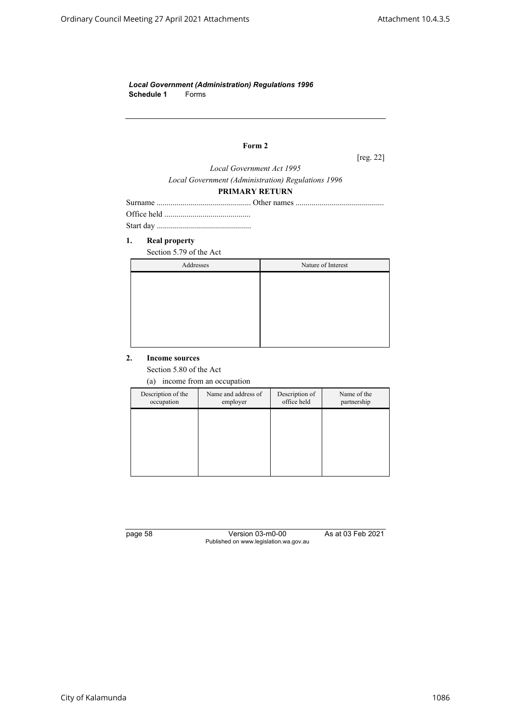*Local Government (Administration) Regulations 1996* **Schedule 1** Forms

# **Form 2**

[reg. 22]

*Local Government Act 1995 Local Government (Administration) Regulations 1996*

# **PRIMARY RETURN**

#### **1. Real property**

Section 5.79 of the Act

| Addresses | Nature of Interest |
|-----------|--------------------|
|           |                    |
|           |                    |
|           |                    |
|           |                    |
|           |                    |
|           |                    |

#### **2. Income sources**

Section 5.80 of the Act

(a) income from an occupation

| Description of the<br>occupation | Name and address of<br>employer | Description of<br>office held | Name of the<br>partnership |
|----------------------------------|---------------------------------|-------------------------------|----------------------------|
|                                  |                                 |                               |                            |
|                                  |                                 |                               |                            |
|                                  |                                 |                               |                            |
|                                  |                                 |                               |                            |

page 58 Version 03-m0-00 As at 03 Feb 2021 Published on www.legislation.wa.gov.au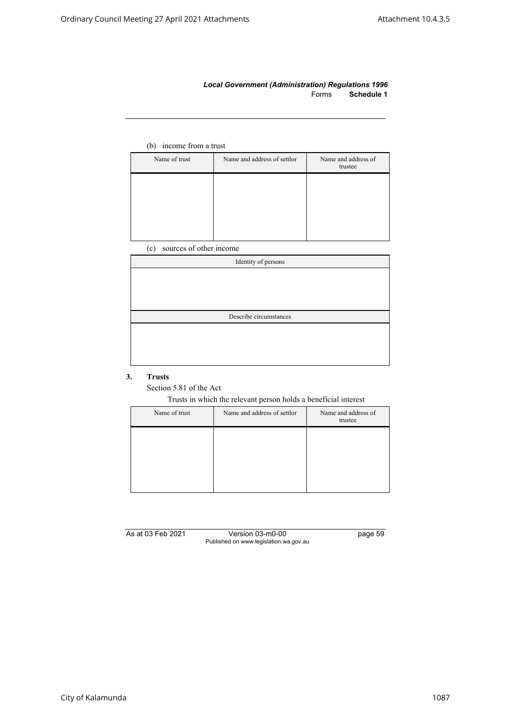#### *Local Government (Administration) Regulations 1996* Forms **Schedule 1**

# (b) income from a trust

| Name of trust | Name and address of settlor | Name and address of<br>trustee |
|---------------|-----------------------------|--------------------------------|
|               |                             |                                |
|               |                             |                                |
|               |                             |                                |
|               |                             |                                |

(c) sources of other income

| Identity of persons    |
|------------------------|
|                        |
|                        |
|                        |
|                        |
| Describe circumstances |
|                        |
|                        |
|                        |
|                        |

# **3. Trusts**

Section 5.81 of the Act

Trusts in which the relevant person holds a beneficial interest

| Name and address of settlor | Name and address of<br>trustee |
|-----------------------------|--------------------------------|
|                             |                                |
|                             |                                |
|                             |                                |
|                             |                                |

As at 03 Feb 2021 Version 03-m0-00 page 59 Published on www.legislation.wa.gov.au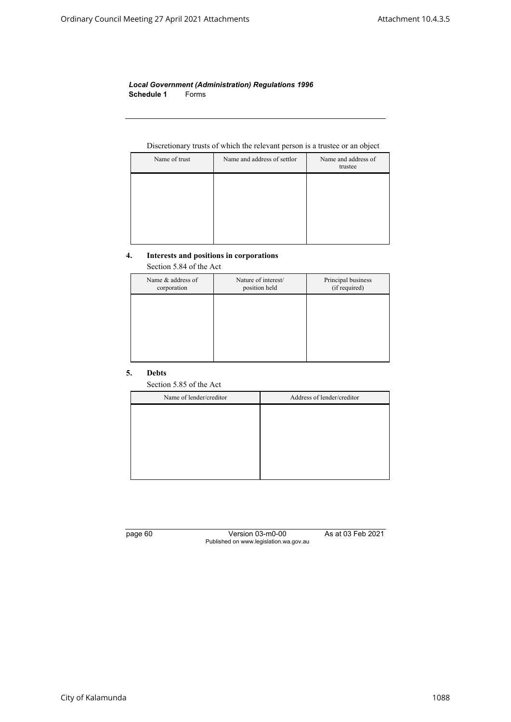#### *Local Government (Administration) Regulations 1996* **Schedule 1** Forms

# Discretionary trusts of which the relevant person is a trustee or an object

| Name of trust | Name and address of settlor | Name and address of<br>trustee |
|---------------|-----------------------------|--------------------------------|
|               |                             |                                |
|               |                             |                                |
|               |                             |                                |
|               |                             |                                |

#### **4. Interests and positions in corporations**

Section 5.84 of the Act

| Name & address of<br>corporation | Nature of interest/<br>position held | Principal business<br>(if required) |
|----------------------------------|--------------------------------------|-------------------------------------|
|                                  |                                      |                                     |
|                                  |                                      |                                     |
|                                  |                                      |                                     |
|                                  |                                      |                                     |

#### **5. Debts**

Section 5.85 of the Act

| Name of lender/creditor | Address of lender/creditor |
|-------------------------|----------------------------|
|                         |                            |
|                         |                            |
|                         |                            |
|                         |                            |
|                         |                            |
|                         |                            |

page 60 Version 03-m0-00 As at 03 Feb 2021 Published on www.legislation.wa.gov.au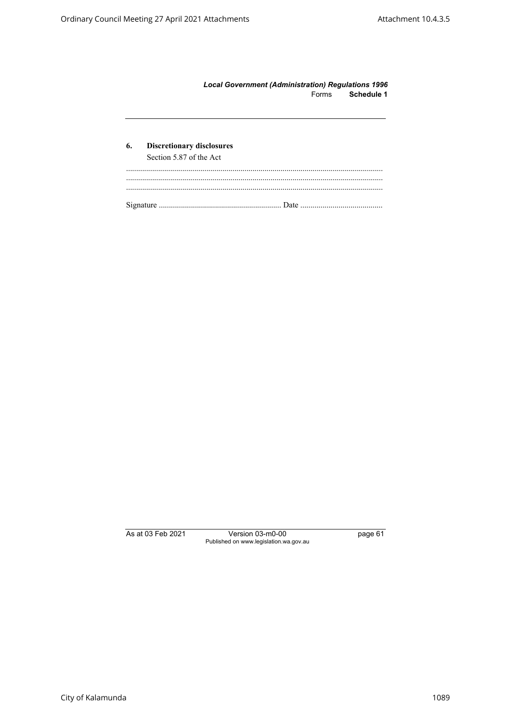| <b>Local Government (Administration) Regulations 1996</b> |            |
|-----------------------------------------------------------|------------|
| Forms                                                     | Schedule 1 |

| 6. | <b>Discretionary disclosures</b><br>Section 5.87 of the Act |
|----|-------------------------------------------------------------|
|    |                                                             |
|    |                                                             |
|    |                                                             |
|    |                                                             |
|    |                                                             |

As at 03 Feb 2021 Version 03-m0-00 page 61 Published on www.legislation.wa.gov.au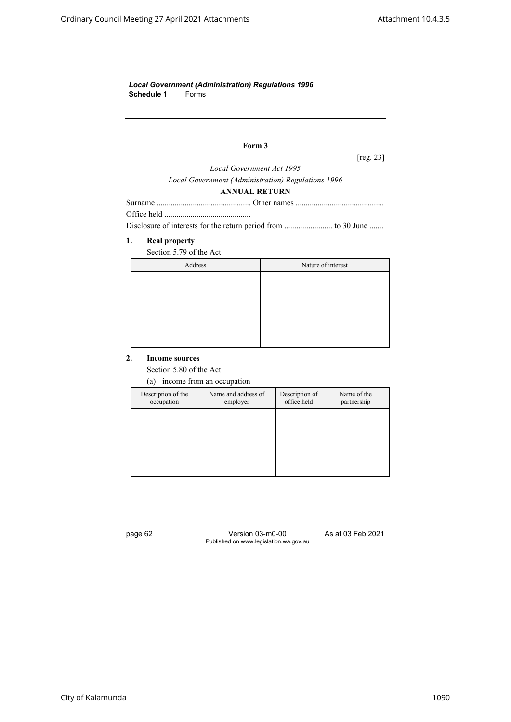*Local Government (Administration) Regulations 1996* **Schedule 1** Forms

# **Form 3**

[reg. 23]

*Local Government Act 1995*

#### *Local Government (Administration) Regulations 1996* **ANNUAL RETURN**

Office held ...........................................

Disclosure of interests for the return period from ........................ to 30 June .......

# **1. Real property**

Section 5.79 of the Act

| Address | Nature of interest |
|---------|--------------------|
|         |                    |
|         |                    |
|         |                    |
|         |                    |
|         |                    |
|         |                    |

#### **2. Income sources**

Section 5.80 of the Act

(a) income from an occupation

| Description of the<br>occupation | Name and address of<br>employer | Description of<br>office held | Name of the<br>partnership |
|----------------------------------|---------------------------------|-------------------------------|----------------------------|
|                                  |                                 |                               |                            |
|                                  |                                 |                               |                            |
|                                  |                                 |                               |                            |
|                                  |                                 |                               |                            |

page 62 Version 03-m0-00 As at 03 Feb 2021 Published on www.legislation.wa.gov.au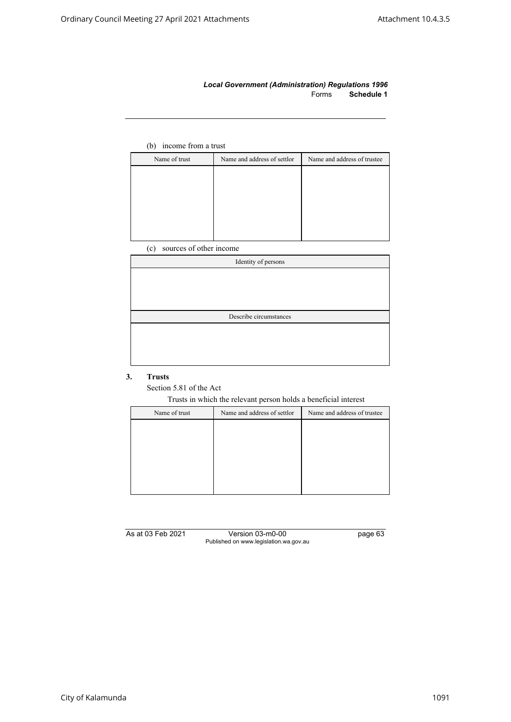#### *Local Government (Administration) Regulations 1996* Forms **Schedule 1**

# (b) income from a trust

| Name of trust | Name and address of settlor | Name and address of trustee |
|---------------|-----------------------------|-----------------------------|
|               |                             |                             |
|               |                             |                             |
|               |                             |                             |
|               |                             |                             |
|               |                             |                             |
|               |                             |                             |

(c) sources of other income

| Identity of persons |                        |  |
|---------------------|------------------------|--|
|                     |                        |  |
|                     |                        |  |
|                     |                        |  |
|                     | Describe circumstances |  |
|                     |                        |  |
|                     |                        |  |
|                     |                        |  |
|                     |                        |  |

## **3. Trusts**

Section 5.81 of the Act

Trusts in which the relevant person holds a beneficial interest

| Name of trust | Name and address of settlor | Name and address of trustee |
|---------------|-----------------------------|-----------------------------|
|               |                             |                             |
|               |                             |                             |
|               |                             |                             |
|               |                             |                             |
|               |                             |                             |
|               |                             |                             |

As at 03 Feb 2021 Version 03-m0-00 page 63 Published on www.legislation.wa.gov.au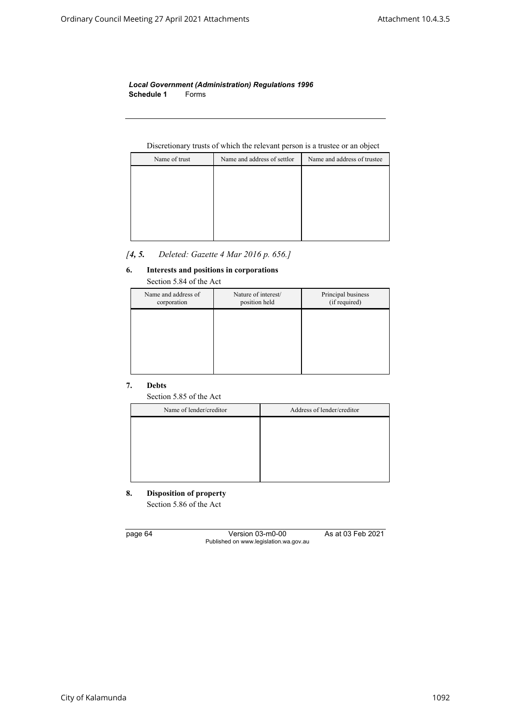*Local Government (Administration) Regulations 1996* **Schedule 1** Forms

# Discretionary trusts of which the relevant person is a trustee or an object

| Name of trust | Name and address of settlor | Name and address of trustee |
|---------------|-----------------------------|-----------------------------|
|               |                             |                             |
|               |                             |                             |
|               |                             |                             |
|               |                             |                             |
|               |                             |                             |
|               |                             |                             |

# *[4, 5. Deleted: Gazette 4 Mar 2016 p. 656.]*

# **6. Interests and positions in corporations**

| Section 5.84 of the Act            |                                      |                                     |
|------------------------------------|--------------------------------------|-------------------------------------|
| Name and address of<br>corporation | Nature of interest/<br>position held | Principal business<br>(if required) |
|                                    |                                      |                                     |
|                                    |                                      |                                     |
|                                    |                                      |                                     |
|                                    |                                      |                                     |

# **7. Debts**

Section 5.85 of the Act

| Name of lender/creditor | Address of lender/creditor |
|-------------------------|----------------------------|
|                         |                            |
|                         |                            |
|                         |                            |
|                         |                            |
|                         |                            |

# **8. Disposition of property** Section 5.86 of the Act

page 64 Version 03-m0-00 As at 03 Feb 2021 Published on www.legislation.wa.gov.au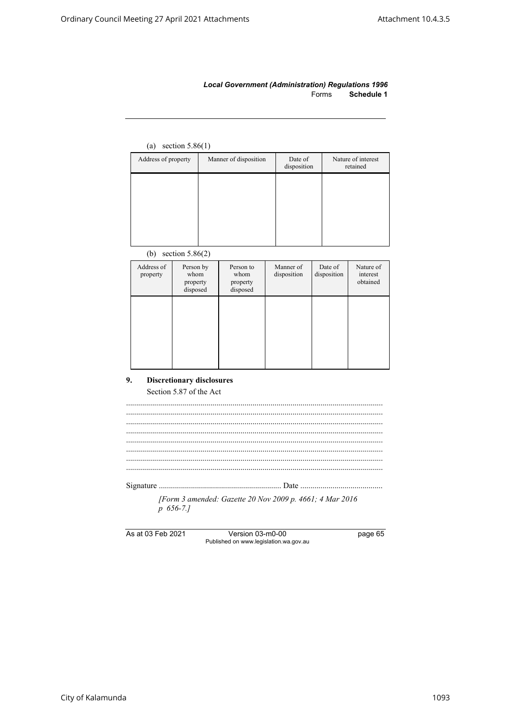### *Local Government (Administration) Regulations 1996* Forms **Schedule 1**

# (a) section 5.86(1)

| Address of property | Manner of disposition | Date of<br>disposition | Nature of interest<br>retained |
|---------------------|-----------------------|------------------------|--------------------------------|
|                     |                       |                        |                                |
|                     |                       |                        |                                |
|                     |                       |                        |                                |
|                     |                       |                        |                                |

# (b) section 5.86(2)

| Address of<br>property | Person by<br>whom<br>property<br>disposed | Person to<br>whom<br>property<br>disposed | Manner of<br>disposition | Date of<br>disposition | Nature of<br>interest<br>obtained |
|------------------------|-------------------------------------------|-------------------------------------------|--------------------------|------------------------|-----------------------------------|
|                        |                                           |                                           |                          |                        |                                   |
|                        |                                           |                                           |                          |                        |                                   |

## **9. Discretionary disclosures** Section 5.87 of the Act

| [Form 3 amended: Gazette 20 Nov 2009 p. 4661; 4 Mar 2016] |  |
|-----------------------------------------------------------|--|
| $p$ 656-7.1                                               |  |
|                                                           |  |

As at 03 Feb 2021 Version 03-m0-00 page 65 Published on www.legislation.wa.gov.au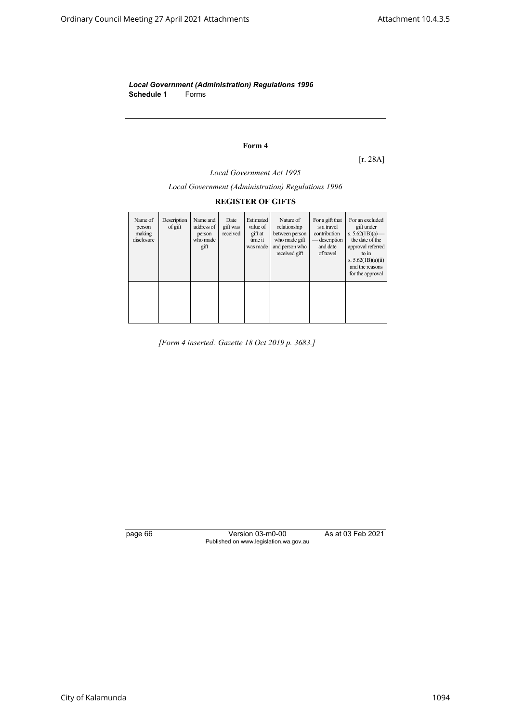*Local Government (Administration) Regulations 1996* **Schedule 1** Forms

# **Form 4**

[r. 28A]

*Local Government Act 1995*

*Local Government (Administration) Regulations 1996*

# **REGISTER OF GIFTS**

| Name of<br>person<br>making<br>disclosure | Description<br>of gift | Name and<br>address of<br>person<br>who made<br>gift | Date<br>gift was<br>received | Estimated<br>value of<br>gift at<br>time it<br>was made | Nature of<br>relationship<br>between person<br>who made gift<br>and person who<br>received gift | For a gift that<br>is a travel<br>contribution<br>description<br>and date<br>of travel | For an excluded<br>gift under<br>s. $5.62(1B)(a)$ —<br>the date of the<br>approval referred<br>to in<br>s. $5.62(1B)(a)(ii)$<br>and the reasons<br>for the approval |
|-------------------------------------------|------------------------|------------------------------------------------------|------------------------------|---------------------------------------------------------|-------------------------------------------------------------------------------------------------|----------------------------------------------------------------------------------------|---------------------------------------------------------------------------------------------------------------------------------------------------------------------|
|                                           |                        |                                                      |                              |                                                         |                                                                                                 |                                                                                        |                                                                                                                                                                     |

*[Form 4 inserted: Gazette 18 Oct 2019 p. 3683.]*

page 66 Version 03-m0-00 As at 03 Feb 2021 Published on www.legislation.wa.gov.au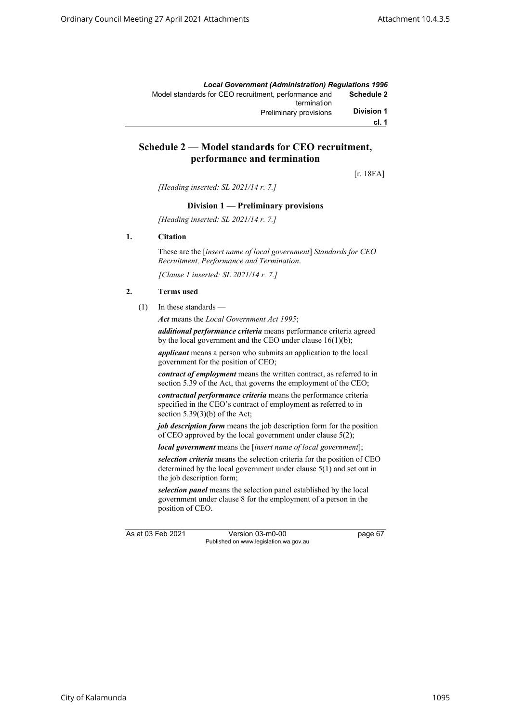|                   | <b>Local Government (Administration) Requlations 1996</b>           |
|-------------------|---------------------------------------------------------------------|
| Schedule 2        | Model standards for CEO recruitment, performance and<br>termination |
| <b>Division 1</b> | <b>Preliminary provisions</b>                                       |
| cl. 1             |                                                                     |

# **Schedule 2 — Model standards for CEO recruitment, performance and termination**

[r. 18FA]

*[Heading inserted: SL 2021/14 r. 7.]*

#### **Division 1 — Preliminary provisions**

*[Heading inserted: SL 2021/14 r. 7.]*

#### **1. Citation**

These are the [*insert name of local government*] *Standards for CEO Recruitment, Performance and Termination*.

*[Clause 1 inserted: SL 2021/14 r. 7.]*

#### **2. Terms used**

(1) In these standards —

*Act* means the *Local Government Act 1995*;

*additional performance criteria* means performance criteria agreed by the local government and the CEO under clause 16(1)(b);

*applicant* means a person who submits an application to the local government for the position of CEO;

*contract of employment* means the written contract, as referred to in section 5.39 of the Act, that governs the employment of the CEO;

*contractual performance criteria* means the performance criteria specified in the CEO's contract of employment as referred to in section  $5.39(3)(b)$  of the Act;

*job description form* means the job description form for the position of CEO approved by the local government under clause 5(2);

*local government* means the [*insert name of local government*];

*selection criteria* means the selection criteria for the position of CEO determined by the local government under clause 5(1) and set out in the job description form;

*selection panel* means the selection panel established by the local government under clause 8 for the employment of a person in the position of CEO.

As at 03 Feb 2021 Version 03-m0-00 page 67 Published on www.legislation.wa.gov.au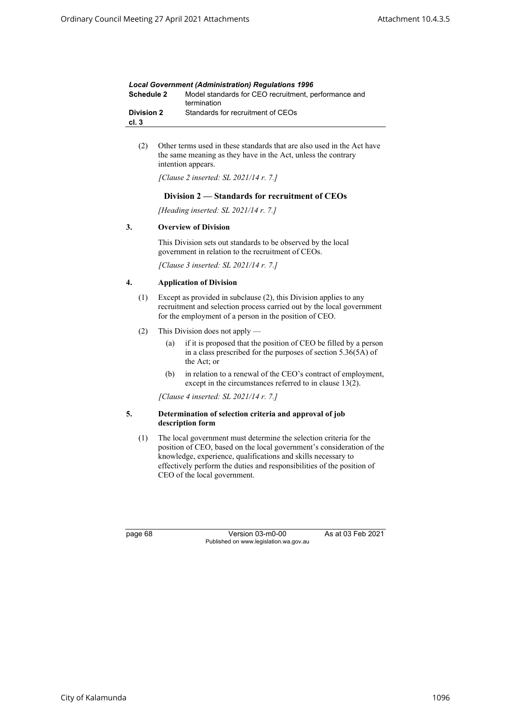| <b>Local Government (Administration) Requlations 1996</b> |                                                                     |  |
|-----------------------------------------------------------|---------------------------------------------------------------------|--|
| Schedule 2                                                | Model standards for CEO recruitment, performance and<br>termination |  |
| <b>Division 2</b><br>cl. 3                                | Standards for recruitment of CEOs                                   |  |

(2) Other terms used in these standards that are also used in the Act have the same meaning as they have in the Act, unless the contrary intention appears.

*[Clause 2 inserted: SL 2021/14 r. 7.]*

#### **Division 2 — Standards for recruitment of CEOs**

*[Heading inserted: SL 2021/14 r. 7.]*

### **3. Overview of Division**

This Division sets out standards to be observed by the local government in relation to the recruitment of CEOs.

*[Clause 3 inserted: SL 2021/14 r. 7.]*

#### **4. Application of Division**

- (1) Except as provided in subclause (2), this Division applies to any recruitment and selection process carried out by the local government for the employment of a person in the position of CEO.
- (2) This Division does not apply
	- (a) if it is proposed that the position of CEO be filled by a person in a class prescribed for the purposes of section 5.36(5A) of the Act; or
	- (b) in relation to a renewal of the CEO's contract of employment, except in the circumstances referred to in clause 13(2).

*[Clause 4 inserted: SL 2021/14 r. 7.]*

#### **5. Determination of selection criteria and approval of job description form**

(1) The local government must determine the selection criteria for the position of CEO, based on the local government's consideration of the knowledge, experience, qualifications and skills necessary to effectively perform the duties and responsibilities of the position of CEO of the local government.

page 68 Version 03-m0-00 As at 03 Feb 2021 Published on www.legislation.wa.gov.au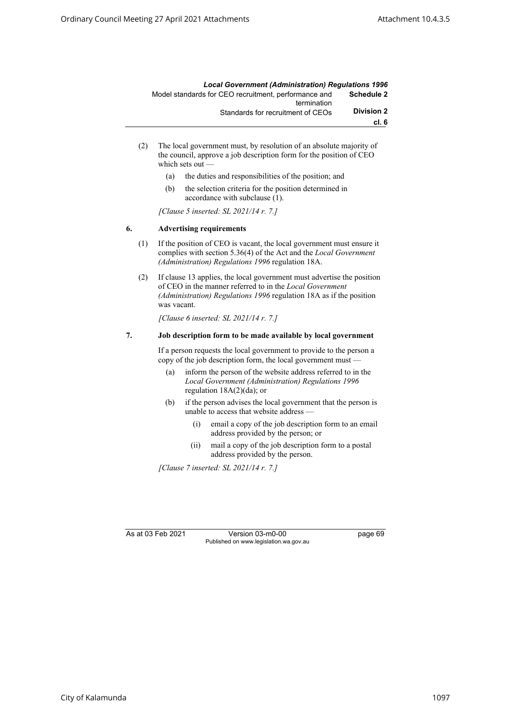|                   | <b>Local Government (Administration) Requlations 1996</b> |
|-------------------|-----------------------------------------------------------|
| <b>Schedule 2</b> | Model standards for CEO recruitment, performance and      |
|                   | termination                                               |
| <b>Division 2</b> | Standards for recruitment of CEOs                         |
| cl.6              |                                                           |

- (2) The local government must, by resolution of an absolute majority of the council, approve a job description form for the position of CEO which sets out -
	- (a) the duties and responsibilities of the position; and
	- (b) the selection criteria for the position determined in accordance with subclause (1).

*[Clause 5 inserted: SL 2021/14 r. 7.]*

#### **6. Advertising requirements**

- (1) If the position of CEO is vacant, the local government must ensure it complies with section 5.36(4) of the Act and the *Local Government (Administration) Regulations 1996* regulation 18A.
- (2) If clause 13 applies, the local government must advertise the position of CEO in the manner referred to in the *Local Government (Administration) Regulations 1996* regulation 18A as if the position was vacant.

*[Clause 6 inserted: SL 2021/14 r. 7.]*

### **7. Job description form to be made available by local government**

If a person requests the local government to provide to the person a copy of the job description form, the local government must —

- (a) inform the person of the website address referred to in the *Local Government (Administration) Regulations 1996*  regulation 18A(2)(da); or
- (b) if the person advises the local government that the person is unable to access that website address —
	- (i) email a copy of the job description form to an email address provided by the person; or
	- (ii) mail a copy of the job description form to a postal address provided by the person.

*[Clause 7 inserted: SL 2021/14 r. 7.]*

As at 03 Feb 2021 Version 03-m0-00 page 69 Published on www.legislation.wa.gov.au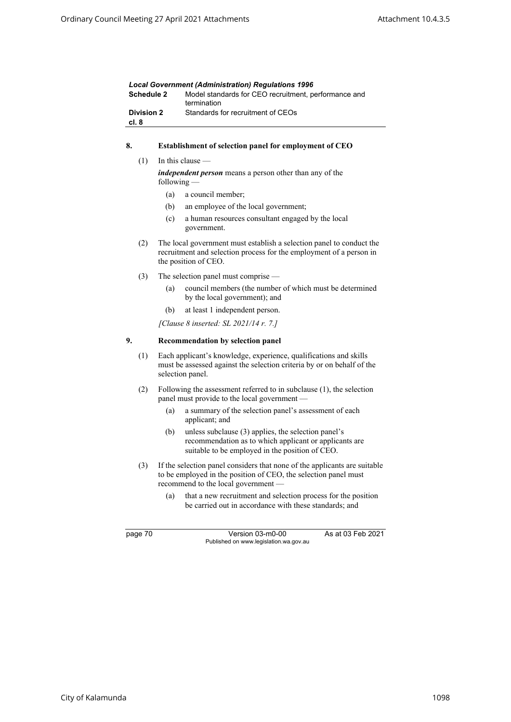| <b>Local Government (Administration) Requlations 1996</b> |                                                                     |  |
|-----------------------------------------------------------|---------------------------------------------------------------------|--|
| Schedule 2                                                | Model standards for CEO recruitment, performance and<br>termination |  |
| <b>Division 2</b><br>cl. 8                                | Standards for recruitment of CEOs                                   |  |

### **8. Establishment of selection panel for employment of CEO**

 $(1)$  In this clause –

*independent person* means a person other than any of the following —

- (a) a council member;
- (b) an employee of the local government;
- (c) a human resources consultant engaged by the local government.
- (2) The local government must establish a selection panel to conduct the recruitment and selection process for the employment of a person in the position of CEO.
- (3) The selection panel must comprise
	- (a) council members (the number of which must be determined by the local government); and
	- (b) at least 1 independent person.

*[Clause 8 inserted: SL 2021/14 r. 7.]*

### **9. Recommendation by selection panel**

- (1) Each applicant's knowledge, experience, qualifications and skills must be assessed against the selection criteria by or on behalf of the selection panel.
- (2) Following the assessment referred to in subclause (1), the selection panel must provide to the local government —
	- (a) a summary of the selection panel's assessment of each applicant; and
	- (b) unless subclause (3) applies, the selection panel's recommendation as to which applicant or applicants are suitable to be employed in the position of CEO.
- (3) If the selection panel considers that none of the applicants are suitable to be employed in the position of CEO, the selection panel must recommend to the local government —
	- (a) that a new recruitment and selection process for the position be carried out in accordance with these standards; and

page 70 Version 03-m0-00 As at 03 Feb 2021 Published on www.legislation.wa.gov.au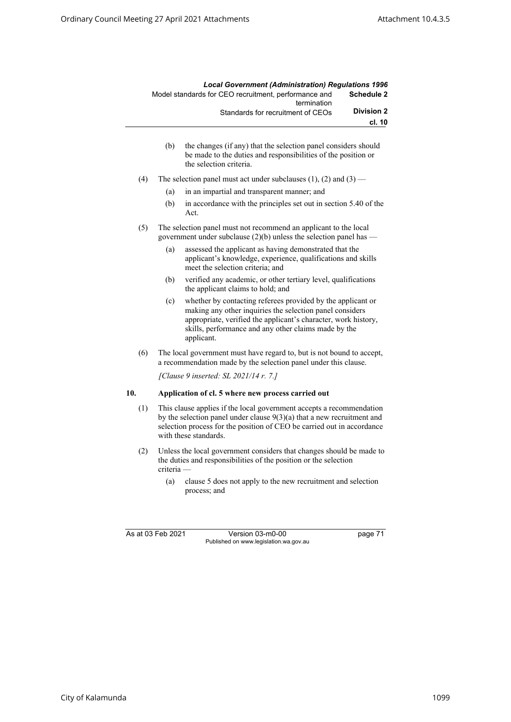|                   | <b>Local Government (Administration) Requlations 1996</b>           |
|-------------------|---------------------------------------------------------------------|
| <b>Schedule 2</b> | Model standards for CEO recruitment, performance and<br>termination |
| <b>Division 2</b> | Standards for recruitment of CEOs                                   |
| cl. 10            |                                                                     |

- (b) the changes (if any) that the selection panel considers should be made to the duties and responsibilities of the position or the selection criteria.
- (4) The selection panel must act under subclauses  $(1)$ ,  $(2)$  and  $(3)$ 
	- (a) in an impartial and transparent manner; and
	- (b) in accordance with the principles set out in section 5.40 of the Act.
- (5) The selection panel must not recommend an applicant to the local government under subclause  $(2)(b)$  unless the selection panel has —
	- (a) assessed the applicant as having demonstrated that the applicant's knowledge, experience, qualifications and skills meet the selection criteria; and
	- (b) verified any academic, or other tertiary level, qualifications the applicant claims to hold; and
	- (c) whether by contacting referees provided by the applicant or making any other inquiries the selection panel considers appropriate, verified the applicant's character, work history, skills, performance and any other claims made by the applicant.
- (6) The local government must have regard to, but is not bound to accept, a recommendation made by the selection panel under this clause.

*[Clause 9 inserted: SL 2021/14 r. 7.]*

#### **10. Application of cl. 5 where new process carried out**

- (1) This clause applies if the local government accepts a recommendation by the selection panel under clause 9(3)(a) that a new recruitment and selection process for the position of CEO be carried out in accordance with these standards.
- (2) Unless the local government considers that changes should be made to the duties and responsibilities of the position or the selection criteria —
	- (a) clause 5 does not apply to the new recruitment and selection process; and

As at 03 Feb 2021 Version 03-m0-00 page 71 Published on www.legislation.wa.gov.au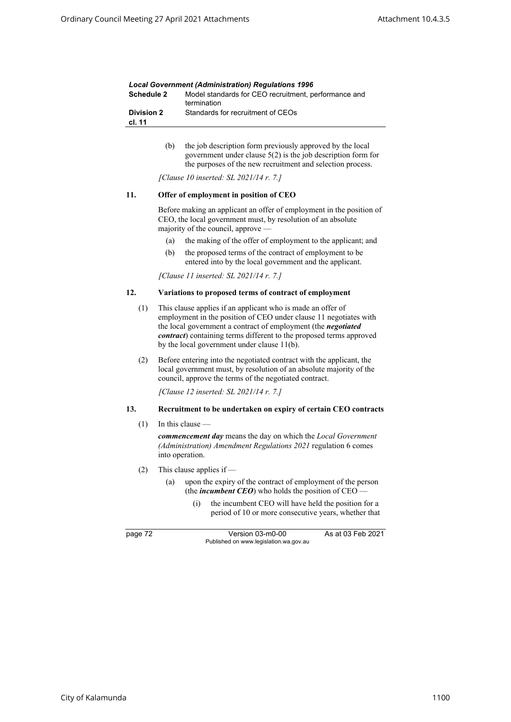| <b>Local Government (Administration) Requlations 1996</b> |                                                                     |  |
|-----------------------------------------------------------|---------------------------------------------------------------------|--|
| Schedule 2                                                | Model standards for CEO recruitment, performance and<br>termination |  |
| <b>Division 2</b><br>cl. 11                               | Standards for recruitment of CEOs                                   |  |

(b) the job description form previously approved by the local government under clause 5(2) is the job description form for the purposes of the new recruitment and selection process.

*[Clause 10 inserted: SL 2021/14 r. 7.]*

#### **11. Offer of employment in position of CEO**

Before making an applicant an offer of employment in the position of CEO, the local government must, by resolution of an absolute majority of the council, approve —

- (a) the making of the offer of employment to the applicant; and
- (b) the proposed terms of the contract of employment to be entered into by the local government and the applicant.

*[Clause 11 inserted: SL 2021/14 r. 7.]*

#### **12. Variations to proposed terms of contract of employment**

- (1) This clause applies if an applicant who is made an offer of employment in the position of CEO under clause 11 negotiates with the local government a contract of employment (the *negotiated contract*) containing terms different to the proposed terms approved by the local government under clause 11(b).
- (2) Before entering into the negotiated contract with the applicant, the local government must, by resolution of an absolute majority of the council, approve the terms of the negotiated contract.

*[Clause 12 inserted: SL 2021/14 r. 7.]*

#### **13. Recruitment to be undertaken on expiry of certain CEO contracts**

 $(1)$  In this clause –

*commencement day* means the day on which the *Local Government (Administration) Amendment Regulations 2021* regulation 6 comes into operation.

- (2) This clause applies if
	- (a) upon the expiry of the contract of employment of the person (the *incumbent CEO*) who holds the position of CEO
		- (i) the incumbent CEO will have held the position for a period of 10 or more consecutive years, whether that

page 72 Version 03-m0-00 As at 03 Feb 2021 Published on www.legislation.wa.gov.au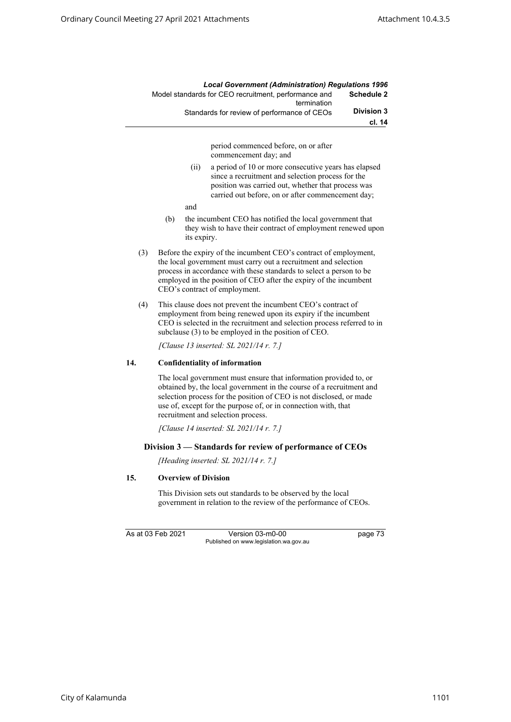|            | <b>Local Government (Administration) Regulations 1996</b>           |
|------------|---------------------------------------------------------------------|
| Schedule 2 | Model standards for CEO recruitment, performance and<br>termination |
| Division 3 | Standards for review of performance of CEOs                         |
| cl. 14     |                                                                     |
|            | period commenced before, on or after<br>commencement day; and       |

- (ii) a period of 10 or more consecutive years has elapsed since a recruitment and selection process for the position was carried out, whether that process was carried out before, on or after commencement day;
- and
- (b) the incumbent CEO has notified the local government that they wish to have their contract of employment renewed upon its expiry.
- (3) Before the expiry of the incumbent CEO's contract of employment, the local government must carry out a recruitment and selection process in accordance with these standards to select a person to be employed in the position of CEO after the expiry of the incumbent CEO's contract of employment.
- (4) This clause does not prevent the incumbent CEO's contract of employment from being renewed upon its expiry if the incumbent CEO is selected in the recruitment and selection process referred to in subclause (3) to be employed in the position of CEO.

*[Clause 13 inserted: SL 2021/14 r. 7.]*

### **14. Confidentiality of information**

The local government must ensure that information provided to, or obtained by, the local government in the course of a recruitment and selection process for the position of CEO is not disclosed, or made use of, except for the purpose of, or in connection with, that recruitment and selection process.

*[Clause 14 inserted: SL 2021/14 r. 7.]*

### **Division 3 — Standards for review of performance of CEOs**

*[Heading inserted: SL 2021/14 r. 7.]*

### **15. Overview of Division**

This Division sets out standards to be observed by the local government in relation to the review of the performance of CEOs.

As at 03 Feb 2021 Version 03-m0-00 page 73 Published on www.legislation.wa.gov.au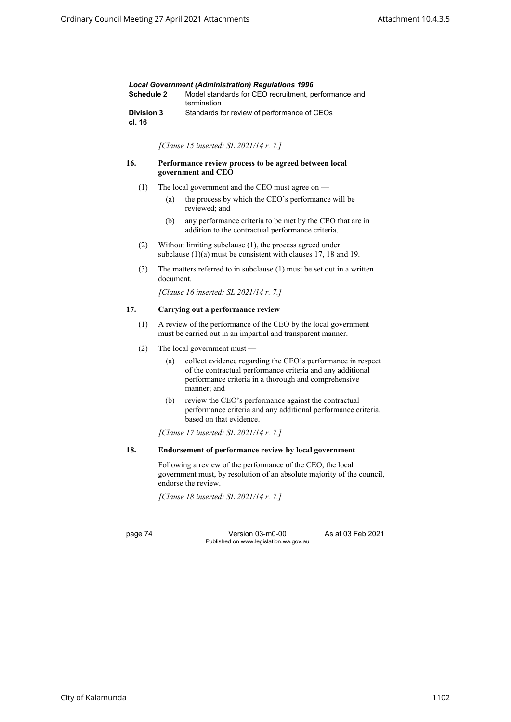| <b>Local Government (Administration) Requlations 1996</b> |                                                                     |  |
|-----------------------------------------------------------|---------------------------------------------------------------------|--|
| Schedule 2                                                | Model standards for CEO recruitment, performance and<br>termination |  |
| <b>Division 3</b><br>cl. 16                               | Standards for review of performance of CEOs                         |  |

*[Clause 15 inserted: SL 2021/14 r. 7.]*

#### **16. Performance review process to be agreed between local government and CEO**

- (1) The local government and the CEO must agree on
	- (a) the process by which the CEO's performance will be reviewed; and
	- (b) any performance criteria to be met by the CEO that are in addition to the contractual performance criteria.
- (2) Without limiting subclause (1), the process agreed under subclause (1)(a) must be consistent with clauses 17, 18 and 19.
- (3) The matters referred to in subclause (1) must be set out in a written document.

*[Clause 16 inserted: SL 2021/14 r. 7.]*

### **17. Carrying out a performance review**

- (1) A review of the performance of the CEO by the local government must be carried out in an impartial and transparent manner.
- (2) The local government must
	- (a) collect evidence regarding the CEO's performance in respect of the contractual performance criteria and any additional performance criteria in a thorough and comprehensive manner; and
	- (b) review the CEO's performance against the contractual performance criteria and any additional performance criteria, based on that evidence.

*[Clause 17 inserted: SL 2021/14 r. 7.]*

#### **18. Endorsement of performance review by local government**

Following a review of the performance of the CEO, the local government must, by resolution of an absolute majority of the council, endorse the review.

*[Clause 18 inserted: SL 2021/14 r. 7.]*

page 74 Version 03-m0-00 As at 03 Feb 2021 Published on www.legislation.wa.gov.au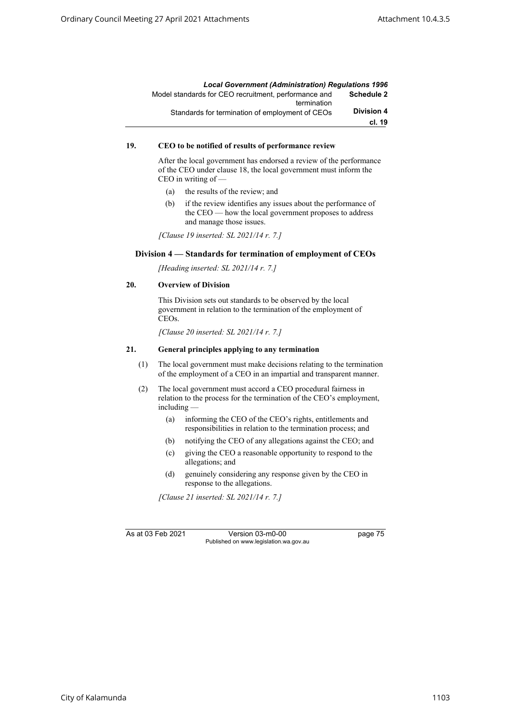|                   | <b>Local Government (Administration) Requlations 1996</b>           |
|-------------------|---------------------------------------------------------------------|
| Schedule 2        | Model standards for CEO recruitment, performance and<br>termination |
| <b>Division 4</b> | Standards for termination of employment of CEOs                     |
| cl. 19            |                                                                     |

### **19. CEO to be notified of results of performance review**

After the local government has endorsed a review of the performance of the CEO under clause 18, the local government must inform the CEO in writing of —

- (a) the results of the review; and
- (b) if the review identifies any issues about the performance of the CEO — how the local government proposes to address and manage those issues.

*[Clause 19 inserted: SL 2021/14 r. 7.]*

### **Division 4 — Standards for termination of employment of CEOs**

*[Heading inserted: SL 2021/14 r. 7.]*

### **20. Overview of Division**

This Division sets out standards to be observed by the local government in relation to the termination of the employment of CEOs.

*[Clause 20 inserted: SL 2021/14 r. 7.]*

#### **21. General principles applying to any termination**

- (1) The local government must make decisions relating to the termination of the employment of a CEO in an impartial and transparent manner.
- (2) The local government must accord a CEO procedural fairness in relation to the process for the termination of the CEO's employment, including —
	- (a) informing the CEO of the CEO's rights, entitlements and responsibilities in relation to the termination process; and
	- (b) notifying the CEO of any allegations against the CEO; and
	- (c) giving the CEO a reasonable opportunity to respond to the allegations; and
	- (d) genuinely considering any response given by the CEO in response to the allegations.

*[Clause 21 inserted: SL 2021/14 r. 7.]*

As at 03 Feb 2021 Version 03-m0-00 page 75 Published on www.legislation.wa.gov.au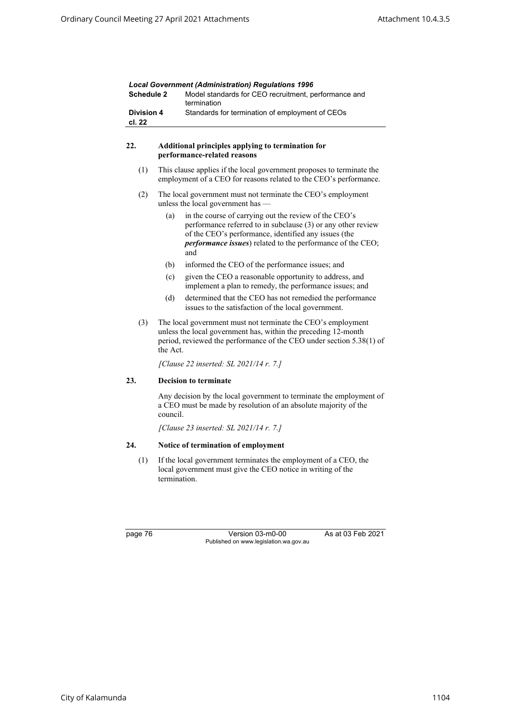| <b>Schedule 2</b>                      |                                                                                                                                                                                                                    | Lucal Government (Administration) Regulations 1990<br>Model standards for CEO recruitment, performance and<br>termination                                                                                                                                  |  |  |
|----------------------------------------|--------------------------------------------------------------------------------------------------------------------------------------------------------------------------------------------------------------------|------------------------------------------------------------------------------------------------------------------------------------------------------------------------------------------------------------------------------------------------------------|--|--|
| <b>Division 4</b><br>cl. 22            |                                                                                                                                                                                                                    | Standards for termination of employment of CEOs                                                                                                                                                                                                            |  |  |
| 22.                                    |                                                                                                                                                                                                                    | Additional principles applying to termination for<br>performance-related reasons                                                                                                                                                                           |  |  |
| (1)                                    |                                                                                                                                                                                                                    | This clause applies if the local government proposes to terminate the<br>employment of a CEO for reasons related to the CEO's performance.                                                                                                                 |  |  |
| (2)                                    | The local government must not terminate the CEO's employment<br>unless the local government has -                                                                                                                  |                                                                                                                                                                                                                                                            |  |  |
|                                        | (a)                                                                                                                                                                                                                | in the course of carrying out the review of the CEO's<br>performance referred to in subclause (3) or any other review<br>of the CEO's performance, identified any issues (the<br><i>performance issues</i> ) related to the performance of the CEO;<br>and |  |  |
|                                        | (b)                                                                                                                                                                                                                | informed the CEO of the performance issues; and                                                                                                                                                                                                            |  |  |
|                                        | (c)                                                                                                                                                                                                                | given the CEO a reasonable opportunity to address, and<br>implement a plan to remedy, the performance issues; and                                                                                                                                          |  |  |
|                                        | (d)                                                                                                                                                                                                                | determined that the CEO has not remedied the performance<br>issues to the satisfaction of the local government.                                                                                                                                            |  |  |
| (3)                                    | The local government must not terminate the CEO's employment<br>unless the local government has, within the preceding 12-month<br>period, reviewed the performance of the CEO under section 5.38(1) of<br>the Act. |                                                                                                                                                                                                                                                            |  |  |
| [Clause 22 inserted: SL 2021/14 r. 7.] |                                                                                                                                                                                                                    |                                                                                                                                                                                                                                                            |  |  |
| 23.                                    |                                                                                                                                                                                                                    | <b>Decision to terminate</b>                                                                                                                                                                                                                               |  |  |
|                                        | council.                                                                                                                                                                                                           | Any decision by the local government to terminate the employment of<br>a CEO must be made by resolution of an absolute majority of the                                                                                                                     |  |  |
|                                        | [Clause 23 inserted: SL 2021/14 r. 7.]                                                                                                                                                                             |                                                                                                                                                                                                                                                            |  |  |
| 24.                                    |                                                                                                                                                                                                                    | Notice of termination of employment                                                                                                                                                                                                                        |  |  |
| (1)                                    | If the local government terminates the employment of a CEO, the<br>local government must give the CEO notice in writing of the<br>termination.                                                                     |                                                                                                                                                                                                                                                            |  |  |

page 76 Version 03-m0-00 As at 03 Feb 2021 Published on www.legislation.wa.gov.au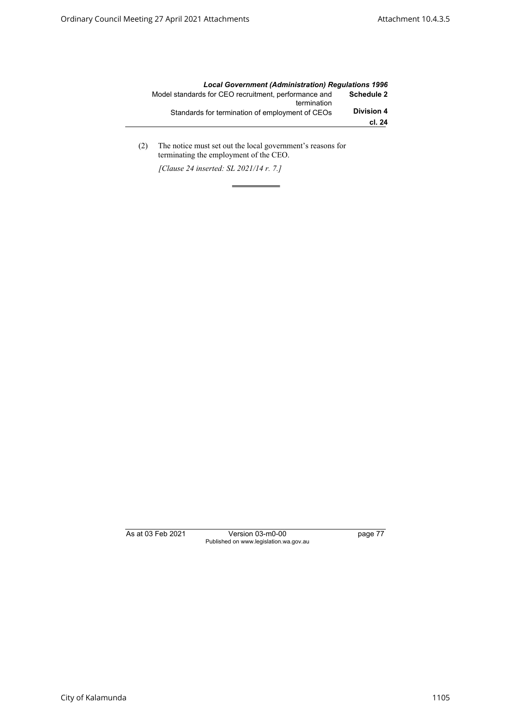|                   | <b>Local Government (Administration) Requlations 1996</b>           |
|-------------------|---------------------------------------------------------------------|
| <b>Schedule 2</b> | Model standards for CEO recruitment, performance and<br>termination |
| <b>Division 4</b> | Standards for termination of employment of CEOs                     |
| cl. 24            |                                                                     |

(2) The notice must set out the local government's reasons for terminating the employment of the CEO.

*[Clause 24 inserted: SL 2021/14 r. 7.]*

As at 03 Feb 2021 Version 03-m0-00 page 77 Published on www.legislation.wa.gov.au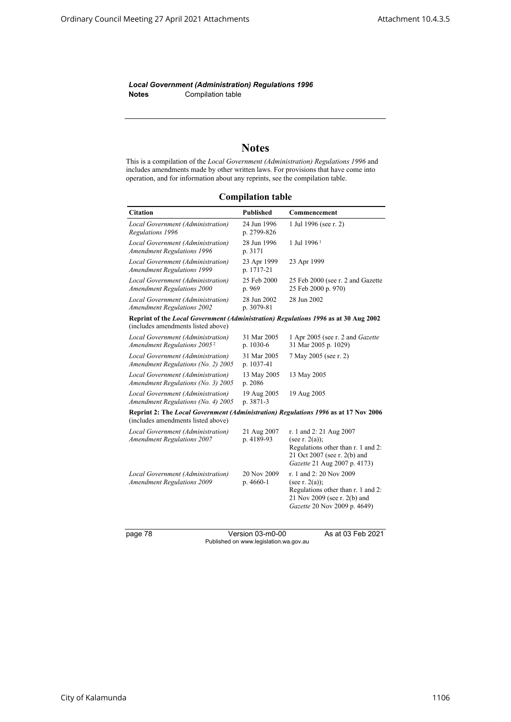*Local Government (Administration) Regulations 1996* **Notes** Compilation table

# **Notes**

This is a compilation of the *Local Government (Administration) Regulations 1996* and includes amendments made by other written laws. For provisions that have come into operation, and for information about any reprints, see the compilation table.

**Compilation table**

| <b>Citation</b>                                                                                                           | <b>Published</b>           | Commencement                                                                                                                                       |
|---------------------------------------------------------------------------------------------------------------------------|----------------------------|----------------------------------------------------------------------------------------------------------------------------------------------------|
| Local Government (Administration)<br>Regulations 1996                                                                     | 24 Jun 1996<br>p. 2799-826 | 1 Jul 1996 (see r. 2)                                                                                                                              |
| Local Government (Administration)<br><b>Amendment Regulations 1996</b>                                                    | 28 Jun 1996<br>p. 3171     | 1 Jul 1996 <sup>1</sup>                                                                                                                            |
| Local Government (Administration)<br><b>Amendment Regulations 1999</b>                                                    | 23 Apr 1999<br>p. 1717-21  | 23 Apr 1999                                                                                                                                        |
| Local Government (Administration)<br><b>Amendment Regulations 2000</b>                                                    | 25 Feb 2000<br>p. 969      | 25 Feb 2000 (see r. 2 and Gazette<br>25 Feb 2000 p. 970)                                                                                           |
| Local Government (Administration)<br><b>Amendment Regulations 2002</b>                                                    | 28 Jun 2002<br>p. 3079-81  | 28 Jun 2002                                                                                                                                        |
| Reprint of the Local Government (Administration) Regulations 1996 as at 30 Aug 2002<br>(includes amendments listed above) |                            |                                                                                                                                                    |
| Local Government (Administration)<br>Amendment Regulations 2005 <sup>2</sup>                                              | 31 Mar 2005<br>p. 1030-6   | 1 Apr 2005 (see r. 2 and <i>Gazette</i><br>31 Mar 2005 p. 1029)                                                                                    |
| Local Government (Administration)<br>Amendment Regulations (No. 2) 2005                                                   | 31 Mar 2005<br>p. 1037-41  | 7 May 2005 (see r. 2)                                                                                                                              |
| Local Government (Administration)<br>Amendment Regulations (No. 3) 2005                                                   | 13 May 2005<br>p. 2086     | 13 May 2005                                                                                                                                        |
| Local Government (Administration)<br>Amendment Regulations (No. 4) 2005                                                   | 19 Aug 2005<br>p. 3871-3   | 19 Aug 2005                                                                                                                                        |
| Reprint 2: The Local Government (Administration) Regulations 1996 as at 17 Nov 2006<br>(includes amendments listed above) |                            |                                                                                                                                                    |
| Local Government (Administration)<br><b>Amendment Regulations 2007</b>                                                    | 21 Aug 2007<br>p. 4189-93  | r. 1 and 2: 21 Aug 2007<br>(see r. $2(a)$ );<br>Regulations other than r. 1 and 2:<br>21 Oct 2007 (see r. 2(b) and<br>Gazette 21 Aug 2007 p. 4173) |
| Local Government (Administration)<br><b>Amendment Regulations 2009</b>                                                    | 20 Nov 2009<br>p. 4660-1   | r. 1 and 2: 20 Nov 2009<br>(see r. $2(a)$ );<br>Regulations other than r. 1 and 2:<br>21 Nov 2009 (see r. 2(b) and<br>Gazette 20 Nov 2009 p. 4649) |
| nage 78                                                                                                                   | $V$ arejon 03 m $0.00$     | $A_0$ at 03 Eab 2021                                                                                                                               |

page 78 Version 03-m0-00 As at 03 Feb 2021 Published on www.legislation.wa.gov.au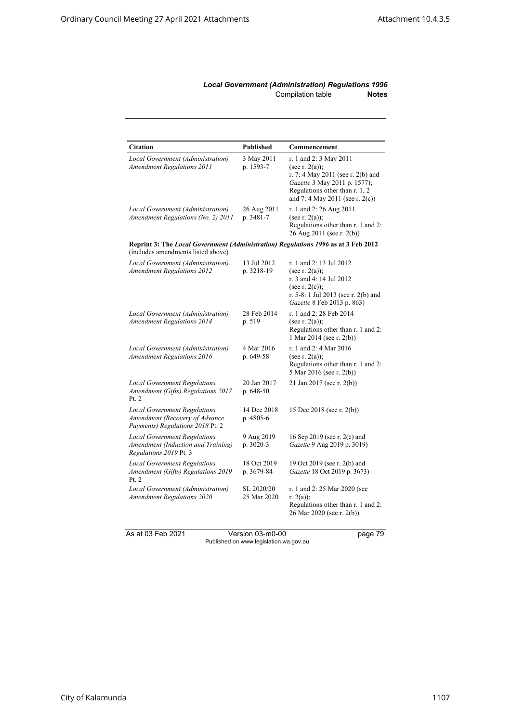### *Local Government (Administration) Regulations 1996* Compilation table **Notes**

| <b>Citation</b>                                                                                                          | Published                 | Commencement                                                                                                                                                                          |  |
|--------------------------------------------------------------------------------------------------------------------------|---------------------------|---------------------------------------------------------------------------------------------------------------------------------------------------------------------------------------|--|
| Local Government (Administration)<br><b>Amendment Regulations 2011</b>                                                   | 3 May 2011<br>p. 1593-7   | r. 1 and 2: 3 May 2011<br>(see r. $2(a)$ );<br>r. 7: 4 May 2011 (see r. 2(b) and<br>Gazette 3 May 2011 p. 1577);<br>Regulations other than r. 1, 2<br>and 7: 4 May 2011 (see r. 2(c)) |  |
| Local Government (Administration)<br>Amendment Regulations (No. 2) 2011                                                  | 26 Aug 2011<br>p. 3481-7  | r. 1 and 2: 26 Aug 2011<br>(see r. $2(a)$ );<br>Regulations other than r. 1 and 2:<br>26 Aug 2011 (see r. 2(b))                                                                       |  |
| Reprint 3: The Local Government (Administration) Regulations 1996 as at 3 Feb 2012<br>(includes amendments listed above) |                           |                                                                                                                                                                                       |  |
| Local Government (Administration)<br><b>Amendment Regulations 2012</b>                                                   | 13 Jul 2012<br>p. 3218-19 | r. 1 and 2: 13 Jul 2012<br>(see r. $2(a)$ );<br>r. 3 and 4: 14 Jul 2012<br>(see r. $2(c)$ );<br>r. 5-8: 1 Jul 2013 (see r. 2(b) and<br>Gazette 8 Feb 2013 p. 863)                     |  |
| Local Government (Administration)<br><b>Amendment Regulations 2014</b>                                                   | 28 Feb 2014<br>p. 519     | r. 1 and 2: 28 Feb 2014<br>(see r. $2(a)$ );<br>Regulations other than r. 1 and 2:<br>1 Mar 2014 (see r. 2(b))                                                                        |  |
| Local Government (Administration)<br><b>Amendment Regulations 2016</b>                                                   | 4 Mar 2016<br>p. 649-58   | r. 1 and 2: 4 Mar 2016<br>(see r. $2(a)$ );<br>Regulations other than r. 1 and 2:<br>5 Mar 2016 (see r. 2(b))                                                                         |  |
| <b>Local Government Regulations</b><br>Amendment (Gifts) Regulations 2017<br>Pt. 2                                       | 20 Jan 2017<br>p. 648-50  | 21 Jan 2017 (see r. 2(b))                                                                                                                                                             |  |
| <b>Local Government Regulations</b><br>Amendment (Recovery of Advance<br>Payments) Regulations 2018 Pt. 2                | 14 Dec 2018<br>p. 4805-6  | 15 Dec 2018 (see r. 2(b))                                                                                                                                                             |  |
| <b>Local Government Regulations</b><br>Amendment (Induction and Training)<br>Regulations 2019 Pt. 3                      | 9 Aug 2019<br>p. 3020-3   | 16 Sep 2019 (see r. 2(c) and<br>Gazette 9 Aug 2019 p. 3019)                                                                                                                           |  |
| <b>Local Government Regulations</b><br>Amendment (Gifts) Regulations 2019<br>Pt. 2                                       | 18 Oct 2019<br>p. 3679-84 | 19 Oct 2019 (see r. 2(b) and<br>Gazette 18 Oct 2019 p. 3673)                                                                                                                          |  |
| Local Government (Administration)<br><b>Amendment Regulations 2020</b>                                                   | SL 2020/20<br>25 Mar 2020 | r. 1 and 2: 25 Mar 2020 (see<br>r. $2(a)$ ;<br>Regulations other than r. 1 and 2:<br>26 Mar 2020 (see r. 2(b))                                                                        |  |

As at 03 Feb 2021 Version 03-m0-00 page 79 Published on www.legislation.wa.gov.au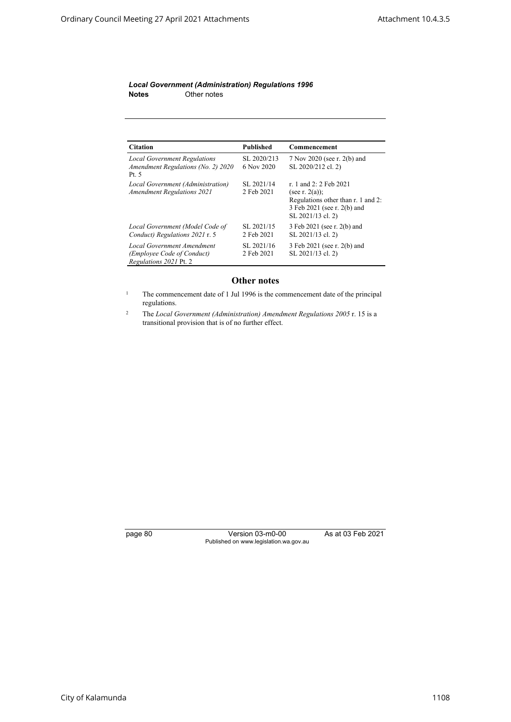### *Local Government (Administration) Regulations 1996* **Notes** Other notes

| <b>Citation</b>                                                                    | <b>Published</b>          | Commencement                                                                                                                          |
|------------------------------------------------------------------------------------|---------------------------|---------------------------------------------------------------------------------------------------------------------------------------|
| <b>Local Government Regulations</b><br>Amendment Regulations (No. 2) 2020<br>Pt. 5 | SL 2020/213<br>6 Nov 2020 | 7 Nov 2020 (see r. 2(b) and<br>SL 2020/212 cl. 2)                                                                                     |
| Local Government (Administration)<br><b>Amendment Regulations 2021</b>             | SL 2021/14<br>2 Feb 2021  | r. 1 and 2: 2 Feb 2021<br>(see r. $2(a)$ );<br>Regulations other than r. 1 and 2:<br>3 Feb 2021 (see r. 2(b) and<br>SL 2021/13 cl. 2) |
| Local Government (Model Code of<br>Conduct) Regulations 2021 r. 5                  | SL 2021/15<br>2 Feb 2021  | 3 Feb 2021 (see r. 2(b) and<br>SL 2021/13 cl. 2)                                                                                      |
| Local Government Amendment<br>(Employee Code of Conduct)<br>Regulations 2021 Pt. 2 | SL 2021/16<br>2 Feb 2021  | 3 Feb 2021 (see r. 2(b) and<br>SL 2021/13 cl. 2)                                                                                      |

# **Other notes**

<sup>1</sup> The commencement date of 1 Jul 1996 is the commencement date of the principal regulations.

<sup>2</sup> The *Local Government (Administration) Amendment Regulations 2005* r. 15 is a transitional provision that is of no further effect.

page 80 Version 03-m0-00 As at 03 Feb 2021 Published on www.legislation.wa.gov.au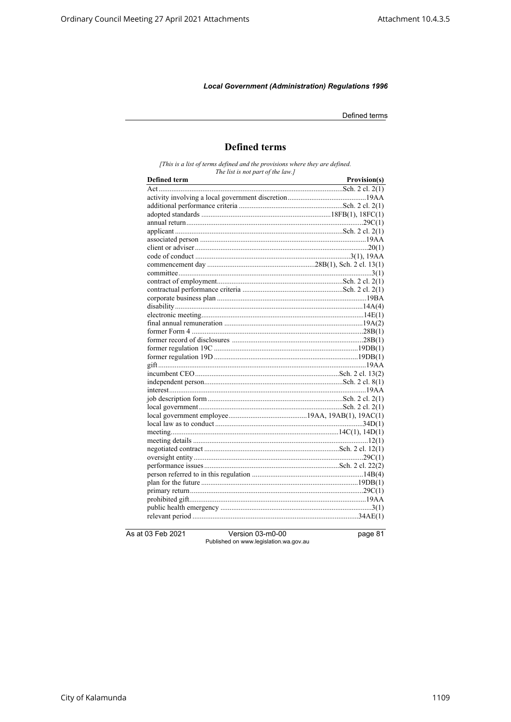Defined terms

# **Defined terms**

[This is a list of terms defined and the provisions where they are defined.<br>The list is not part of the law.]

| <b>Defined term</b> | Provision(s) |
|---------------------|--------------|
|                     |              |
|                     |              |
|                     |              |
|                     |              |
|                     |              |
|                     |              |
|                     |              |
|                     |              |
|                     |              |
|                     |              |
|                     |              |
|                     |              |
|                     |              |
|                     |              |
|                     |              |
|                     |              |
|                     |              |
|                     |              |
|                     |              |
|                     |              |
|                     |              |
|                     |              |
|                     |              |
|                     |              |
|                     |              |
|                     |              |
|                     |              |
|                     |              |
|                     |              |
|                     |              |
|                     |              |
|                     |              |
|                     |              |
|                     |              |
|                     |              |
|                     |              |
|                     |              |
|                     |              |
|                     |              |
|                     |              |

As at 03 Feb 2021

Version 03-m0-00 Published on www.legislation.wa.gov.au page 81